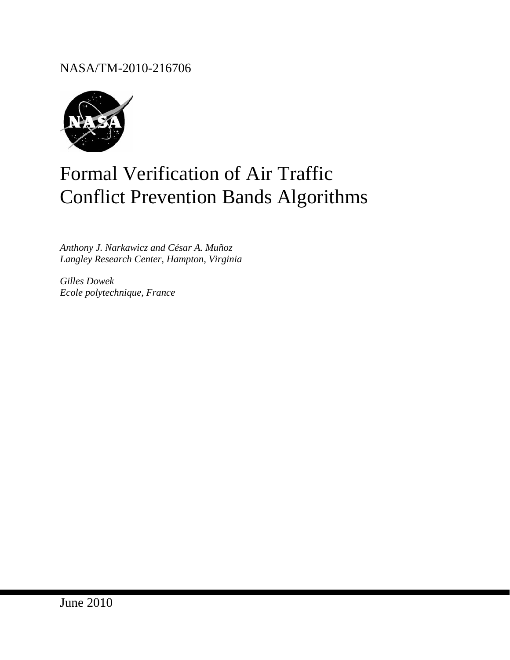NASA/TM-2010-216706



# Formal Verification of Air Traffic Conflict Prevention Bands Algorithms

*Anthony J. Narkawicz and César A. Muñoz Langley Research Center, Hampton, Virginia* 

*Gilles Dowek Ecole polytechnique, France*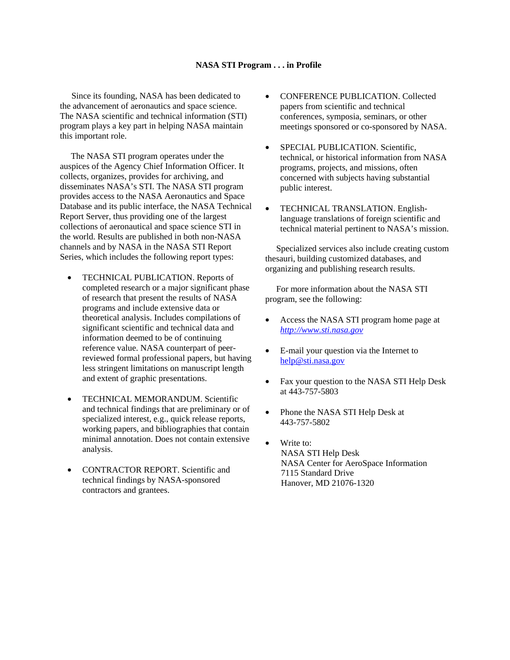Since its founding, NASA has been dedicated to the advancement of aeronautics and space science. The NASA scientific and technical information (STI) program plays a key part in helping NASA maintain this important role.

 The NASA STI program operates under the auspices of the Agency Chief Information Officer. It collects, organizes, provides for archiving, and disseminates NASA's STI. The NASA STI program provides access to the NASA Aeronautics and Space Database and its public interface, the NASA Technical Report Server, thus providing one of the largest collections of aeronautical and space science STI in the world. Results are published in both non-NASA channels and by NASA in the NASA STI Report Series, which includes the following report types:

- TECHNICAL PUBLICATION. Reports of completed research or a major significant phase of research that present the results of NASA programs and include extensive data or theoretical analysis. Includes compilations of significant scientific and technical data and information deemed to be of continuing reference value. NASA counterpart of peerreviewed formal professional papers, but having less stringent limitations on manuscript length and extent of graphic presentations.
- TECHNICAL MEMORANDUM. Scientific and technical findings that are preliminary or of specialized interest, e.g., quick release reports, working papers, and bibliographies that contain minimal annotation. Does not contain extensive analysis.
- CONTRACTOR REPORT. Scientific and technical findings by NASA-sponsored contractors and grantees.
- CONFERENCE PUBLICATION. Collected papers from scientific and technical conferences, symposia, seminars, or other meetings sponsored or co-sponsored by NASA.
- SPECIAL PUBLICATION. Scientific, technical, or historical information from NASA programs, projects, and missions, often concerned with subjects having substantial public interest.
- TECHNICAL TRANSLATION. Englishlanguage translations of foreign scientific and technical material pertinent to NASA's mission.

 Specialized services also include creating custom thesauri, building customized databases, and organizing and publishing research results.

 For more information about the NASA STI program, see the following:

- Access the NASA STI program home page at *http://www.sti.nasa.gov*
- E-mail your question via the Internet to help@sti.nasa.gov
- Fax your question to the NASA STI Help Desk at 443-757-5803
- Phone the NASA STI Help Desk at 443-757-5802
- Write to: NASA STI Help Desk NASA Center for AeroSpace Information 7115 Standard Drive Hanover, MD 21076-1320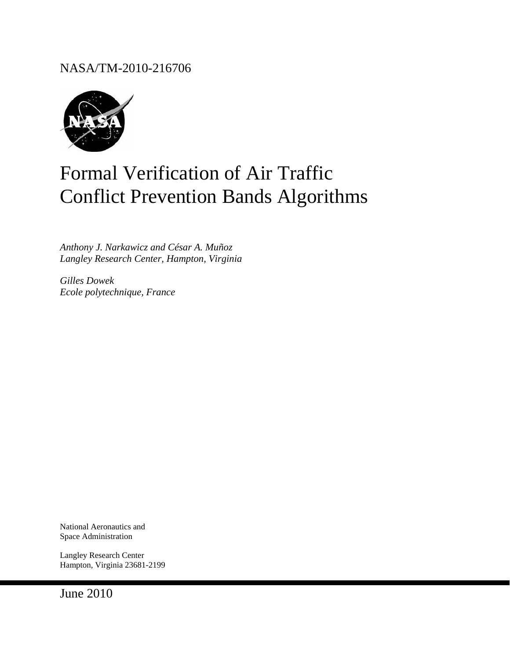NASA/TM-2010-216706



## Formal Verification of Air Traffic Conflict Prevention Bands Algorithms

*Anthony J. Narkawicz and César A. Muñoz Langley Research Center, Hampton, Virginia* 

*Gilles Dowek Ecole polytechnique, France* 

National Aeronautics and Space Administration

Langley Research Center Hampton, Virginia 23681-2199

June 2010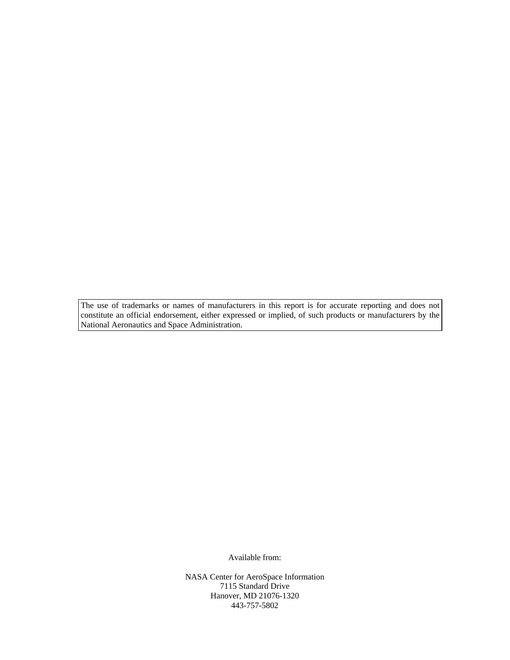The use of trademarks or names of manufacturers in this report is for accurate reporting and does not constitute an official endorsement, either expressed or implied, of such products or manufacturers by the National Aeronautics and Space Administration.

Available from:

NASA Center for AeroSpace Information 7115 Standard Drive Hanover, MD 21076-1320 443-757-5802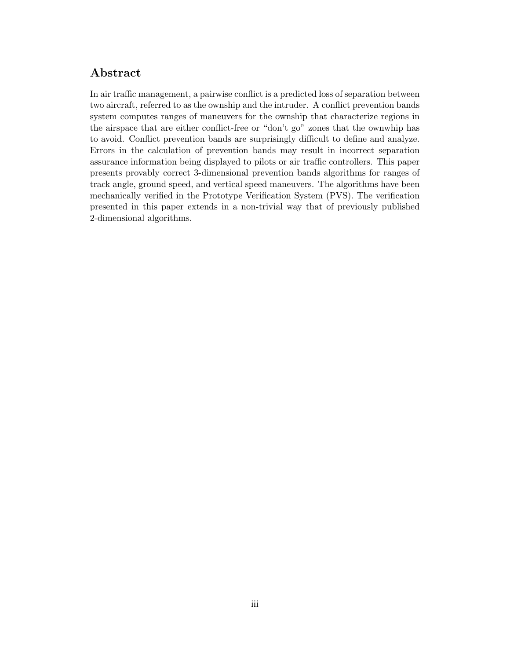## Abstract

In air traffic management, a pairwise conflict is a predicted loss of separation between two aircraft, referred to as the ownship and the intruder. A conflict prevention bands system computes ranges of maneuvers for the ownship that characterize regions in the airspace that are either conflict-free or "don't go" zones that the ownwhip has to avoid. Conflict prevention bands are surprisingly difficult to define and analyze. Errors in the calculation of prevention bands may result in incorrect separation assurance information being displayed to pilots or air traffic controllers. This paper presents provably correct 3-dimensional prevention bands algorithms for ranges of track angle, ground speed, and vertical speed maneuvers. The algorithms have been mechanically verified in the Prototype Verification System (PVS). The verification presented in this paper extends in a non-trivial way that of previously published 2-dimensional algorithms.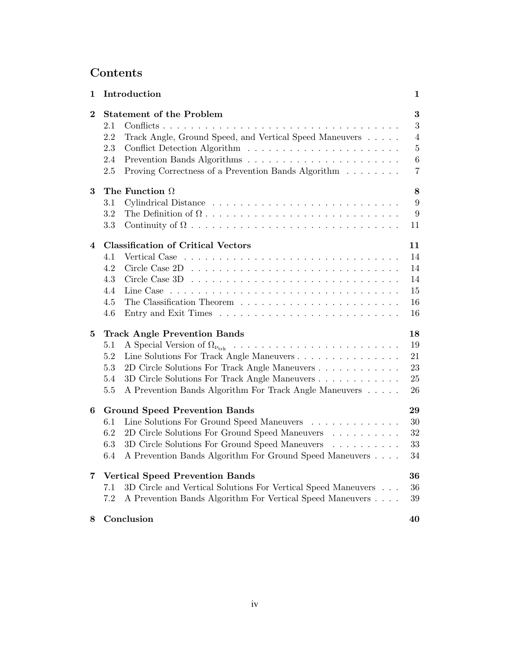## Contents

| 1                       |                                                 | Introduction                                                  | 1                |  |  |  |  |
|-------------------------|-------------------------------------------------|---------------------------------------------------------------|------------------|--|--|--|--|
| $\bf{2}$                |                                                 | <b>Statement of the Problem</b>                               | 3                |  |  |  |  |
|                         | 2.1                                             |                                                               | 3                |  |  |  |  |
|                         | 2.2                                             | Track Angle, Ground Speed, and Vertical Speed Maneuvers       | $\overline{4}$   |  |  |  |  |
|                         | 2.3                                             |                                                               | $\overline{5}$   |  |  |  |  |
|                         | 2.4                                             |                                                               | $\boldsymbol{6}$ |  |  |  |  |
|                         | 2.5                                             | Proving Correctness of a Prevention Bands Algorithm           | $\overline{7}$   |  |  |  |  |
| 3                       |                                                 | The Function $\Omega$                                         |                  |  |  |  |  |
|                         | 3.1                                             |                                                               | 9                |  |  |  |  |
|                         | 3.2                                             |                                                               | 9                |  |  |  |  |
|                         | 3.3                                             |                                                               | 11               |  |  |  |  |
| $\overline{\mathbf{4}}$ | <b>Classification of Critical Vectors</b><br>11 |                                                               |                  |  |  |  |  |
|                         | 4.1                                             |                                                               | 14               |  |  |  |  |
|                         | 4.2                                             |                                                               | 14               |  |  |  |  |
|                         | 4.3                                             |                                                               | 14               |  |  |  |  |
|                         | 4.4                                             | Line Case                                                     | 15               |  |  |  |  |
|                         | 4.5                                             |                                                               | 16               |  |  |  |  |
|                         | 4.6                                             |                                                               | 16               |  |  |  |  |
| 5                       | <b>Track Angle Prevention Bands</b><br>18       |                                                               |                  |  |  |  |  |
|                         | 5.1                                             |                                                               | 19               |  |  |  |  |
|                         | $5.2\,$                                         | Line Solutions For Track Angle Maneuvers                      | 21               |  |  |  |  |
|                         | $5.3\,$                                         | 2D Circle Solutions For Track Angle Maneuvers                 | 23               |  |  |  |  |
|                         | 5.4                                             | 3D Circle Solutions For Track Angle Maneuvers                 | 25               |  |  |  |  |
|                         | 5.5                                             | A Prevention Bands Algorithm For Track Angle Maneuvers        | 26               |  |  |  |  |
| 6                       | <b>Ground Speed Prevention Bands</b><br>29      |                                                               |                  |  |  |  |  |
|                         | 6.1                                             | Line Solutions For Ground Speed Maneuvers                     | 30               |  |  |  |  |
|                         | 6.2                                             | 2D Circle Solutions For Ground Speed Maneuvers                | 32               |  |  |  |  |
|                         | 6.3                                             | 3D Circle Solutions For Ground Speed Maneuvers                | 33               |  |  |  |  |
|                         | 6.4                                             | A Prevention Bands Algorithm For Ground Speed Maneuvers       | 34               |  |  |  |  |
| 7                       |                                                 | <b>Vertical Speed Prevention Bands</b>                        | 36               |  |  |  |  |
|                         | 7.1                                             | 3D Circle and Vertical Solutions For Vertical Speed Maneuvers | 36               |  |  |  |  |
|                         | 7.2                                             | A Prevention Bands Algorithm For Vertical Speed Maneuvers     | 39               |  |  |  |  |
| 8                       |                                                 | Conclusion                                                    | 40               |  |  |  |  |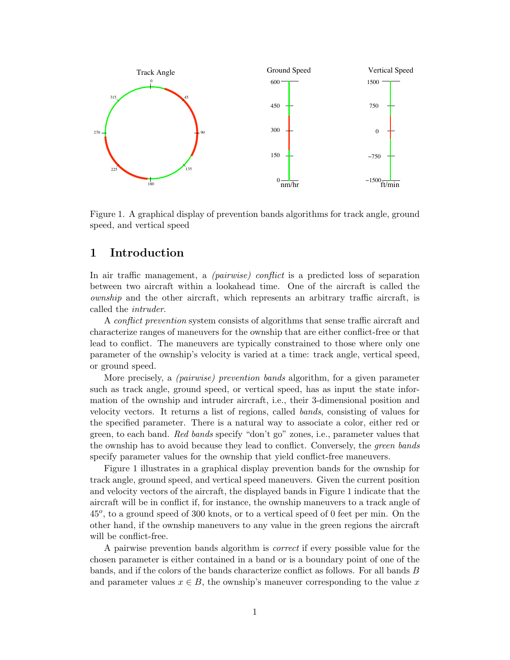

<span id="page-6-1"></span>Figure 1. A graphical display of prevention bands algorithms for track angle, ground speed, and vertical speed

## <span id="page-6-0"></span>1 Introduction

In air traffic management, a *(pairwise)* conflict is a predicted loss of separation between two aircraft within a lookahead time. One of the aircraft is called the ownship and the other aircraft, which represents an arbitrary traffic aircraft, is called the intruder.

A conflict prevention system consists of algorithms that sense traffic aircraft and characterize ranges of maneuvers for the ownship that are either conflict-free or that lead to conflict. The maneuvers are typically constrained to those where only one parameter of the ownship's velocity is varied at a time: track angle, vertical speed, or ground speed.

More precisely, a (pairwise) prevention bands algorithm, for a given parameter such as track angle, ground speed, or vertical speed, has as input the state information of the ownship and intruder aircraft, i.e., their 3-dimensional position and velocity vectors. It returns a list of regions, called bands, consisting of values for the specified parameter. There is a natural way to associate a color, either red or green, to each band. Red bands specify "don't go" zones, i.e., parameter values that the ownship has to avoid because they lead to conflict. Conversely, the *green bands* specify parameter values for the ownship that yield conflict-free maneuvers.

Figure [1](#page-6-1) illustrates in a graphical display prevention bands for the ownship for track angle, ground speed, and vertical speed maneuvers. Given the current position and velocity vectors of the aircraft, the displayed bands in Figure [1](#page-6-1) indicate that the aircraft will be in conflict if, for instance, the ownship maneuvers to a track angle of 45<sup>o</sup>, to a ground speed of 300 knots, or to a vertical speed of 0 feet per min. On the other hand, if the ownship maneuvers to any value in the green regions the aircraft will be conflict-free.

A pairwise prevention bands algorithm is correct if every possible value for the chosen parameter is either contained in a band or is a boundary point of one of the bands, and if the colors of the bands characterize conflict as follows. For all bands B and parameter values  $x \in B$ , the ownship's maneuver corresponding to the value x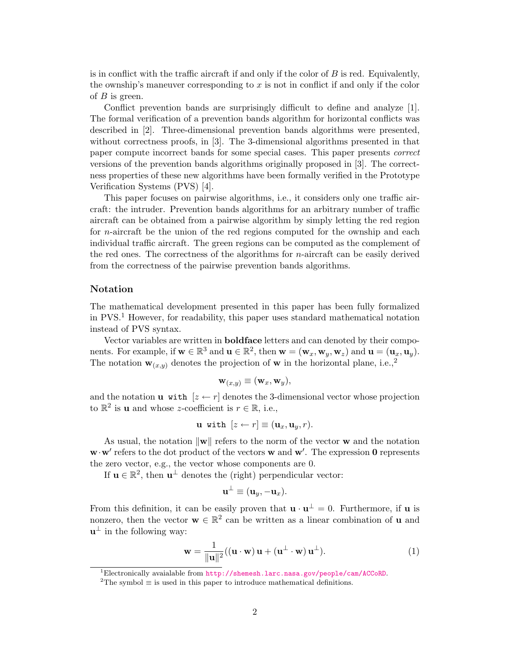is in conflict with the traffic aircraft if and only if the color of  $B$  is red. Equivalently, the ownship's maneuver corresponding to  $x$  is not in conflict if and only if the color of  $B$  is green.

Conflict prevention bands are surprisingly difficult to define and analyze [1]. The formal verification of a prevention bands algorithm for horizontal conflicts was described in [2]. Three-dimensional prevention bands algorithms were presented, without correctness proofs, in [3]. The 3-dimensional algorithms presented in that paper compute incorrect bands for some special cases. This paper presents correct versions of the prevention bands algorithms originally proposed in [3]. The correctness properties of these new algorithms have been formally verified in the Prototype Verification Systems (PVS) [4].

This paper focuses on pairwise algorithms, i.e., it considers only one traffic aircraft: the intruder. Prevention bands algorithms for an arbitrary number of traffic aircraft can be obtained from a pairwise algorithm by simply letting the red region for n-aircraft be the union of the red regions computed for the ownship and each individual traffic aircraft. The green regions can be computed as the complement of the red ones. The correctness of the algorithms for  $n$ -aircraft can be easily derived from the correctness of the pairwise prevention bands algorithms.

## Notation

<span id="page-7-2"></span>The mathematical development presented in this paper has been fully formalized in PVS.[1](#page-7-0) However, for readability, this paper uses standard mathematical notation instead of PVS syntax.

Vector variables are written in boldface letters and can denoted by their components. For example, if  $\mathbf{w} \in \mathbb{R}^3$  and  $\mathbf{u} \in \mathbb{R}^2$ , then  $\mathbf{w} = (\mathbf{w}_x, \mathbf{w}_y, \mathbf{w}_z)$  and  $\mathbf{u} = (\mathbf{u}_x, \mathbf{u}_y)$ . The notation  $\mathbf{w}_{(x,y)}$  denotes the projection of **w** in the horizontal plane, i.e.,<sup>[2](#page-7-1)</sup>

$$
\mathbf{w}_{(x,y)} \equiv (\mathbf{w}_x, \mathbf{w}_y),
$$

and the notation **u** with  $[z \leftarrow r]$  denotes the 3-dimensional vector whose projection to  $\mathbb{R}^2$  is **u** and whose z-coefficient is  $r \in \mathbb{R}$ , i.e.,

$$
\mathbf{u} \text{ with } [z \leftarrow r] \equiv (\mathbf{u}_x, \mathbf{u}_y, r).
$$

As usual, the notation  $\|\mathbf{w}\|$  refers to the norm of the vector **w** and the notation  $\mathbf{w} \cdot \mathbf{w}'$  refers to the dot product of the vectors  $\mathbf{w}$  and  $\mathbf{w}'$ . The expression 0 represents the zero vector, e.g., the vector whose components are 0.

If  $\mathbf{u} \in \mathbb{R}^2$ , then  $\mathbf{u}^{\perp}$  denotes the (right) perpendicular vector:

$$
\mathbf{u}^{\perp} \equiv (\mathbf{u}_y, -\mathbf{u}_x).
$$

From this definition, it can be easily proven that  $\mathbf{u} \cdot \mathbf{u}^{\perp} = 0$ . Furthermore, if **u** is nonzero, then the vector  $w \in \mathbb{R}^2$  can be written as a linear combination of **u** and  $\mathbf{u}^{\perp}$  in the following way:

<span id="page-7-3"></span>
$$
\mathbf{w} = \frac{1}{\|\mathbf{u}\|^2} ((\mathbf{u} \cdot \mathbf{w}) \mathbf{u} + (\mathbf{u}^\perp \cdot \mathbf{w}) \mathbf{u}^\perp).
$$
 (1)

<span id="page-7-0"></span><sup>1</sup>Electronically avaialable from <http://shemesh.larc.nasa.gov/people/cam/ACCoRD>.

<span id="page-7-1"></span><sup>&</sup>lt;sup>2</sup>The symbol  $\equiv$  is used in this paper to introduce mathematical definitions.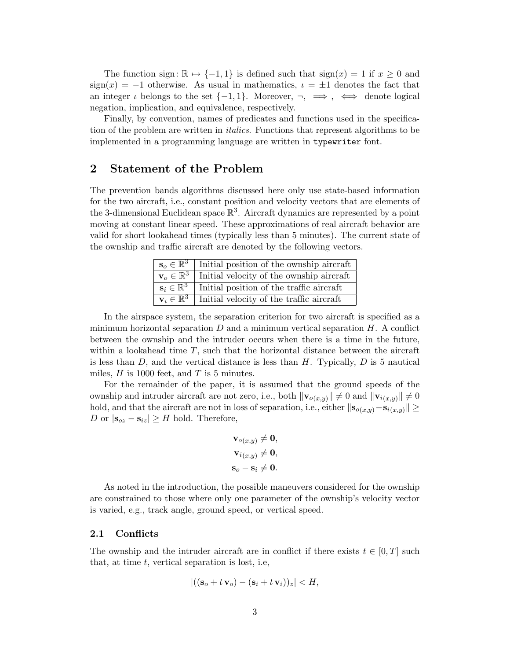The function sign:  $\mathbb{R} \mapsto \{-1, 1\}$  is defined such that  $sign(x) = 1$  if  $x \geq 0$  and  $sign(x) = -1$  otherwise. As usual in mathematics,  $\iota = \pm 1$  denotes the fact that an integer  $\iota$  belongs to the set  $\{-1,1\}$ . Moreover,  $\neg$ ,  $\implies$ ,  $\iff$  denote logical negation, implication, and equivalence, respectively.

Finally, by convention, names of predicates and functions used in the specification of the problem are written in *italics*. Functions that represent algorithms to be implemented in a programming language are written in typewriter font.

## <span id="page-8-0"></span>2 Statement of the Problem

The prevention bands algorithms discussed here only use state-based information for the two aircraft, i.e., constant position and velocity vectors that are elements of the 3-dimensional Euclidean space  $\mathbb{R}^3$ . Aircraft dynamics are represented by a point moving at constant linear speed. These approximations of real aircraft behavior are valid for short lookahead times (typically less than 5 minutes). The current state of the ownship and traffic aircraft are denoted by the following vectors.

|                                 | $\mathbf{s}_{0} \in \mathbb{R}^{3}$   Initial position of the ownship aircraft |
|---------------------------------|--------------------------------------------------------------------------------|
|                                 | $\mathbf{v}_{o} \in \mathbb{R}^{3}$ Initial velocity of the ownship aircraft   |
|                                 | $\overline{s_i \in \mathbb{R}^3$ Initial position of the traffic aircraft      |
| $\mathbf{v}_i \in \mathbb{R}^3$ | Initial velocity of the traffic aircraft                                       |

In the airspace system, the separation criterion for two aircraft is specified as a minimum horizontal separation  $D$  and a minimum vertical separation  $H$ . A conflict between the ownship and the intruder occurs when there is a time in the future, within a lookahead time  $T$ , such that the horizontal distance between the aircraft is less than  $D$ , and the vertical distance is less than  $H$ . Typically,  $D$  is 5 nautical miles,  $H$  is 1000 feet, and  $T$  is 5 minutes.

For the remainder of the paper, it is assumed that the ground speeds of the ownship and intruder aircraft are not zero, i.e., both  $\|\mathbf{v}_{o(x,y)}\| \neq 0$  and  $\|\mathbf{v}_{i(x,y)}\| \neq 0$ hold, and that the aircraft are not in loss of separation, i.e., either  $||\mathbf{s}_{o(x,y)}-\mathbf{s}_{i(x,y)}|| \ge$ D or  $|\mathbf{s}_{oz} - \mathbf{s}_{iz}| \geq H$  hold. Therefore,

$$
\mathbf{v}_{o(x,y)} \neq \mathbf{0},
$$
  

$$
\mathbf{v}_{i(x,y)} \neq \mathbf{0},
$$
  

$$
\mathbf{s}_{o} - \mathbf{s}_{i} \neq \mathbf{0}.
$$

As noted in the introduction, the possible maneuvers considered for the ownship are constrained to those where only one parameter of the ownship's velocity vector is varied, e.g., track angle, ground speed, or vertical speed.

#### <span id="page-8-1"></span>2.1 Conflicts

The ownship and the intruder aircraft are in conflict if there exists  $t \in [0, T]$  such that, at time  $t$ , vertical separation is lost, i.e,

$$
|((\mathbf{s}_o + t \,\mathbf{v}_o) - (\mathbf{s}_i + t \,\mathbf{v}_i))_z| < H,
$$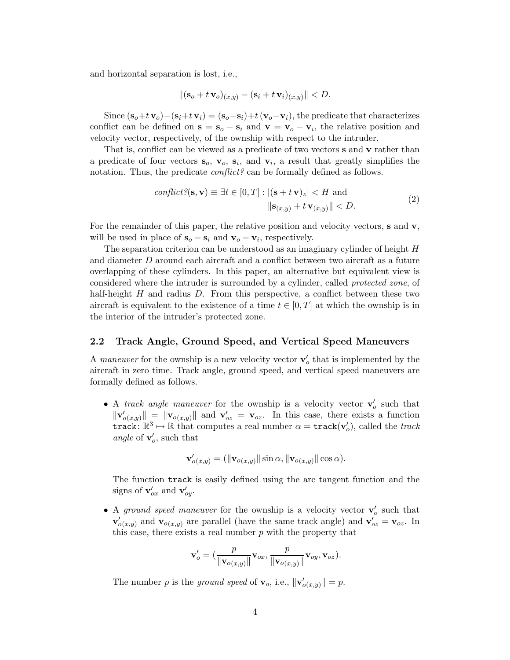and horizontal separation is lost, i.e.,

$$
\|(\mathbf{s}_o + t \,\mathbf{v}_o)_{(x,y)} - (\mathbf{s}_i + t \,\mathbf{v}_i)_{(x,y)}\| < D.
$$

Since  $(s_o+t\mathbf{v}_o)-(s_i+t\mathbf{v}_i)=(s_o-s_i)+t\mathbf{(v}_o-\mathbf{v}_i)$ , the predicate that characterizes conflict can be defined on  $\mathbf{s} = \mathbf{s}_o - \mathbf{s}_i$  and  $\mathbf{v} = \mathbf{v}_o - \mathbf{v}_i$ , the relative position and velocity vector, respectively, of the ownship with respect to the intruder.

That is, conflict can be viewed as a predicate of two vectors s and v rather than a predicate of four vectors  $\mathbf{s}_o, \mathbf{v}_o, \mathbf{s}_i$ , and  $\mathbf{v}_i$ , a result that greatly simplifies the notation. Thus, the predicate *conflict?* can be formally defined as follows.

$$
conflict?(\mathbf{s}, \mathbf{v}) \equiv \exists t \in [0, T] : |(\mathbf{s} + t \mathbf{v})_z| < H \text{ and}
$$
\n
$$
||\mathbf{s}_{(x,y)} + t \mathbf{v}_{(x,y)}|| < D. \tag{2}
$$

For the remainder of this paper, the relative position and velocity vectors,  $\bf{s}$  and  $\bf{v}$ , will be used in place of  $\mathbf{s}_o - \mathbf{s}_i$  and  $\mathbf{v}_o - \mathbf{v}_i$ , respectively.

The separation criterion can be understood as an imaginary cylinder of height H and diameter D around each aircraft and a conflict between two aircraft as a future overlapping of these cylinders. In this paper, an alternative but equivalent view is considered where the intruder is surrounded by a cylinder, called protected zone, of half-height  $H$  and radius  $D$ . From this perspective, a conflict between these two aircraft is equivalent to the existence of a time  $t \in [0, T]$  at which the ownship is in the interior of the intruder's protected zone.

#### <span id="page-9-0"></span>2.2 Track Angle, Ground Speed, and Vertical Speed Maneuvers

A maneuver for the ownship is a new velocity vector  $\mathbf{v}'_o$  that is implemented by the aircraft in zero time. Track angle, ground speed, and vertical speed maneuvers are formally defined as follows.

• A track angle maneuver for the ownship is a velocity vector  $\mathbf{v}'_o$  such that  $\|\mathbf{v}'_{o(x,y)}\| = \|\mathbf{v}_{o(x,y)}\|$  and  $\mathbf{v}'_{oz} = \mathbf{v}_{oz}$ . In this case, there exists a function track:  $\mathbb{R}^3 \mapsto \mathbb{R}$  that computes a real number  $\alpha = \text{track}(v'_o)$ , called the *track* angle of  $\mathbf{v}'_o$ , such that

$$
\mathbf{v}'_{o(x,y)} = (\|\mathbf{v}_{o(x,y)}\| \sin \alpha, \|\mathbf{v}_{o(x,y)}\| \cos \alpha).
$$

The function track is easily defined using the arc tangent function and the signs of  $\mathbf{v}'_{ox}$  and  $\mathbf{v}'_{oy}$ .

• A ground speed maneuver for the ownship is a velocity vector  $\mathbf{v}'_o$  such that  $\mathbf{v}'_{o(x,y)}$  and  $\mathbf{v}_{o(x,y)}$  are parallel (have the same track angle) and  $\mathbf{v}'_{oz} = \mathbf{v}_{oz}$ . In this case, there exists a real number  $p$  with the property that

$$
\mathbf{v}'_o = \left(\frac{p}{\|\mathbf{v}_{o(x,y)}\|}\mathbf{v}_{ox}, \frac{p}{\|\mathbf{v}_{o(x,y)}\|}\mathbf{v}_{oy}, \mathbf{v}_{oz}\right).
$$

The number p is the ground speed of  $\mathbf{v}_o$ , i.e.,  $\|\mathbf{v}'_{o(x,y)}\| = p$ .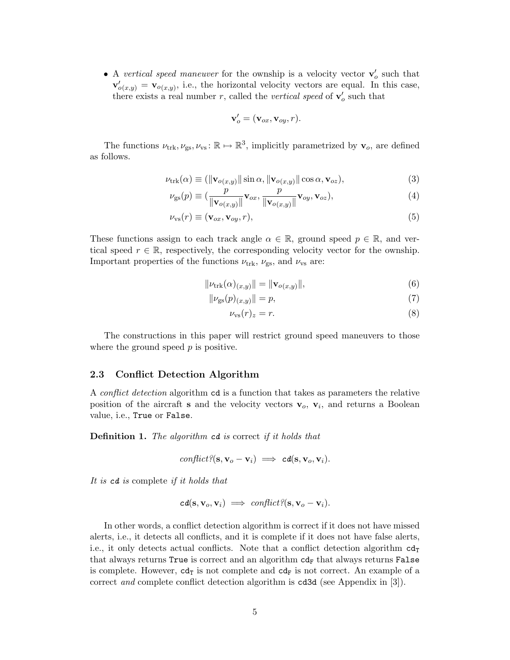• A vertical speed maneuver for the ownship is a velocity vector  $\mathbf{v}'_o$  such that  $\mathbf{v}'_{o(x,y)} = \mathbf{v}_{o(x,y)}$ , i.e., the horizontal velocity vectors are equal. In this case, there exists a real number r, called the *vertical speed* of  $\mathbf{v}'_o$  such that

<span id="page-10-3"></span><span id="page-10-2"></span><span id="page-10-1"></span>
$$
\mathbf{v}'_o = (\mathbf{v}_{ox}, \mathbf{v}_{oy}, r).
$$

The functions  $\nu_{trk}, \nu_{gs}, \nu_{vs}: \mathbb{R} \to \mathbb{R}^3$ , implicitly parametrized by  $\mathbf{v}_o$ , are defined as follows.

$$
\nu_{\text{trk}}(\alpha) \equiv (\|\mathbf{v}_{o(x,y)}\| \sin \alpha, \|\mathbf{v}_{o(x,y)}\| \cos \alpha, \mathbf{v}_{oz}), \tag{3}
$$

$$
\nu_{\rm gs}(p) \equiv \left(\frac{p}{\|\mathbf{v}_{o(x,y)}\|} \mathbf{v}_{ox}, \frac{p}{\|\mathbf{v}_{o(x,y)}\|} \mathbf{v}_{oy}, \mathbf{v}_{oz}\right),\tag{4}
$$

$$
\nu_{\rm vs}(r) \equiv (\mathbf{v}_{ox}, \mathbf{v}_{oy}, r), \tag{5}
$$

These functions assign to each track angle  $\alpha \in \mathbb{R}$ , ground speed  $p \in \mathbb{R}$ , and vertical speed  $r \in \mathbb{R}$ , respectively, the corresponding velocity vector for the ownship. Important properties of the functions  $\nu_{\text{trk}}$ ,  $\nu_{\text{gs}}$ , and  $\nu_{\text{vs}}$  are:

$$
\|\nu_{\text{trk}}(\alpha)_{(x,y)}\| = \|\mathbf{v}_{o(x,y)}\|,\tag{6}
$$

$$
\|\nu_{\rm gs}(p)_{(x,y)}\| = p,\tag{7}
$$

$$
\nu_{\rm vs}(r)_z = r.\tag{8}
$$

The constructions in this paper will restrict ground speed maneuvers to those where the ground speed  $p$  is positive.

#### <span id="page-10-0"></span>2.3 Conflict Detection Algorithm

A conflict detection algorithm cd is a function that takes as parameters the relative position of the aircraft **s** and the velocity vectors  $v_o$ ,  $v_i$ , and returns a Boolean value, i.e., True or False.

Definition 1. The algorithm cd is correct if it holds that

$$
\textit{conflict?}(\mathbf{s}, \mathbf{v}_o - \mathbf{v}_i) \implies \mathit{cd}(\mathbf{s}, \mathbf{v}_o, \mathbf{v}_i).
$$

It is cd is complete if it holds that

$$
cd(\mathbf{s},\mathbf{v}_o,\mathbf{v}_i) \implies conflict\%(\mathbf{s},\mathbf{v}_o-\mathbf{v}_i).
$$

In other words, a conflict detection algorithm is correct if it does not have missed alerts, i.e., it detects all conflicts, and it is complete if it does not have false alerts, i.e., it only detects actual conflicts. Note that a conflict detection algorithm  $cd_T$ that always returns  $True$  is correct and an algorithm  $cd_F$  that always returns False is complete. However,  $cd_T$  is not complete and  $cd_F$  is not correct. An example of a correct and complete conflict detection algorithm is cd3d (see Appendix in [3]).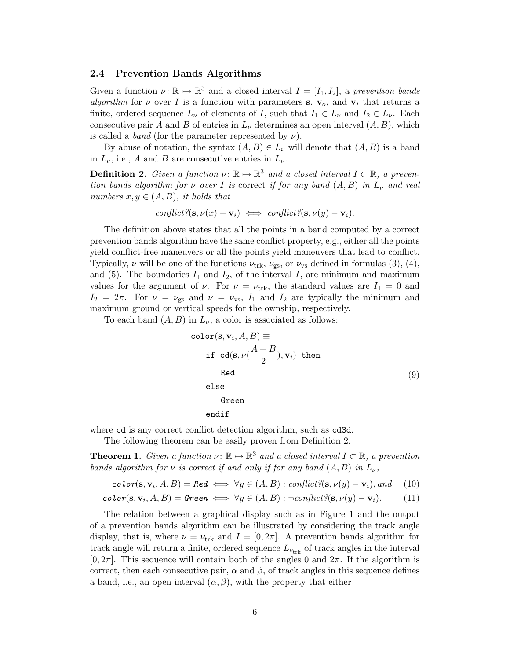#### <span id="page-11-0"></span>2.4 Prevention Bands Algorithms

Given a function  $\nu: \mathbb{R} \to \mathbb{R}^3$  and a closed interval  $I = [I_1, I_2]$ , a prevention bands algorithm for  $\nu$  over I is a function with parameters s,  $\mathbf{v}_o$ , and  $\mathbf{v}_i$  that returns a finite, ordered sequence  $L_{\nu}$  of elements of I, such that  $I_1 \in L_{\nu}$  and  $I_2 \in L_{\nu}$ . Each consecutive pair A and B of entries in  $L_{\nu}$  determines an open interval  $(A, B)$ , which is called a *band* (for the parameter represented by  $\nu$ ).

By abuse of notation, the syntax  $(A, B) \in L_{\nu}$  will denote that  $(A, B)$  is a band in  $L_{\nu}$ , i.e., A and B are consecutive entries in  $L_{\nu}$ .

<span id="page-11-1"></span>**Definition 2.** Given a function  $\nu : \mathbb{R} \to \mathbb{R}^3$  and a closed interval  $I \subset \mathbb{R}$ , a prevention bands algorithm for  $\nu$  over I is correct if for any band  $(A, B)$  in  $L_{\nu}$  and real numbers  $x, y \in (A, B)$ , it holds that

$$
\text{conflict?}(\mathbf{s}, \nu(x) - \mathbf{v}_i) \iff \text{conflict?}(\mathbf{s}, \nu(y) - \mathbf{v}_i).
$$

The definition above states that all the points in a band computed by a correct prevention bands algorithm have the same conflict property, e.g., either all the points yield conflict-free maneuvers or all the points yield maneuvers that lead to conflict. Typically,  $\nu$  will be one of the functions  $\nu_{\text{trk}}$ ,  $\nu_{\text{gs}}$ , or  $\nu_{\text{vs}}$  defined in formulas [\(3\)](#page-10-1), [\(4\)](#page-10-2), and [\(5\)](#page-10-3). The boundaries  $I_1$  and  $I_2$ , of the interval I, are minimum and maximum values for the argument of  $\nu$ . For  $\nu = \nu_{trk}$ , the standard values are  $I_1 = 0$  and  $I_2 = 2\pi$ . For  $\nu = \nu_{gs}$  and  $\nu = \nu_{vs}$ ,  $I_1$  and  $I_2$  are typically the minimum and maximum ground or vertical speeds for the ownship, respectively.

To each band  $(A, B)$  in  $L_{\nu}$ , a color is associated as follows:

<span id="page-11-5"></span><span id="page-11-4"></span><span id="page-11-3"></span>
$$
color(s, v_i, A, B) \equiv
$$
  
if cd(s, v( $\frac{A+B}{2}$ ), v<sub>i</sub>) then  
Red  
else  
Green  
endif (9)

where cd is any correct conflict detection algorithm, such as cd3d.

The following theorem can be easily proven from Definition [2.](#page-11-1)

<span id="page-11-2"></span>**Theorem 1.** Given a function  $\nu : \mathbb{R} \to \mathbb{R}^3$  and a closed interval  $I \subset \mathbb{R}$ , a prevention bands algorithm for  $\nu$  is correct if and only if for any band  $(A, B)$  in  $L_{\nu}$ ,

$$
\mathit{color}(s, v_i, A, B) = \mathit{Red} \iff \forall y \in (A, B) : \mathit{conflict} \mathit{l}(s, \nu(y) - v_i), \mathit{and} \quad (10)
$$

$$
\mathit{color}(s, v_i, A, B) = \mathit{Green} \iff \forall y \in (A, B) : \neg \mathit{conflict?}(s, \nu(y) - v_i). \tag{11}
$$

The relation between a graphical display such as in Figure [1](#page-6-1) and the output of a prevention bands algorithm can be illustrated by considering the track angle display, that is, where  $\nu = \nu_{\text{trk}}$  and  $I = [0, 2\pi]$ . A prevention bands algorithm for track angle will return a finite, ordered sequence  $L_{\nu_{\text{trk}}}$  of track angles in the interval  $[0, 2\pi]$ . This sequence will contain both of the angles 0 and  $2\pi$ . If the algorithm is correct, then each consecutive pair,  $\alpha$  and  $\beta$ , of track angles in this sequence defines a band, i.e., an open interval  $(\alpha, \beta)$ , with the property that either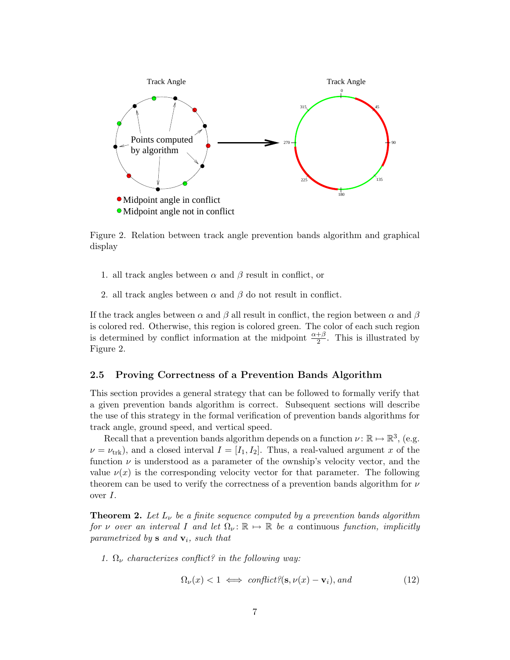

<span id="page-12-1"></span>Figure 2. Relation between track angle prevention bands algorithm and graphical display

- 1. all track angles between  $\alpha$  and  $\beta$  result in conflict, or
- 2. all track angles between  $\alpha$  and  $\beta$  do not result in conflict.

If the track angles between  $\alpha$  and  $\beta$  all result in conflict, the region between  $\alpha$  and  $\beta$ is colored red. Otherwise, this region is colored green. The color of each such region is determined by conflict information at the midpoint  $\frac{\alpha+\beta}{2}$ . This is illustrated by Figure [2.](#page-12-1)

#### <span id="page-12-0"></span>2.5 Proving Correctness of a Prevention Bands Algorithm

This section provides a general strategy that can be followed to formally verify that a given prevention bands algorithm is correct. Subsequent sections will describe the use of this strategy in the formal verification of prevention bands algorithms for track angle, ground speed, and vertical speed.

Recall that a prevention bands algorithm depends on a function  $\nu : \mathbb{R} \to \mathbb{R}^3$ , (e.g.  $\nu = \nu_{\text{trk}}$ , and a closed interval  $I = [I_1, I_2]$ . Thus, a real-valued argument x of the function  $\nu$  is understood as a parameter of the ownship's velocity vector, and the value  $\nu(x)$  is the corresponding velocity vector for that parameter. The following theorem can be used to verify the correctness of a prevention bands algorithm for  $\nu$ over I.

<span id="page-12-2"></span>**Theorem 2.** Let  $L_{\nu}$  be a finite sequence computed by a prevention bands algorithm for v over an interval I and let  $\Omega_{\nu} : \mathbb{R} \mapsto \mathbb{R}$  be a continuous function, implicitly parametrized by s and  $v_i$ , such that

1.  $\Omega_{\nu}$  characterizes conflict? in the following way:

<span id="page-12-3"></span>
$$
\Omega_{\nu}(x) < 1 \iff conflict\%(\mathbf{s}, \nu(x) - \mathbf{v}_i), and \tag{12}
$$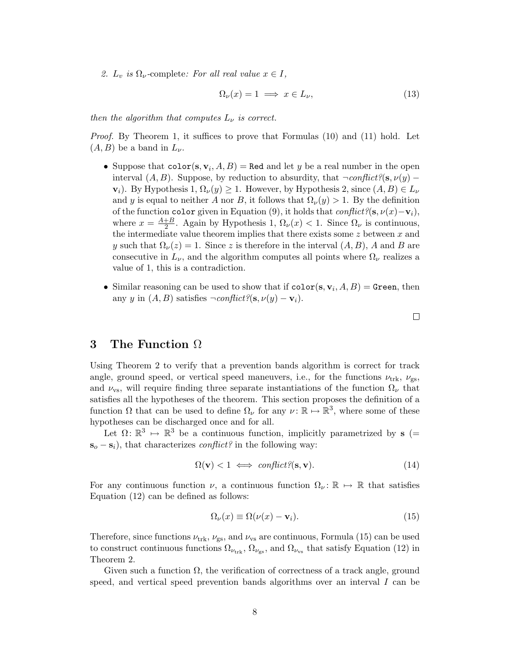2.  $L_v$  is  $\Omega_{\nu}$ -complete: For all real value  $x \in I$ ,

$$
\Omega_{\nu}(x) = 1 \implies x \in L_{\nu},\tag{13}
$$

then the algorithm that computes  $L_{\nu}$  is correct.

Proof. By Theorem [1,](#page-11-2) it suffices to prove that Formulas [\(10\)](#page-11-3) and [\(11\)](#page-11-4) hold. Let  $(A, B)$  be a band in  $L_{\nu}$ .

- Suppose that  $color(s, v_i, A, B)$  = Red and let y be a real number in the open interval  $(A, B)$ . Suppose, by reduction to absurdity, that  $\neg \textit{conflict?}(s, \nu(y) \mathbf{v}_i$ ). By Hypothesis 1,  $\Omega_{\nu}(y) \geq 1$ . However, by Hypothesis 2, since  $(A, B) \in L_{\nu}$ and y is equal to neither A nor B, it follows that  $\Omega_{\nu}(y) > 1$ . By the definition of the function color given in Equation [\(9\)](#page-11-5), it holds that  $conflict$ ?(s,  $\nu(x)-\mathbf{v}_i$ ), where  $x = \frac{A+B}{2}$  $\frac{+B}{2}$ . Again by Hypothesis 1,  $\Omega_{\nu}(x) < 1$ . Since  $\Omega_{\nu}$  is continuous, the intermediate value theorem implies that there exists some  $z$  between  $x$  and y such that  $\Omega_{\nu}(z) = 1$ . Since z is therefore in the interval  $(A, B)$ , A and B are consecutive in  $L_{\nu}$ , and the algorithm computes all points where  $\Omega_{\nu}$  realizes a value of 1, this is a contradiction.
- Similar reasoning can be used to show that if  $color(s, v_i, A, B) =$  Green, then any y in  $(A, B)$  satisfies  $\neg \textit{conflict?}(\mathbf{s}, \nu(y) - \mathbf{v}_i)$ .

## <span id="page-13-0"></span>3 The Function Ω

Using Theorem [2](#page-12-2) to verify that a prevention bands algorithm is correct for track angle, ground speed, or vertical speed maneuvers, i.e., for the functions  $\nu_{trk}, \nu_{gs}$ and  $\nu_{\rm vs}$ , will require finding three separate instantiations of the function  $\Omega_{\nu}$  that satisfies all the hypotheses of the theorem. This section proposes the definition of a function  $\Omega$  that can be used to define  $\Omega_{\nu}$  for any  $\nu: \mathbb{R} \mapsto \mathbb{R}^3$ , where some of these hypotheses can be discharged once and for all.

Let  $\Omega: \mathbb{R}^3 \mapsto \mathbb{R}^3$  be a continuous function, implicitly parametrized by s (=  $\mathbf{s}_o - \mathbf{s}_i$ , that characterizes *conflict?* in the following way:

<span id="page-13-2"></span>
$$
\Omega(\mathbf{v}) < 1 \iff conflict\text{?}(\mathbf{s}, \mathbf{v}).\tag{14}
$$

For any continuous function  $\nu$ , a continuous function  $\Omega_{\nu} \colon \mathbb{R} \to \mathbb{R}$  that satisfies Equation [\(12\)](#page-12-3) can be defined as follows:

<span id="page-13-1"></span>
$$
\Omega_{\nu}(x) \equiv \Omega(\nu(x) - \mathbf{v}_i). \tag{15}
$$

Therefore, since functions  $\nu_{\text{trk}}$ ,  $\nu_{\text{gs}}$ , and  $\nu_{\text{vs}}$  are continuous, Formula [\(15\)](#page-13-1) can be used to construct continuous functions  $\Omega_{\nu_{\rm trk}}$ ,  $\Omega_{\nu_{\rm gs}}$ , and  $\Omega_{\nu_{\rm vs}}$  that satisfy Equation [\(12\)](#page-12-3) in Theorem [2.](#page-12-2)

Given such a function  $\Omega$ , the verification of correctness of a track angle, ground speed, and vertical speed prevention bands algorithms over an interval I can be

 $\Box$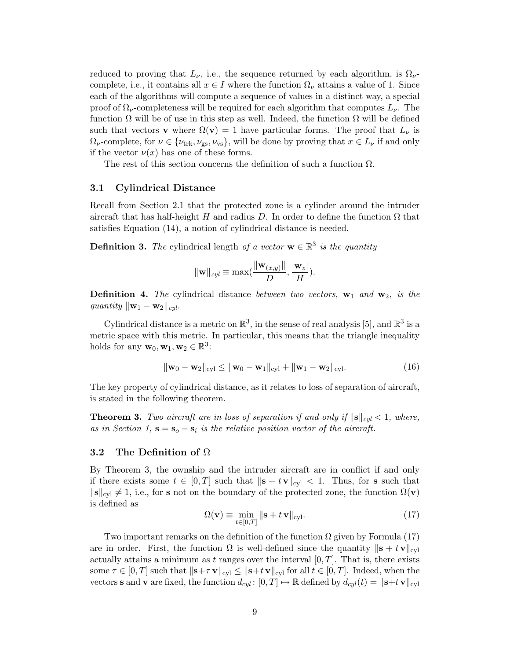reduced to proving that  $L_{\nu}$ , i.e., the sequence returned by each algorithm, is  $\Omega_{\nu}$ complete, i.e., it contains all  $x \in I$  where the function  $\Omega_{\nu}$  attains a value of 1. Since each of the algorithms will compute a sequence of values in a distinct way, a special proof of  $\Omega_{\nu}$ -completeness will be required for each algorithm that computes  $L_{\nu}$ . The function  $\Omega$  will be of use in this step as well. Indeed, the function  $\Omega$  will be defined such that vectors **v** where  $\Omega(\mathbf{v}) = 1$  have particular forms. The proof that  $L_{\nu}$  is  $\Omega_{\nu}$ -complete, for  $\nu \in {\nu_{\rm trk}, \nu_{\rm gs}, \nu_{\rm vs}}$ , will be done by proving that  $x \in L_{\nu}$  if and only if the vector  $\nu(x)$  has one of these forms.

The rest of this section concerns the definition of such a function  $\Omega$ .

## <span id="page-14-0"></span>3.1 Cylindrical Distance

Recall from Section [2.1](#page-8-1) that the protected zone is a cylinder around the intruder aircraft that has half-height H and radius D. In order to define the function  $\Omega$  that satisfies Equation [\(14\)](#page-13-2), a notion of cylindrical distance is needed.

**Definition 3.** The cylindrical length of a vector  $\mathbf{w} \in \mathbb{R}^3$  is the quantity

$$
\|\mathbf{w}\|_{cyl} \equiv \max(\frac{\|\mathbf{w}_{(x,y)}\|}{D}, \frac{|\mathbf{w}_z|}{H}).
$$

**Definition 4.** The cylindrical distance between two vectors,  $w_1$  and  $w_2$ , is the quantity  $\|\mathbf{w}_1 - \mathbf{w}_2\|_{cyl}$ .

Cylindrical distance is a metric on  $\mathbb{R}^3$ , in the sense of real analysis [5], and  $\mathbb{R}^3$  is a metric space with this metric. In particular, this means that the triangle inequality holds for any  $\mathbf{w}_0, \mathbf{w}_1, \mathbf{w}_2 \in \mathbb{R}^3$ :

$$
\|\mathbf{w}_0 - \mathbf{w}_2\|_{\text{cyl}} \le \|\mathbf{w}_0 - \mathbf{w}_1\|_{\text{cyl}} + \|\mathbf{w}_1 - \mathbf{w}_2\|_{\text{cyl}}.\tag{16}
$$

The key property of cylindrical distance, as it relates to loss of separation of aircraft, is stated in the following theorem.

<span id="page-14-2"></span>**Theorem 3.** Two aircraft are in loss of separation if and only if  $||\mathbf{s}||_{\text{cyl}} < 1$ , where, as in Section [1,](#page-7-2)  $\mathbf{s} = \mathbf{s}_0 - \mathbf{s}_i$  is the relative position vector of the aircraft.

#### <span id="page-14-1"></span>3.2 The Definition of Ω

By Theorem [3,](#page-14-2) the ownship and the intruder aircraft are in conflict if and only if there exists some  $t \in [0, T]$  such that  $\|\mathbf{s} + t\mathbf{v}\|_{cyl} < 1$ . Thus, for **s** such that  $\|\mathbf{s}\|_{\text{cyl}} \neq 1$ , i.e., for s not on the boundary of the protected zone, the function  $\Omega(\mathbf{v})$ is defined as

<span id="page-14-3"></span>
$$
\Omega(\mathbf{v}) \equiv \min_{t \in [0,T]} \|\mathbf{s} + t\,\mathbf{v}\|_{\text{cyl}}.\tag{17}
$$

Two important remarks on the definition of the function  $\Omega$  given by Formula [\(17\)](#page-14-3) are in order. First, the function  $\Omega$  is well-defined since the quantity  $\|\mathbf{s} + t\mathbf{v}\|_{\text{cyl}}$ actually attains a minimum as t ranges over the interval  $[0, T]$ . That is, there exists some  $\tau \in [0, T]$  such that  $\|\mathbf{s}+\tau \mathbf{v}\|_{\text{cyl}} \le \|\mathbf{s}+t \mathbf{v}\|_{\text{cyl}}$  for all  $t \in [0, T]$ . Indeed, when the vectors **s** and **v** are fixed, the function  $d_{cyl}$ :  $[0, T] \rightarrow \mathbb{R}$  defined by  $d_{cyl}(t) = ||\mathbf{s}+t\mathbf{v}||_{cvl}$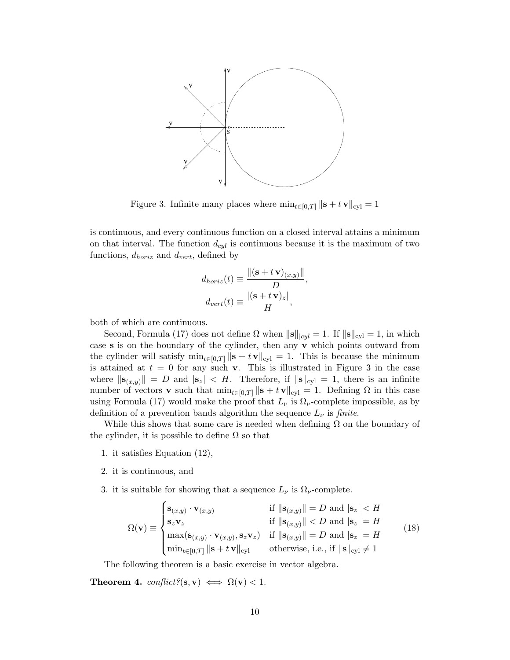

<span id="page-15-0"></span>Figure 3. Infinite many places where  $\min_{t \in [0,T]} ||\mathbf{s} + t \mathbf{v}||_{cyl} = 1$ 

is continuous, and every continuous function on a closed interval attains a minimum on that interval. The function  $d_{cyl}$  is continuous because it is the maximum of two functions,  $d_{horiz}$  and  $d_{vert}$ , defined by

$$
d_{horiz}(t) \equiv \frac{\|(\mathbf{s} + t\,\mathbf{v})_{(x,y)}\|}{D},
$$

$$
d_{vert}(t) \equiv \frac{|(\mathbf{s} + t\,\mathbf{v})_z|}{H},
$$

both of which are continuous.

Second, Formula [\(17\)](#page-14-3) does not define  $\Omega$  when  $\|\mathbf{s}\|_{cyl} = 1$ . If  $\|\mathbf{s}\|_{cyl} = 1$ , in which case s is on the boundary of the cylinder, then any  $\bf{v}$  which points outward from the cylinder will satisfy  $\min_{t \in [0,T]} ||\mathbf{s} + t \mathbf{v}||_{cyl} = 1$ . This is because the minimum is attained at  $t = 0$  for any such v. This is illustrated in Figure [3](#page-15-0) in the case where  $||\mathbf{s}_{(x,y)}|| = D$  and  $|\mathbf{s}_z| < H$ . Therefore, if  $||\mathbf{s}||_{cyl} = 1$ , there is an infinite number of vectors **v** such that  $\min_{t \in [0,T]} ||\mathbf{s} + t \mathbf{v}||_{cyl} = 1$ . Defining  $\Omega$  in this case using Formula [\(17\)](#page-14-3) would make the proof that  $L_{\nu}$  is  $\Omega_{\nu}$ -complete impossible, as by definition of a prevention bands algorithm the sequence  $L_{\nu}$  is finite.

While this shows that some care is needed when defining  $\Omega$  on the boundary of the cylinder, it is possible to define  $\Omega$  so that

- 1. it satisfies Equation [\(12\)](#page-12-3),
- 2. it is continuous, and
- 3. it is suitable for showing that a sequence  $L_{\nu}$  is  $\Omega_{\nu}$ -complete.

$$
\Omega(\mathbf{v}) \equiv \begin{cases}\n\mathbf{s}_{(x,y)} \cdot \mathbf{v}_{(x,y)} & \text{if } ||\mathbf{s}_{(x,y)}|| = D \text{ and } |\mathbf{s}_z| < H \\
\mathbf{s}_z \mathbf{v}_z & \text{if } ||\mathbf{s}_{(x,y)}|| < D \text{ and } |\mathbf{s}_z| = H \\
\max(\mathbf{s}_{(x,y)} \cdot \mathbf{v}_{(x,y)}, \mathbf{s}_z \mathbf{v}_z) & \text{if } ||\mathbf{s}_{(x,y)}|| = D \text{ and } |\mathbf{s}_z| = H \\
\min_{t \in [0,T]} ||\mathbf{s} + t \mathbf{v}||_{\text{cyl}} & \text{otherwise, i.e., if } ||\mathbf{s}||_{\text{cyl}} \neq 1\n\end{cases}
$$
\n(18)

The following theorem is a basic exercise in vector algebra.

<span id="page-15-1"></span>Theorem 4.  $conflict?(\mathbf{s}, \mathbf{v}) \iff \Omega(\mathbf{v}) < 1$ .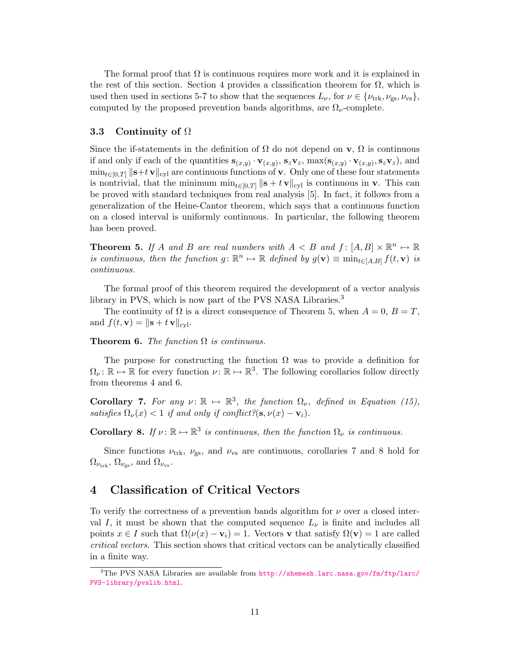The formal proof that  $\Omega$  is continuous requires more work and it is explained in the rest of this section. Section [4](#page-16-1) provides a classification theorem for  $\Omega$ , which is used then used in sections [5](#page-23-0)[-7](#page-41-0) to show that the sequences  $L_{\nu}$ , for  $\nu \in {\nu_{trk}, \nu_{gs}, \nu_{ys}},$ computed by the proposed prevention bands algorithms, are  $\Omega_{\nu}$ -complete.

#### <span id="page-16-0"></span>3.3 Continuity of  $\Omega$

Since the if-statements in the definition of  $\Omega$  do not depend on **v**,  $\Omega$  is continuous if and only if each of the quantities  $\mathbf{s}_{(x,y)} \cdot \mathbf{v}_{(x,y)}$ ,  $\mathbf{s}_z \mathbf{v}_z$ ,  $\max(\mathbf{s}_{(x,y)} \cdot \mathbf{v}_{(x,y)}, \mathbf{s}_z \mathbf{v}_z)$ , and  $\min_{t\in[0,T]}\|\mathbf{s}+t\,\mathbf{v}\|_{\text{cyl}}$  are continuous functions of v. Only one of these four statements is nontrivial, that the minimum  $\min_{t \in [0,T]} ||\mathbf{s} + t \mathbf{v}||_{cyl}$  is continuous in **v**. This can be proved with standard techniques from real analysis [5]. In fact, it follows from a generalization of the Heine-Cantor theorem, which says that a continuous function on a closed interval is uniformly continuous. In particular, the following theorem has been proved.

<span id="page-16-3"></span>**Theorem 5.** If A and B are real numbers with  $A \leq B$  and  $f: [A, B] \times \mathbb{R}^n \mapsto \mathbb{R}$ is continuous, then the function  $g: \mathbb{R}^n \to \mathbb{R}$  defined by  $g(\mathbf{v}) \equiv \min_{t \in [A,B]} f(t, \mathbf{v})$  is continuous.

The formal proof of this theorem required the development of a vector analysis library in PVS, which is now part of the PVS NASA Libraries.<sup>[3](#page-16-2)</sup>

The continuity of  $\Omega$  is a direct consequence of Theorem [5,](#page-16-3) when  $A = 0$ ,  $B = T$ , and  $f(t, \mathbf{v}) = ||\mathbf{s} + t \mathbf{v}||_{cyl}$ .

<span id="page-16-4"></span>**Theorem 6.** The function  $\Omega$  is continuous.

The purpose for constructing the function  $\Omega$  was to provide a definition for  $\Omega_{\nu} \colon \mathbb{R} \to \mathbb{R}$  for every function  $\nu \colon \mathbb{R} \to \mathbb{R}^3$ . The following corollaries follow directly from theorems [4](#page-15-1) and [6.](#page-16-4)

<span id="page-16-5"></span>**Corollary 7.** For any  $\nu: \mathbb{R} \mapsto \mathbb{R}^3$ , the function  $\Omega_{\nu}$ , defined in Equation [\(15\)](#page-13-1), satisfies  $\Omega_{\nu}(x) < 1$  if and only if conflict?(s,  $\nu(x) - \mathbf{v}_i$ ).

<span id="page-16-6"></span>**Corollary 8.** If  $\nu: \mathbb{R} \to \mathbb{R}^3$  is continuous, then the function  $\Omega_{\nu}$  is continuous.

Since functions  $\nu_{\text{trk}}$ ,  $\nu_{\text{gs}}$ , and  $\nu_{\text{vs}}$  are continuous, corollaries [7](#page-16-5) and [8](#page-16-6) hold for  $\Omega_{\nu_{\text{trk}}}, \Omega_{\nu_{\text{gs}}}$ , and  $\Omega_{\nu_{\text{vs}}}$ .

## <span id="page-16-1"></span>4 Classification of Critical Vectors

To verify the correctness of a prevention bands algorithm for  $\nu$  over a closed interval I, it must be shown that the computed sequence  $L_{\nu}$  is finite and includes all points  $x \in I$  such that  $\Omega(\nu(x) - \mathbf{v}_i) = 1$ . Vectors v that satisfy  $\Omega(\mathbf{v}) = 1$  are called critical vectors. This section shows that critical vectors can be analytically classified in a finite way.

<span id="page-16-2"></span><sup>3</sup>The PVS NASA Libraries are available from [http://shemesh.larc.nasa.gov/fm/ftp/larc/](http://shemesh.larc.nasa.gov/fm/ftp/larc/PVS-library/pvslib.html) [PVS-library/pvslib.html](http://shemesh.larc.nasa.gov/fm/ftp/larc/PVS-library/pvslib.html).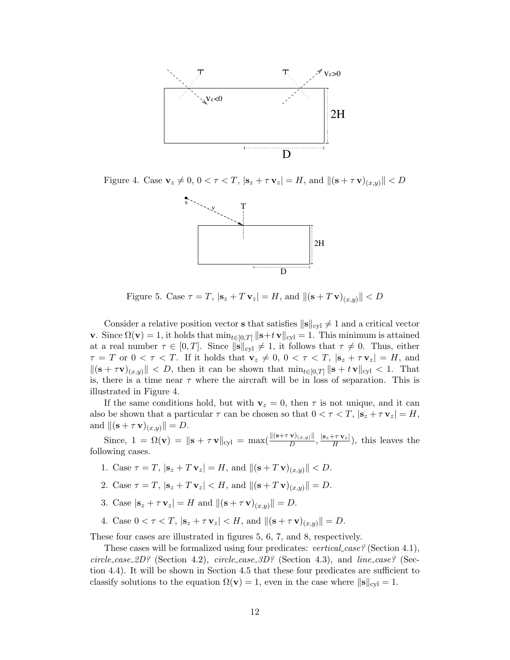

Figure 4. Case  $\mathbf{v}_z \neq 0$ ,  $0 < \tau < T$ ,  $|\mathbf{s}_z + \tau \mathbf{v}_z| = H$ , and  $||(\mathbf{s} + \tau \mathbf{v})_{(x,y)}|| < D$ 

<span id="page-17-0"></span>

<span id="page-17-1"></span>Figure 5. Case  $\tau = T$ ,  $|\mathbf{s}_z + T \mathbf{v}_z| = H$ , and  $||(\mathbf{s} + T \mathbf{v})_{(x,y)}|| < D$ 

Consider a relative position vector **s** that satisfies  $\|\mathbf{s}\|_{\text{cyl}} \neq 1$  and a critical vector **v**. Since  $\Omega(\mathbf{v}) = 1$ , it holds that  $\min_{t \in [0,T]} ||\mathbf{s} + t \mathbf{v}||_{\text{cyl}} = 1$ . This minimum is attained at a real number  $\tau \in [0, T]$ . Since  $\|\mathbf{s}\|_{\text{cyl}} \neq 1$ , it follows that  $\tau \neq 0$ . Thus, either  $\tau = T$  or  $0 < \tau < T$ . If it holds that  $\mathbf{v}_z \neq 0$ ,  $0 < \tau < T$ ,  $|\mathbf{s}_z + \tau \mathbf{v}_z| = H$ , and  $\|(\mathbf{s} + \tau \mathbf{v})_{(x,y)}\|$  < D, then it can be shown that  $\min_{t \in [0,T]} \|\mathbf{s} + t \mathbf{v}\|_{\text{cyl}}$  < 1. That is, there is a time near  $\tau$  where the aircraft will be in loss of separation. This is illustrated in Figure [4.](#page-17-0)

If the same conditions hold, but with  $v_z = 0$ , then  $\tau$  is not unique, and it can also be shown that a particular  $\tau$  can be chosen so that  $0 < \tau < T$ ,  $|\mathbf{s}_z + \tau \mathbf{v}_z| = H$ , and  $||({\bf s} + \tau {\bf v})_{(x,y)}|| = D.$ 

Since,  $1 = \Omega(\mathbf{v}) = \|\mathbf{s} + \tau \mathbf{v}\|_{cyl} = \max(\frac{\|(\mathbf{s} + \tau \mathbf{v})_{(x,y)}\|}{D}, \frac{|\mathbf{s}_z + \tau \mathbf{v}_z|}{H})$  $\frac{H^{\dagger} \nabla z}{H}$ , this leaves the following cases.

- <span id="page-17-2"></span>1. Case  $\tau = T$ ,  $|\mathbf{s}_z + T \mathbf{v}_z| = H$ , and  $||(\mathbf{s} + T \mathbf{v})_{(x,y)}|| < D$ .
- <span id="page-17-3"></span>2. Case  $\tau = T$ ,  $|\mathbf{s}_z + T \mathbf{v}_z| < H$ , and  $||(\mathbf{s} + T \mathbf{v})_{(x,y)}|| = D$ .
- <span id="page-17-4"></span>3. Case  $|\mathbf{s}_z + \tau \mathbf{v}_z| = H$  and  $||(\mathbf{s} + \tau \mathbf{v})_{(x,y)}|| = D$ .
- <span id="page-17-5"></span>4. Case  $0 < \tau < T$ ,  $|\mathbf{s}_z + \tau \mathbf{v}_z| < H$ , and  $||(\mathbf{s} + \tau \mathbf{v})_{(x,y)}|| = D$ .

These four cases are illustrated in figures [5,](#page-17-1) [6,](#page-18-0) [7,](#page-18-1) and [8,](#page-18-2) respectively.

These cases will be formalized using four predicates:  $vertical\_case$ ? (Section [4.1\)](#page-19-0), circle\_case\_2D? (Section [4.2\)](#page-19-1), circle\_case\_3D? (Section [4.3\)](#page-19-2), and line\_case? (Section [4.4\)](#page-20-0). It will be shown in Section [4.5](#page-21-0) that these four predicates are sufficient to classify solutions to the equation  $\Omega(\mathbf{v}) = 1$ , even in the case where  $\|\mathbf{s}\|_{\text{cyl}} = 1$ .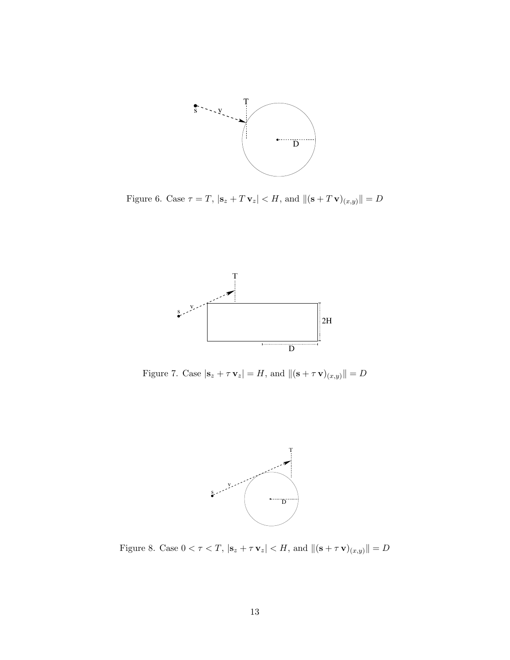

<span id="page-18-0"></span>Figure 6. Case  $\tau = T$ ,  $|\mathbf{s}_z + T \mathbf{v}_z| < H$ , and  $||(\mathbf{s} + T \mathbf{v})_{(x,y)}|| = D$ 



<span id="page-18-1"></span>Figure 7. Case  $|\mathbf{s}_z + \tau \mathbf{v}_z| = H$ , and  $||(\mathbf{s} + \tau \mathbf{v})_{(x,y)}|| = D$ 



<span id="page-18-2"></span>Figure 8. Case  $0 < \tau < T$ ,  $|\mathbf{s}_z + \tau \mathbf{v}_z| < H$ , and  $||(\mathbf{s} + \tau \mathbf{v})_{(x,y)}|| = D$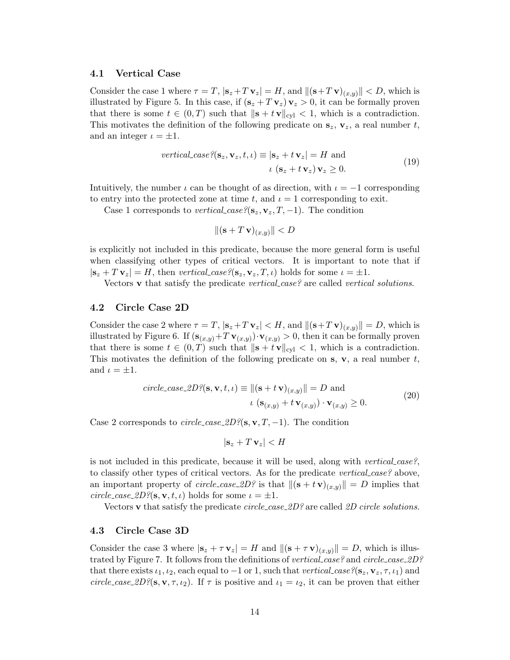#### <span id="page-19-0"></span>4.1 Vertical Case

Consider the case [1](#page-17-2) where  $\tau = T$ ,  $|\mathbf{s}_z + T \mathbf{v}_z| = H$ , and  $||(\mathbf{s} + T \mathbf{v})_{(x,y)}|| < D$ , which is illustrated by Figure [5.](#page-17-1) In this case, if  $(\mathbf{s}_z + T \mathbf{v}_z) \mathbf{v}_z > 0$ , it can be formally proven that there is some  $t \in (0, T)$  such that  $\|\mathbf{s} + t\mathbf{v}\|_{\text{cyl}} < 1$ , which is a contradiction. This motivates the definition of the following predicate on  $\mathbf{s}_z$ ,  $\mathbf{v}_z$ , a real number t, and an integer  $\iota = \pm 1$ .

*vertical-case?*(
$$
\mathbf{s}_z, \mathbf{v}_z, t, \iota
$$
)  $\equiv |\mathbf{s}_z + t \mathbf{v}_z| = H$  and  

$$
\iota (\mathbf{s}_z + t \mathbf{v}_z) \mathbf{v}_z \ge 0.
$$
 (19)

<span id="page-19-3"></span>Intuitively, the number  $\iota$  can be thought of as direction, with  $\iota = -1$  corresponding to entry into the protected zone at time t, and  $\iota = 1$  corresponding to exit.

Case [1](#page-17-2) corresponds to vertical case?( $\mathbf{s}_z$ ,  $\mathbf{v}_z$ ,  $T$ , -1). The condition

$$
\|(\mathbf{s} + T\,\mathbf{v})_{(x,y)}\| < D
$$

is explicitly not included in this predicate, because the more general form is useful when classifying other types of critical vectors. It is important to note that if  $|\mathbf{s}_z + T \mathbf{v}_z| = H$ , then vertical case? $(\mathbf{s}_z, \mathbf{v}_z, T, \iota)$  holds for some  $\iota = \pm 1$ .

Vectors **v** that satisfy the predicate vertical case? are called vertical solutions.

#### <span id="page-19-1"></span>4.2 Circle Case 2D

Consider the case [2](#page-17-3) where  $\tau = T$ ,  $|\mathbf{s}_z + T \mathbf{v}_z| < H$ , and  $||(\mathbf{s} + T \mathbf{v})_{(x,y)}|| = D$ , which is illustrated by Figure [6.](#page-18-0) If  $(\mathbf{s}_{(x,y)} + T \mathbf{v}_{(x,y)}) \cdot \mathbf{v}_{(x,y)} > 0$ , then it can be formally proven that there is some  $t \in (0, T)$  such that  $\|\mathbf{s} + t\mathbf{v}\|_{\text{cyl}} < 1$ , which is a contradiction. This motivates the definition of the following predicate on s,  $\bf{v}$ , a real number t, and  $\iota = \pm 1$ .

$$
circle\_case\_2D\text{?}(\mathbf{s}, \mathbf{v}, t, \iota) \equiv ||(\mathbf{s} + t\mathbf{v})_{(x,y)}|| = D \text{ and}
$$

$$
\iota(\mathbf{s}_{(x,y)} + t\mathbf{v}_{(x,y)}) \cdot \mathbf{v}_{(x,y)} \ge 0.
$$
(20)

Case [2](#page-17-3) corresponds to *circle\_case\_2D?*( $\mathbf{s}, \mathbf{v}, T, -1$ ). The condition

$$
|\mathbf{s}_z + T \,\mathbf{v}_z| < H
$$

is not included in this predicate, because it will be used, along with vertical case?, to classify other types of critical vectors. As for the predicate vertical case? above, an important property of *circle\_case\_2D?* is that  $\|(\mathbf{s} + t \mathbf{v})_{(x,y)}\| = D$  implies that circle\_case\_2D?(s, v, t, t) holds for some  $\iota = \pm 1$ .

Vectors **v** that satisfy the predicate *circle\_case\_2D*? are called 2D circle solutions.

#### <span id="page-19-2"></span>4.3 Circle Case 3D

Consider the case [3](#page-17-4) where  $|\mathbf{s}_z + \tau \mathbf{v}_z| = H$  and  $||(\mathbf{s} + \tau \mathbf{v})_{(x,y)}|| = D$ , which is illus-trated by Figure [7.](#page-18-1) It follows from the definitions of vertical case? and circle\_case\_2D? that there exists  $\iota_1, \iota_2$ , each equal to  $-1$  or 1, such that vertical case?( $\mathbf{s}_z, \mathbf{v}_z, \tau, \iota_1$ ) and circle case 2D?(s,  $\mathbf{v}, \tau, \iota_2$ ). If  $\tau$  is positive and  $\iota_1 = \iota_2$ , it can be proven that either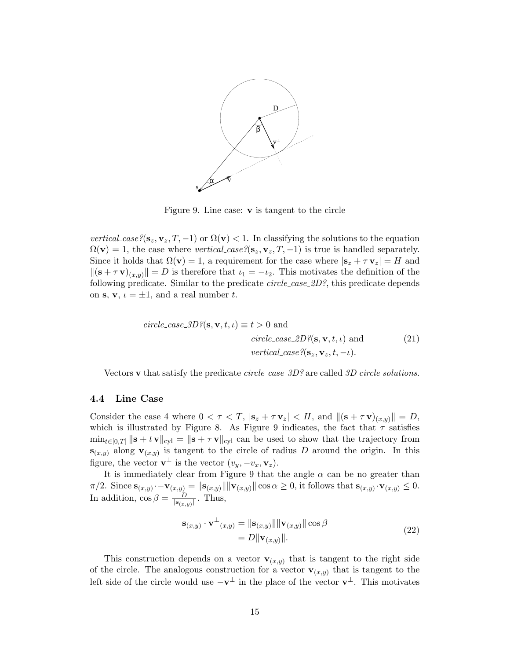

<span id="page-20-1"></span>Figure 9. Line case: v is tangent to the circle

vertical case?( $s_z, v_z, T, -1$ ) or  $\Omega(v) < 1$ . In classifying the solutions to the equation  $\Omega(\mathbf{v}) = 1$ , the case where vertical case?( $\mathbf{s}_z$ ,  $\mathbf{v}_z$ , T, -1) is true is handled separately. Since it holds that  $\Omega(\mathbf{v}) = 1$ , a requirement for the case where  $|\mathbf{s}_z + \tau \mathbf{v}_z| = H$  and  $\|(s + \tau \mathbf{v})_{(x,y)}\| = D$  is therefore that  $\iota_1 = -\iota_2$ . This motivates the definition of the following predicate. Similar to the predicate *circle\_case\_2D?*, this predicate depends on s, v,  $\iota = \pm 1$ , and a real number t.

$$
circle\_case\_3D\text{?}(\mathbf{s}, \mathbf{v}, t, \iota) \equiv t > 0 \text{ and}
$$

$$
circle\_case\_2D\text{?}(\mathbf{s}, \mathbf{v}, t, \iota) \text{ and}
$$

$$
vertical\_case\text{?}(\mathbf{s}_z, \mathbf{v}_z, t, -\iota).
$$

$$
(21)
$$

<span id="page-20-2"></span>Vectors **v** that satisfy the predicate *circle\_case\_3D?* are called 3D circle solutions.

#### <span id="page-20-0"></span>4.4 Line Case

Consider the case [4](#page-17-5) where  $0 < \tau < T$ ,  $|\mathbf{s}_z + \tau \mathbf{v}_z| < H$ , and  $||(\mathbf{s} + \tau \mathbf{v})_{(x,y)}|| = D$ , which is illustrated by Figure [8.](#page-18-2) As Figure [9](#page-20-1) indicates, the fact that  $\tau$  satisfies  $\min_{t \in [0,T]} ||\mathbf{s} + t \mathbf{v}||_{cyl} = ||\mathbf{s} + \tau \mathbf{v}||_{cyl}$  can be used to show that the trajectory from  $\mathbf{s}_{(x,y)}$  along  $\mathbf{v}_{(x,y)}$  is tangent to the circle of radius D around the origin. In this figure, the vector  $\mathbf{v}^{\perp}$  is the vector  $(v_y, -v_x, \mathbf{v}_z)$ .

It is immediately clear from Figure [9](#page-20-1) that the angle  $\alpha$  can be no greater than  $\pi/2$ . Since  $\mathbf{s}_{(x,y)}\cdot-\mathbf{v}_{(x,y)}=\|\mathbf{s}_{(x,y)}\|\|\mathbf{v}_{(x,y)}\|\cos\alpha\geq 0$ , it follows that  $\mathbf{s}_{(x,y)}\cdot\mathbf{v}_{(x,y)}\leq 0$ . In addition,  $\cos \beta = \frac{D}{\|\mathbf{s}\|}$  $\frac{D}{\|\mathbf{s}_{(x,y)}\|}$ . Thus,

$$
\mathbf{s}_{(x,y)} \cdot \mathbf{v}^{\perp}(x,y) = \|\mathbf{s}_{(x,y)}\| \|\mathbf{v}_{(x,y)}\| \cos \beta
$$
  
=  $D \|\mathbf{v}_{(x,y)}\|.$  (22)

This construction depends on a vector  $\mathbf{v}_{(x,y)}$  that is tangent to the right side of the circle. The analogous construction for a vector  $\mathbf{v}_{(x,y)}$  that is tangent to the left side of the circle would use  $-\mathbf{v}^{\perp}$  in the place of the vector  $\mathbf{v}^{\perp}$ . This motivates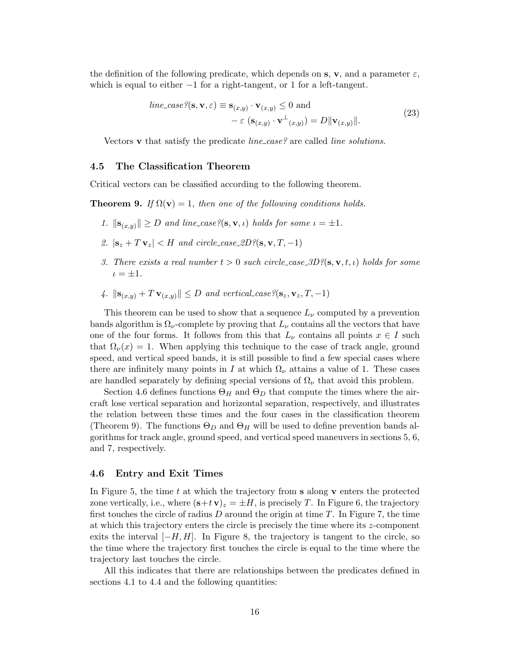the definition of the following predicate, which depends on s, v, and a parameter  $\varepsilon$ , which is equal to either  $-1$  for a right-tangent, or 1 for a left-tangent.

$$
line\_case^{\circ}(\mathbf{s}, \mathbf{v}, \varepsilon) \equiv \mathbf{s}_{(x,y)} \cdot \mathbf{v}_{(x,y)} \le 0 \text{ and}
$$
  

$$
- \varepsilon (\mathbf{s}_{(x,y)} \cdot \mathbf{v}^{\perp}_{(x,y)}) = D \|\mathbf{v}_{(x,y)}\|.
$$
 (23)

Vectors **v** that satisfy the predicate *line\_case?* are called *line solutions*.

#### <span id="page-21-0"></span>4.5 The Classification Theorem

Critical vectors can be classified according to the following theorem.

<span id="page-21-2"></span>**Theorem 9.** If  $\Omega(\mathbf{v}) = 1$ , then one of the following conditions holds.

- 1.  $\|\mathbf{s}_{(x,u)}\| \ge D$  and line case?( $\mathbf{s}, \mathbf{v}, \iota$ ) holds for some  $\iota = \pm 1$ .
- 2.  $|\mathbf{s}_z + T \mathbf{v}_z|$  < H and circle\_case\_2D?( $\mathbf{s}, \mathbf{v}, T, -1$ )
- 3. There exists a real number  $t > 0$  such circle case 3D?(s, v, t, t) holds for some  $\iota = \pm 1.$
- 4.  $\|\mathbf{s}_{(x,y)} + T \mathbf{v}_{(x,y)}\| \le D$  and vertical case?( $\mathbf{s}_z$ ,  $\mathbf{v}_z$ ,  $T$ , -1)

This theorem can be used to show that a sequence  $L_{\nu}$  computed by a prevention bands algorithm is  $\Omega_{\nu}$ -complete by proving that  $L_{\nu}$  contains all the vectors that have one of the four forms. It follows from this that  $L_{\nu}$  contains all points  $x \in I$  such that  $\Omega_{\nu}(x) = 1$ . When applying this technique to the case of track angle, ground speed, and vertical speed bands, it is still possible to find a few special cases where there are infinitely many points in I at which  $\Omega_{\nu}$  attains a value of 1. These cases are handled separately by defining special versions of  $\Omega_{\nu}$  that avoid this problem.

Section [4.6](#page-21-1) defines functions  $\Theta_H$  and  $\Theta_D$  that compute the times where the aircraft lose vertical separation and horizontal separation, respectively, and illustrates the relation between these times and the four cases in the classification theorem (Theorem [9\)](#page-21-2). The functions  $\Theta_D$  and  $\Theta_H$  will be used to define prevention bands algorithms for track angle, ground speed, and vertical speed maneuvers in sections [5,](#page-23-0) [6,](#page-34-0) and [7,](#page-41-0) respectively.

#### <span id="page-21-1"></span>4.6 Entry and Exit Times

In Figure [5,](#page-17-1) the time  $t$  at which the trajectory from  $s$  along  $v$  enters the protected zone vertically, i.e., where  $(s+t\mathbf{v})_z = \pm H$ , is precisely T. In Figure [6,](#page-18-0) the trajectory first touches the circle of radius D around the origin at time  $T$ . In Figure [7,](#page-18-1) the time at which this trajectory enters the circle is precisely the time where its z-component exits the interval  $[-H, H]$ . In Figure [8,](#page-18-2) the trajectory is tangent to the circle, so the time where the trajectory first touches the circle is equal to the time where the trajectory last touches the circle.

All this indicates that there are relationships between the predicates defined in sections [4.1](#page-19-0) to [4.4](#page-20-0) and the following quantities: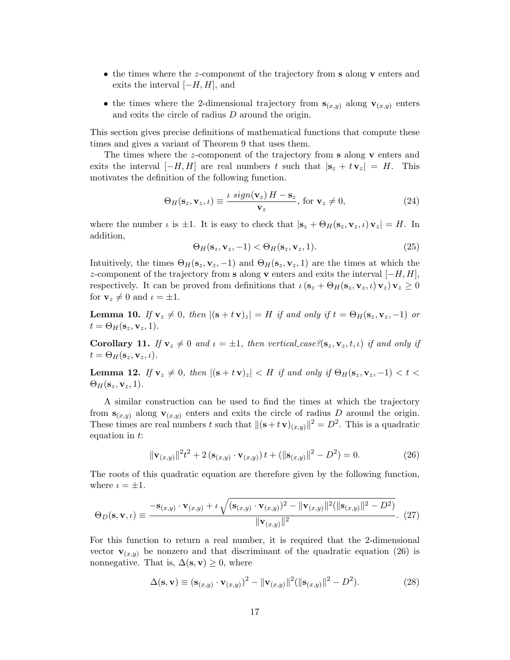- the times where the z-component of the trajectory from s along v enters and exits the interval  $[-H, H]$ , and
- the times where the 2-dimensional trajectory from  $s_{(x,y)}$  along  $v_{(x,y)}$  enters and exits the circle of radius D around the origin.

This section gives precise definitions of mathematical functions that compute these times and gives a variant of Theorem [9](#page-21-2) that uses them.

The times where the z-component of the trajectory from s along  $\bf{v}$  enters and exits the interval  $[-H, H]$  are real numbers t such that  $|s_z + t v_z| = H$ . This motivates the definition of the following function.

$$
\Theta_H(\mathbf{s}_z, \mathbf{v}_z, \iota) \equiv \frac{\iota \, sign(\mathbf{v}_z) \, H - \mathbf{s}_z}{\mathbf{v}_z}, \text{ for } \mathbf{v}_z \neq 0,
$$
\n(24)

where the number  $\iota$  is  $\pm 1$ . It is easy to check that  $|\mathbf{s}_z + \Theta_H(\mathbf{s}_z, \mathbf{v}_z, \iota) \mathbf{v}_z| = H$ . In addition,

$$
\Theta_H(\mathbf{s}_z, \mathbf{v}_z, -1) < \Theta_H(\mathbf{s}_z, \mathbf{v}_z, 1). \tag{25}
$$

Intuitively, the times  $\Theta_H(\mathbf{s}_z, \mathbf{v}_z, -1)$  and  $\Theta_H(\mathbf{s}_z, \mathbf{v}_z, 1)$  are the times at which the z-component of the trajectory from s along v enters and exits the interval  $[-H, H]$ , respectively. It can be proved from definitions that  $\iota(\mathbf{s}_z + \Theta_H(\mathbf{s}_z, \mathbf{v}_z, \iota) \mathbf{v}_z) \mathbf{v}_z \geq 0$ for  $\mathbf{v}_z \neq 0$  and  $\iota = \pm 1$ .

**Lemma 10.** If  $\mathbf{v}_z \neq 0$ , then  $|(\mathbf{s} + t \mathbf{v})_z| = H$  if and only if  $t = \Theta_H(\mathbf{s}_z, \mathbf{v}_z, -1)$  or  $t = \Theta_H(\mathbf{s}_z, \mathbf{v}_z, 1).$ 

<span id="page-22-1"></span>**Corollary 11.** If  $\mathbf{v}_z \neq 0$  and  $\iota = \pm 1$ , then vertical case?( $\mathbf{s}_z$ ,  $\mathbf{v}_z$ ,  $t$ ,  $\iota$ ) if and only if  $t = \Theta_H(\mathbf{s}_z, \mathbf{v}_z, \iota).$ 

<span id="page-22-2"></span>Lemma 12. If  $v_z \neq 0$ , then  $|(\mathbf{s} + t \mathbf{v})_z| < H$  if and only if  $\Theta_H(\mathbf{s}_z, \mathbf{v}_z, -1) < t <$  $\Theta_H(\mathbf{s}_z, \mathbf{v}_z, 1).$ 

A similar construction can be used to find the times at which the trajectory from  $\mathbf{s}_{(x,y)}$  along  $\mathbf{v}_{(x,y)}$  enters and exits the circle of radius D around the origin. These times are real numbers t such that  $\|(\mathbf{s} + t\mathbf{v})_{(x,y)}\|^2 = D^2$ . This is a quadratic equation in t:

<span id="page-22-0"></span>
$$
\|\mathbf{v}_{(x,y)}\|^2 t^2 + 2\left(\mathbf{s}_{(x,y)} \cdot \mathbf{v}_{(x,y)}\right) t + (\|\mathbf{s}_{(x,y)}\|^2 - D^2) = 0. \tag{26}
$$

The roots of this quadratic equation are therefore given by the following function, where  $\iota = \pm 1$ .

$$
\Theta_D(\mathbf{s}, \mathbf{v}, t) \equiv \frac{-\mathbf{s}_{(x,y)} \cdot \mathbf{v}_{(x,y)} + t \sqrt{(\mathbf{s}_{(x,y)} \cdot \mathbf{v}_{(x,y)})^2 - ||\mathbf{v}_{(x,y)}||^2 (||\mathbf{s}_{(x,y)}||^2 - D^2)}}{||\mathbf{v}_{(x,y)}||^2},
$$
(27)

For this function to return a real number, it is required that the 2-dimensional vector  $\mathbf{v}_{(x,y)}$  be nonzero and that discriminant of the quadratic equation [\(26\)](#page-22-0) is nonnegative. That is,  $\Delta(\mathbf{s}, \mathbf{v}) \geq 0$ , where

$$
\Delta(\mathbf{s}, \mathbf{v}) \equiv (\mathbf{s}_{(x,y)} \cdot \mathbf{v}_{(x,y)})^2 - ||\mathbf{v}_{(x,y)}||^2 (||\mathbf{s}_{(x,y)}||^2 - D^2).
$$
 (28)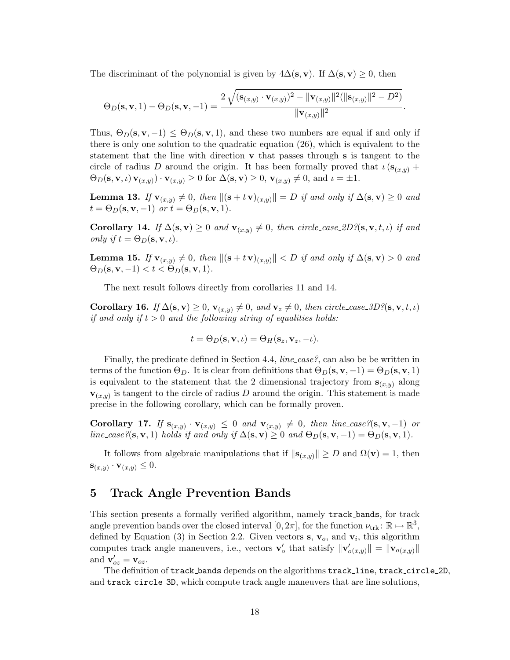The discriminant of the polynomial is given by  $4\Delta(s, \mathbf{v})$ . If  $\Delta(s, \mathbf{v}) \geq 0$ , then

$$
\Theta_D(\mathbf{s}, \mathbf{v}, 1) - \Theta_D(\mathbf{s}, \mathbf{v}, -1) = \frac{2\sqrt{(\mathbf{s}_{(x,y)} \cdot \mathbf{v}_{(x,y)})^2 - ||\mathbf{v}_{(x,y)}||^2 (||\mathbf{s}_{(x,y)}||^2 - D^2)}}{||\mathbf{v}_{(x,y)}||^2}.
$$

Thus,  $\Theta_D(s, v, -1) \leq \Theta_D(s, v, 1)$ , and these two numbers are equal if and only if there is only one solution to the quadratic equation [\(26\)](#page-22-0), which is equivalent to the statement that the line with direction v that passes through s is tangent to the circle of radius D around the origin. It has been formally proved that  $\iota(\mathbf{s}_{(x,y)} + \mathbf{c}_{(x,y)})$  $\Theta_D(\mathbf{s}, \mathbf{v}, \iota) \mathbf{v}_{(x,y)}) \cdot \mathbf{v}_{(x,y)} \ge 0$  for  $\Delta(\mathbf{s}, \mathbf{v}) \ge 0$ ,  $\mathbf{v}_{(x,y)} \ne 0$ , and  $\iota = \pm 1$ .

<span id="page-23-2"></span>**Lemma 13.** If  $\mathbf{v}_{(x,y)} \neq 0$ , then  $\|(\mathbf{s} + t \mathbf{v})_{(x,y)}\| = D$  if and only if  $\Delta(\mathbf{s}, \mathbf{v}) \geq 0$  and  $t = \Theta_D(\mathbf{s}, \mathbf{v}, -1)$  or  $t = \Theta_D(\mathbf{s}, \mathbf{v}, 1)$ .

<span id="page-23-1"></span>Corollary 14. If  $\Delta(s, v) \geq 0$  and  $v_{(x,y)} \neq 0$ , then circle\_case\_2D?(s, v, t, t) if and only if  $t = \Theta_D(\mathbf{s}, \mathbf{v}, \iota)$ .

<span id="page-23-3"></span>Lemma 15. If  $\mathbf{v}_{(x,y)} \neq 0$ , then  $\|(\mathbf{s} + t \mathbf{v})_{(x,y)}\| < D$  if and only if  $\Delta(\mathbf{s}, \mathbf{v}) > 0$  and  $\Theta_D(\mathbf{s}, \mathbf{v}, -1) < t < \Theta_D(\mathbf{s}, \mathbf{v}, 1).$ 

The next result follows directly from corollaries [11](#page-22-1) and [14.](#page-23-1)

Corollary 16. If  $\Delta(\mathbf{s}, \mathbf{v}) \geq 0$ ,  $\mathbf{v}_{(x,y)} \neq 0$ , and  $\mathbf{v}_z \neq 0$ , then circle\_case\_3D?( $\mathbf{s}, \mathbf{v}, t, \iota$ ) if and only if  $t > 0$  and the following string of equalities holds:

$$
t = \Theta_D(\mathbf{s}, \mathbf{v}, t) = \Theta_H(\mathbf{s}_z, \mathbf{v}_z, -t).
$$

Finally, the predicate defined in Section [4.4,](#page-20-0)  $line\_case$ ?, can also be be written in terms of the function  $\Theta_D$ . It is clear from definitions that  $\Theta_D(s, v, -1) = \Theta_D(s, v, 1)$ is equivalent to the statement that the 2 dimensional trajectory from  $s_{(x,y)}$  along  $\mathbf{v}_{(x,y)}$  is tangent to the circle of radius D around the origin. This statement is made precise in the following corollary, which can be formally proven.

<span id="page-23-4"></span>Corollary 17. If  $s_{(x,y)} \cdot v_{(x,y)} \leq 0$  and  $v_{(x,y)} \neq 0$ , then line\_case?(s, v, -1) or line\_case?(s, v, 1) holds if and only if  $\Delta(s, v) \geq 0$  and  $\Theta_D(s, v, -1) = \Theta_D(s, v, 1)$ .

It follows from algebraic manipulations that if  $\|\mathbf{s}_{(x,y)}\| \ge D$  and  $\Omega(\mathbf{v}) = 1$ , then  $\mathbf{s}_{(x,y)} \cdot \mathbf{v}_{(x,y)} \leq 0.$ 

## <span id="page-23-0"></span>5 Track Angle Prevention Bands

This section presents a formally verified algorithm, namely track bands, for track angle prevention bands over the closed interval  $[0, 2\pi]$ , for the function  $\nu_{trk} \colon \mathbb{R} \to \mathbb{R}^3$ , defined by Equation [\(3\)](#page-10-1) in Section [2.2.](#page-9-0) Given vectors  $s, v_0$ , and  $v_i$ , this algorithm computes track angle maneuvers, i.e., vectors  $\mathbf{v}'_o$  that satisfy  $\|\mathbf{v}'_{o(x,y)}\| = \|\mathbf{v}_{o(x,y)}\|$ and  $\mathbf{v}'_{oz} = \mathbf{v}_{oz}$ .

The definition of track bands depends on the algorithms track line, track circle 2D, and track circle 3D, which compute track angle maneuvers that are line solutions,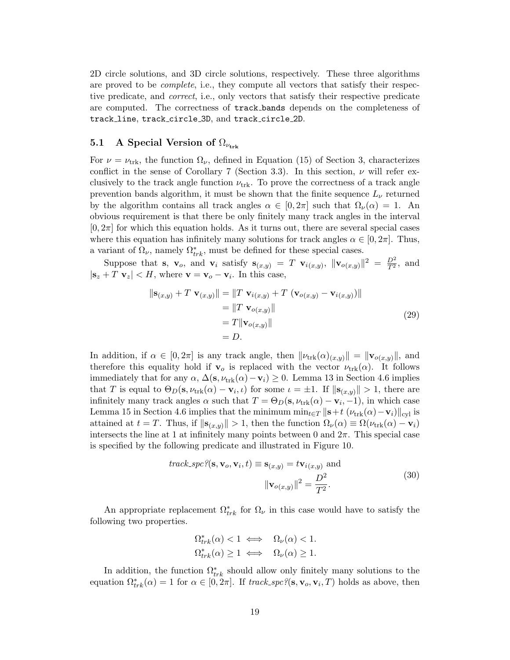2D circle solutions, and 3D circle solutions, respectively. These three algorithms are proved to be *complete*, i.e., they compute all vectors that satisfy their respective predicate, and *correct*, i.e., only vectors that satisfy their respective predicate are computed. The correctness of track bands depends on the completeness of track line, track circle 3D, and track circle 2D.

#### <span id="page-24-0"></span>5.1 A Special Version of  $\Omega_{\nu_{\text{trk}}}$

For  $\nu = \nu_{\text{trk}}$ , the function  $\Omega_{\nu}$ , defined in Equation [\(15\)](#page-13-1) of Section [3,](#page-13-0) characterizes conflict in the sense of Corollary [7](#page-16-5) (Section [3.3\)](#page-16-0). In this section,  $\nu$  will refer exclusively to the track angle function  $\nu_{trk}$ . To prove the correctness of a track angle prevention bands algorithm, it must be shown that the finite sequence  $L_{\nu}$  returned by the algorithm contains all track angles  $\alpha \in [0, 2\pi]$  such that  $\Omega_{\nu}(\alpha) = 1$ . An obvious requirement is that there be only finitely many track angles in the interval  $[0, 2\pi]$  for which this equation holds. As it turns out, there are several special cases where this equation has infinitely many solutions for track angles  $\alpha \in [0, 2\pi]$ . Thus, a variant of  $\Omega_{\nu}$ , namely  $\Omega_{trk}^{*}$ , must be defined for these special cases.

Suppose that s,  $\mathbf{v}_o$ , and  $\mathbf{v}_i$  satisfy  $\mathbf{s}_{(x,y)} = T \mathbf{v}_{i(x,y)}$ ,  $\|\mathbf{v}_{o(x,y)}\|^2 = \frac{D^2}{T^2}$ , and  $|\mathbf{s}_z + T \mathbf{v}_z|$  < H, where  $\mathbf{v} = \mathbf{v}_o - \mathbf{v}_i$ . In this case,

$$
\|\mathbf{s}_{(x,y)} + T \mathbf{v}_{(x,y)}\| = \|T \mathbf{v}_{i(x,y)} + T (\mathbf{v}_{o(x,y)} - \mathbf{v}_{i(x,y)})\|
$$
  
\n
$$
= \|T \mathbf{v}_{o(x,y)}\|
$$
  
\n
$$
= T \|\mathbf{v}_{o(x,y)}\|
$$
  
\n
$$
= D.
$$
\n(29)

In addition, if  $\alpha \in [0, 2\pi]$  is any track angle, then  $\|\nu_{\text{trk}}(\alpha)_{(x,y)}\| = \|\mathbf{v}_{o(x,y)}\|$ , and therefore this equality hold if  $\mathbf{v}_o$  is replaced with the vector  $\nu_{trk}(\alpha)$ . It follows immediately that for any  $\alpha$ ,  $\Delta(\mathbf{s}, \nu_{\text{trk}}(\alpha) - \mathbf{v}_i) \geq 0$ . Lemma [13](#page-23-2) in Section [4.6](#page-21-1) implies that T is equal to  $\Theta_D(\mathbf{s}, \nu_{trk}(\alpha) - \mathbf{v}_i, \iota)$  for some  $\iota = \pm 1$ . If  $\|\mathbf{s}_{(x,y)}\| > 1$ , there are infinitely many track angles  $\alpha$  such that  $T = \Theta_D(s, \nu_{trk}(\alpha) - \mathbf{v}_i, -1)$ , in which case Lemma [15](#page-23-3) in Section [4.6](#page-21-1) implies that the minimum  $\min_{t \in T} ||\mathbf{s} + t \left( \nu_{\text{trk}}(\alpha) - \mathbf{v}_i \right)||_{\text{cyl}}$  is attained at  $t = T$ . Thus, if  $\|\mathbf{s}_{(x,y)}\| > 1$ , then the function  $\Omega_{\nu}(\alpha) \equiv \Omega(\nu_{\text{trk}}(\alpha) - \mathbf{v}_i)$ intersects the line at 1 at infinitely many points between 0 and  $2\pi$ . This special case is specified by the following predicate and illustrated in Figure [10.](#page-25-0)

$$
track\_spe\mathcal{E}(\mathbf{s}, \mathbf{v}_o, \mathbf{v}_i, t) \equiv \mathbf{s}_{(x,y)} = t\mathbf{v}_{i(x,y)} \text{ and}
$$

$$
\|\mathbf{v}_{o(x,y)}\|^2 = \frac{D^2}{T^2}.
$$
 (30)

An appropriate replacement  $\Omega_{trk}^*$  for  $\Omega_{\nu}$  in this case would have to satisfy the following two properties.

$$
\Omega^*_{trk}(\alpha) < 1 \iff \Omega_\nu(\alpha) < 1.
$$
\n
$$
\Omega^*_{trk}(\alpha) \ge 1 \iff \Omega_\nu(\alpha) \ge 1.
$$

In addition, the function  $\Omega^*_{trk}$  should allow only finitely many solutions to the equation  $\Omega^*_{trk}(\alpha) = 1$  for  $\alpha \in [0, 2\pi]$ . If track\_spc?(s,  $\mathbf{v}_o, \mathbf{v}_i, T$ ) holds as above, then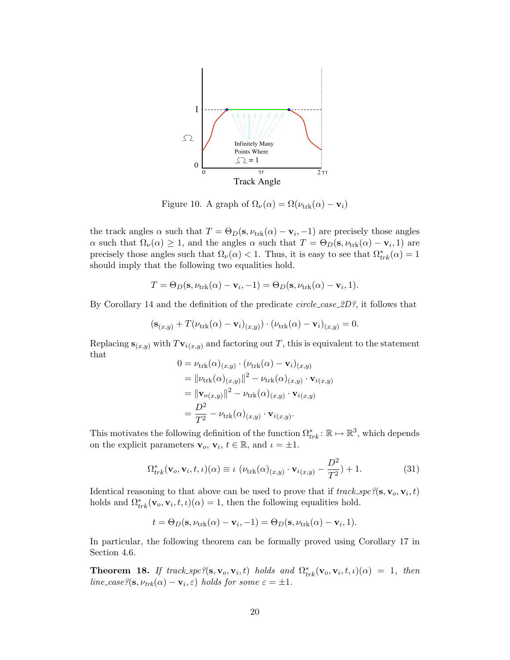

<span id="page-25-0"></span>Figure 10. A graph of  $\Omega_{\nu}(\alpha) = \Omega(\nu_{\text{trk}}(\alpha) - \mathbf{v}_i)$ 

the track angles  $\alpha$  such that  $T = \Theta_D(\mathbf{s}, \nu_{\text{trk}}(\alpha) - \mathbf{v}_i, -1)$  are precisely those angles  $\alpha$  such that  $\Omega_{\nu}(\alpha) \geq 1$ , and the angles  $\alpha$  such that  $T = \Theta_D(\mathbf{s}, \nu_{trk}(\alpha) - \mathbf{v}_i, 1)$  are precisely those angles such that  $\Omega_{\nu}(\alpha) < 1$ . Thus, it is easy to see that  $\Omega_{trk}^*(\alpha) = 1$ should imply that the following two equalities hold.

$$
T = \Theta_D(\mathbf{s}, \nu_{\text{trk}}(\alpha) - \mathbf{v}_i, -1) = \Theta_D(\mathbf{s}, \nu_{\text{trk}}(\alpha) - \mathbf{v}_i, 1).
$$

By Corollary [14](#page-23-1) and the definition of the predicate *circle case 2D?*, it follows that

$$
(\mathbf{s}_{(x,y)} + T(\nu_{\text{trk}}(\alpha) - \mathbf{v}_i)_{(x,y)}) \cdot (\nu_{\text{trk}}(\alpha) - \mathbf{v}_i)_{(x,y)} = 0.
$$

Replacing  $\mathbf{s}_{(x,y)}$  with  $T\mathbf{v}_{i(x,y)}$  and factoring out T, this is equivalent to the statement that

$$
0 = \nu_{trk}(\alpha)_{(x,y)} \cdot (\nu_{trk}(\alpha) - \mathbf{v}_i)_{(x,y)}
$$
  
\n
$$
= ||\nu_{trk}(\alpha)_{(x,y)}||^2 - \nu_{trk}(\alpha)_{(x,y)} \cdot \mathbf{v}_{i(x,y)}
$$
  
\n
$$
= ||\mathbf{v}_{o(x,y)}||^2 - \nu_{trk}(\alpha)_{(x,y)} \cdot \mathbf{v}_{i(x,y)}
$$
  
\n
$$
= \frac{D^2}{T^2} - \nu_{trk}(\alpha)_{(x,y)} \cdot \mathbf{v}_{i(x,y)}.
$$

This motivates the following definition of the function  $\Omega^*_{trk} : \mathbb{R} \to \mathbb{R}^3$ , which depends on the explicit parameters  $\mathbf{v}_o, \mathbf{v}_i, t \in \mathbb{R}$ , and  $\iota = \pm 1$ .

<span id="page-25-1"></span>
$$
\Omega_{trk}^*(\mathbf{v}_o, \mathbf{v}_i, t, \iota)(\alpha) \equiv \iota \left( \nu_{\text{trk}}(\alpha)_{(x,y)} \cdot \mathbf{v}_{i(x,y)} - \frac{D^2}{T^2} \right) + 1. \tag{31}
$$

Identical reasoning to that above can be used to prove that if  $track\_spc$ ?(s,  $\mathbf{v}_o, \mathbf{v}_i, t$ ) holds and  $\Omega^*_{trk}(\mathbf{v}_o, \mathbf{v}_i, t, \iota)(\alpha) = 1$ , then the following equalities hold.

$$
t = \Theta_D(\mathbf{s}, \nu_{\text{trk}}(\alpha) - \mathbf{v}_i, -1) = \Theta_D(\mathbf{s}, \nu_{\text{trk}}(\alpha) - \mathbf{v}_i, 1).
$$

In particular, the following theorem can be formally proved using Corollary [17](#page-23-4) in Section [4.6.](#page-21-1)

<span id="page-25-2"></span>**Theorem 18.** If track\_spc?(s,  $\mathbf{v}_o, \mathbf{v}_i, t$ ) holds and  $\Omega^*_{trk}(\mathbf{v}_o, \mathbf{v}_i, t, \iota)(\alpha) = 1$ , then line\_case?( $\mathbf{s}, \nu_{trk}(\alpha) - \mathbf{v}_i, \varepsilon$ ) holds for some  $\varepsilon = \pm 1$ .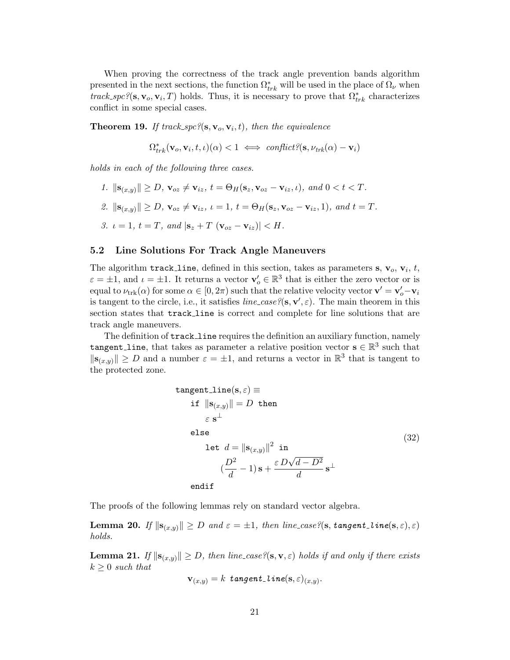When proving the correctness of the track angle prevention bands algorithm presented in the next sections, the function  $\Omega_{trk}^*$  will be used in the place of  $\Omega_{\nu}$  when track\_spc?(s,  $\mathbf{v}_o, \mathbf{v}_i, T$ ) holds. Thus, it is necessary to prove that  $\Omega_{trk}^*$  characterizes conflict in some special cases.

<span id="page-26-1"></span>**Theorem 19.** If track\_spc? $(s, \mathbf{v}_o, \mathbf{v}_i, t)$ , then the equivalence

$$
\Omega^*_{trk}(\mathbf{v}_o, \mathbf{v}_i, t, \iota)(\alpha) < 1 \iff \text{conflict?}(\mathbf{s}, \nu_{trk}(\alpha) - \mathbf{v}_i)
$$

holds in each of the following three cases.

1.  $\|\mathbf{s}_{(x,y)}\| \geq D$ ,  $\mathbf{v}_{oz} \neq \mathbf{v}_{iz}$ ,  $t = \Theta_H(\mathbf{s}_z, \mathbf{v}_{oz} - \mathbf{v}_{iz}, t)$ , and  $0 < t < T$ . 2.  $\|\mathbf{s}_{(x,y)}\| \geq D, \mathbf{v}_{oz} \neq \mathbf{v}_{iz}, \iota = 1, t = \Theta_H(\mathbf{s}_z, \mathbf{v}_{oz} - \mathbf{v}_{iz}, 1), \text{ and } t = T.$ 3.  $\iota = 1$ ,  $t = T$ , and  $|\mathbf{s}_z + T(\mathbf{v}_{oz} - \mathbf{v}_{iz})| < H$ .

#### <span id="page-26-0"></span>5.2 Line Solutions For Track Angle Maneuvers

The algorithm track line, defined in this section, takes as parameters  $s, v_o, v_i, t$ ,  $\varepsilon = \pm 1$ , and  $\iota = \pm 1$ . It returns a vector  $\mathbf{v}'_o \in \mathbb{R}^3$  that is either the zero vector or is equal to  $\nu_{trk}(\alpha)$  for some  $\alpha \in [0, 2\pi)$  such that the relative velocity vector  $\mathbf{v}' = \mathbf{v}'_o - \mathbf{v}_i$ is tangent to the circle, i.e., it satisfies *line\_case*?( $(s, v', \varepsilon)$ ). The main theorem in this section states that track line is correct and complete for line solutions that are track angle maneuvers.

The definition of track line requires the definition an auxiliary function, namely tangent line, that takes as parameter a relative position vector  $\mathbf{s} \in \mathbb{R}^3$  such that  $\|\mathbf{s}_{(x,y)}\| \geq D$  and a number  $\varepsilon = \pm 1$ , and returns a vector in  $\mathbb{R}^3$  that is tangent to the protected zone.

tangentLine(s, 
$$
\varepsilon
$$
) =  
\nif  $||\mathbf{s}_{(x,y)}|| = D$  then  
\n $\varepsilon \mathbf{s}^{\perp}$   
\nelse  
\nlet  $d = ||\mathbf{s}_{(x,y)}||^2$  in  
\n $(\frac{D^2}{d} - 1)\mathbf{s} + \frac{\varepsilon D\sqrt{d - D^2}}{d} \mathbf{s}^{\perp}$   
\nendif (5)

The proofs of the following lemmas rely on standard vector algebra.

**Lemma 20.** If  $\|\mathbf{s}_{(x,y)}\| \ge D$  and  $\varepsilon = \pm 1$ , then line case?(s, tangent line(s,  $\varepsilon$ ),  $\varepsilon$ ) holds.

<span id="page-26-2"></span>**Lemma 21.** If  $||s_{(x,y)}|| \geq D$ , then line\_case?(s, **v**,  $\varepsilon$ ) holds if and only if there exists  $k \geq 0$  such that

$$
\mathbf{v}_{(x,y)} = k \; \text{ tangent\_line}(\mathbf{s}, \varepsilon)_{(x,y)}.
$$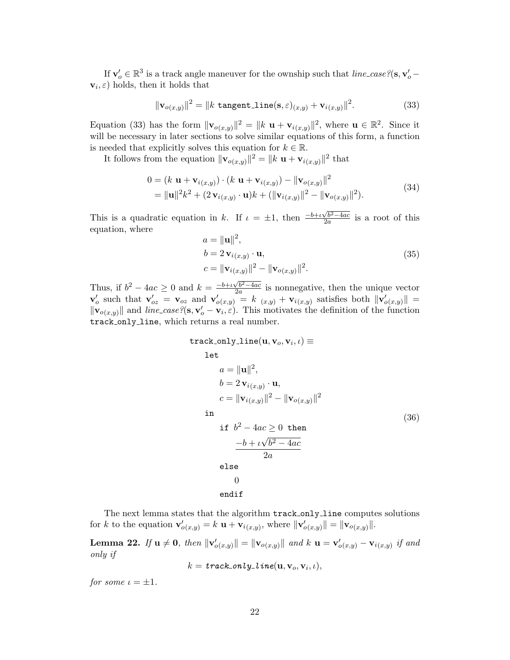If  $\mathbf{v}'_o \in \mathbb{R}^3$  is a track angle maneuver for the ownship such that  $line\_case$ ?(s,  $\mathbf{v}'_o$  –  $\mathbf{v}_i, \varepsilon$ ) holds, then it holds that

<span id="page-27-0"></span>
$$
\|\mathbf{v}_{o(x,y)}\|^2 = \|k \text{ tangentLine}(\mathbf{s},\varepsilon)_{(x,y)} + \mathbf{v}_{i(x,y)}\|^2. \tag{33}
$$

Equation [\(33\)](#page-27-0) has the form  $\|\mathbf{v}_{o(x,y)}\|^2 = \|k\mathbf{u} + \mathbf{v}_{i(x,y)}\|^2$ , where  $\mathbf{u} \in \mathbb{R}^2$ . Since it will be necessary in later sections to solve similar equations of this form, a function is needed that explicitly solves this equation for  $k \in \mathbb{R}$ .

It follows from the equation  $\|\mathbf{v}_{o(x,y)}\|^2 = \|k\mathbf{u} + \mathbf{v}_{i(x,y)}\|^2$  that

$$
0 = (k \mathbf{u} + \mathbf{v}_{i(x,y)}) \cdot (k \mathbf{u} + \mathbf{v}_{i(x,y)}) - ||\mathbf{v}_{o(x,y)}||^2
$$
  
=  $||\mathbf{u}||^2 k^2 + (2 \mathbf{v}_{i(x,y)} \cdot \mathbf{u}) k + (||\mathbf{v}_{i(x,y)}||^2 - ||\mathbf{v}_{o(x,y)}||^2).$  (34)

This is a quadratic equation in k. If  $\iota = \pm 1$ , then  $\frac{-b + i\sqrt{b^2 - 4ac}}{2a}$  $\frac{\sqrt{b^2-4ac}}{2a}$  is a root of this equation, where

$$
a = ||\mathbf{u}||^2,\n b = 2 \mathbf{v}_{i(x,y)} \cdot \mathbf{u},\n c = ||\mathbf{v}_{i(x,y)}||^2 - ||\mathbf{v}_{o(x,y)}||^2.
$$
\n(35)

Thus, if  $b^2 - 4ac \ge 0$  and  $k = \frac{-b + i\sqrt{b^2 - 4ac}}{2a}$  $\frac{\sqrt{b^2-4ac}}{2a}$  is nonnegative, then the unique vector  $\mathbf{v}'_o$  such that  $\mathbf{v}'_{oz} = \mathbf{v}_{oz}$  and  $\mathbf{v}'_{o(x,y)} = k_{(x,y)} + \mathbf{v}_{i(x,y)}$  satisfies both  $\|\mathbf{v}'_{o(x,y)}\|$  $\|\mathbf{v}_{o(x,y)}\|$  and *line\_case*?( $\mathbf{s}, \mathbf{v}'_o - \mathbf{v}_i, \varepsilon$ ). This motivates the definition of the function track only line, which returns a real number.

$$
\begin{aligned}\n\text{track-only-line}(\mathbf{u}, \mathbf{v}_o, \mathbf{v}_i, \iota) & \equiv \\
& \text{let} \\
a & = \|\mathbf{u}\|^2, \\
b & = 2\,\mathbf{v}_{i(x,y)} \cdot \mathbf{u}, \\
c & = \|\mathbf{v}_{i(x,y)}\|^2 - \|\mathbf{v}_{o(x,y)}\|^2 \\
\text{in} \\
\text{if } b^2 - 4ac \ge 0 \text{ then} \\
& \frac{-b + \iota\sqrt{b^2 - 4ac}}{2a} \\
\text{else} \\
& 0 \\
\text{endif}\n\end{aligned}
$$
\n(36)

The next lemma states that the algorithm track\_only\_line computes solutions for k to the equation  $\mathbf{v}'_{o(x,y)} = k \mathbf{u} + \mathbf{v}_{i(x,y)}$ , where  $\|\mathbf{v}'_{o(x,y)}\| = \|\mathbf{v}_{o(x,y)}\|$ .

<span id="page-27-1"></span>**Lemma 22.** If  $\mathbf{u} \neq \mathbf{0}$ , then  $\|\mathbf{v}'_{o(x,y)}\| = \|\mathbf{v}_{o(x,y)}\|$  and k  $\mathbf{u} = \mathbf{v}'_{o(x,y)} - \mathbf{v}_{i(x,y)}$  if and only if

$$
k = \textit{track\_only\_line}(\mathbf{u}, \mathbf{v}_o, \mathbf{v}_i, \iota),
$$

for some  $\iota = \pm 1$ .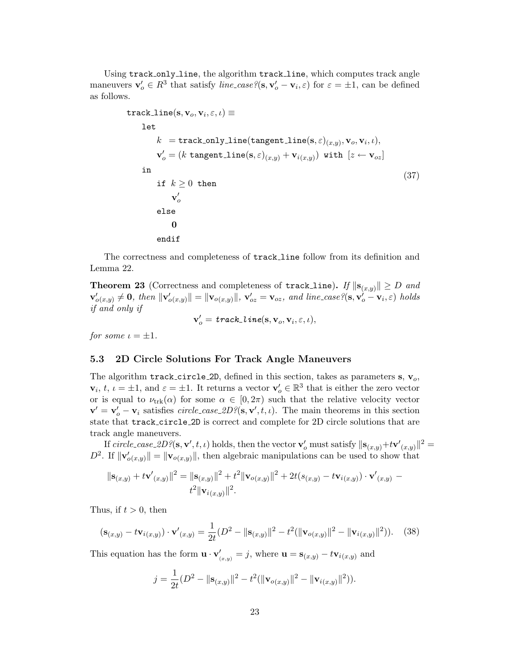Using track only line, the algorithm track line, which computes track angle maneuvers  $\mathbf{v}'_o \in \mathbb{R}^3$  that satisfy  $\textit{line\_case?}(\mathbf{s}, \mathbf{v}'_o - \mathbf{v}_i, \varepsilon)$  for  $\varepsilon = \pm 1$ , can be defined as follows.

$$
\begin{aligned}\n\text{track\_line(s, v_o, v_i, \varepsilon, \iota) & \equiv \\
& \text{let} \\
& k = \text{track\_only\_line}(\text{tangent\_line}(s, \varepsilon)_{(x,y)}, \mathbf{v}_o, \mathbf{v}_i, \iota), \\
& \mathbf{v}'_o = (k \text{ tangent\_line}(s, \varepsilon)_{(x,y)} + \mathbf{v}_{i(x,y)}) \text{ with } [z \leftarrow \mathbf{v}_{oz}] \\
& \text{in} \\
& \text{if } k \geq 0 \text{ then} \\
& \mathbf{v}'_o \\
& \text{else} \\
& \mathbf{0} \\
\text{endif}\n\end{aligned}\n\tag{37}
$$

The correctness and completeness of track line follow from its definition and Lemma [22.](#page-27-1)

<span id="page-28-2"></span>**Theorem 23** (Correctness and completeness of track line). If  $||\mathbf{s}_{(x,y)}|| \ge D$  and  $\mathbf{v}'_{o(x,y)} \neq \mathbf{0}$ , then  $\|\mathbf{v}'_{o(x,y)}\| = \|\mathbf{v}_{o(x,y)}\|$ ,  $\mathbf{v}'_{oz} = \mathbf{v}_{oz}$ , and line\_case? $(\mathbf{s}, \mathbf{v}'_o - \mathbf{v}_i, \varepsilon)$  holds if and only if

 $\mathbf{v}_o' = \textit{track\_line}(\mathbf{s}, \mathbf{v}_o, \mathbf{v}_i, \varepsilon, \iota),$ 

for some  $\iota = \pm 1$ .

#### <span id="page-28-0"></span>5.3 2D Circle Solutions For Track Angle Maneuvers

The algorithm track circle 2D, defined in this section, takes as parameters s,  $\mathbf{v}_o$ ,  $\mathbf{v}_i, t, \iota = \pm 1$ , and  $\varepsilon = \pm 1$ . It returns a vector  $\mathbf{v}'_o \in \mathbb{R}^3$  that is either the zero vector or is equal to  $\nu_{trk}(\alpha)$  for some  $\alpha \in [0, 2\pi)$  such that the relative velocity vector  $\mathbf{v}' = \mathbf{v}'_o - \mathbf{v}_i$  satisfies *circle\_case\_2D?*( $\mathbf{s}, \mathbf{v}', t, \iota$ ). The main theorems in this section state that track circle 2D is correct and complete for 2D circle solutions that are track angle maneuvers.

If circle case 2D?(s,  $\mathbf{v}', t, \iota$ ) holds, then the vector  $\mathbf{v}'_o$  must satisfy  $\|\mathbf{s}_{(x,y)}+t\mathbf{v}'_{(x,y)}\|^2 =$  $D^2$ . If  $\|\mathbf{v}'_{o(x,y)}\| = \|\mathbf{v}_{o(x,y)}\|$ , then algebraic manipulations can be used to show that

$$
\|\mathbf{s}_{(x,y)} + t\mathbf{v}'_{(x,y)}\|^2 = \|\mathbf{s}_{(x,y)}\|^2 + t^2 \|\mathbf{v}_{o(x,y)}\|^2 + 2t(s_{(x,y)} - t\mathbf{v}_{i(x,y)}) \cdot \mathbf{v}'_{(x,y)} - t^2 \|\mathbf{v}_{i(x,y)}\|^2.
$$

Thus, if  $t > 0$ , then

<span id="page-28-1"></span>
$$
(\mathbf{s}_{(x,y)} - t\mathbf{v}_{i(x,y)}) \cdot \mathbf{v}'_{(x,y)} = \frac{1}{2t} (D^2 - ||\mathbf{s}_{(x,y)}||^2 - t^2 (||\mathbf{v}_{o(x,y)}||^2 - ||\mathbf{v}_{i(x,y)}||^2)).
$$
 (38)

This equation has the form  $\mathbf{u} \cdot \mathbf{v}'$  $\mathbf{y}'_{(x,y)} = j$ , where  $\mathbf{u} = \mathbf{s}_{(x,y)} - t\mathbf{v}_{i(x,y)}$  and

$$
j = \frac{1}{2t}(D^2 - ||\mathbf{s}_{(x,y)}||^2 - t^2(||\mathbf{v}_{o(x,y)}||^2 - ||\mathbf{v}_{i(x,y)}||^2)).
$$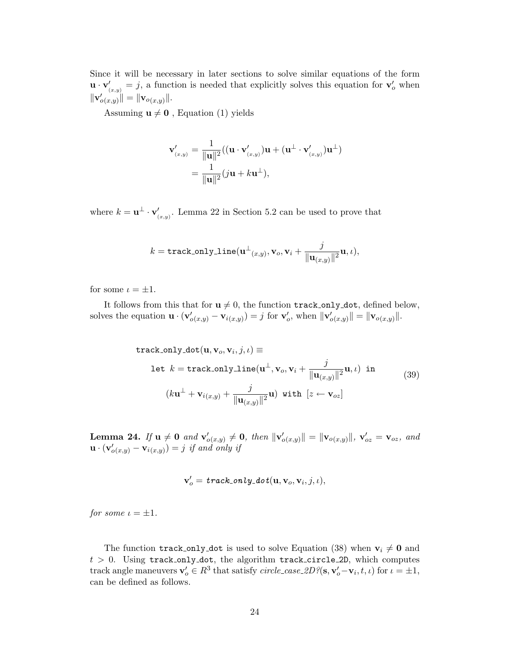Since it will be necessary in later sections to solve similar equations of the form  $\mathbf{u} \cdot \mathbf{v}'_i$  $\mathbf{v}'_{(x,y)} = j$ , a function is needed that explicitly solves this equation for  $\mathbf{v}'_o$  when  $\|\mathbf{v}_{o(x,y)}'\| = \|\mathbf{v}_{o(x,y)}\|.$ 

Assuming  $\mathbf{u} \neq \mathbf{0}$ , Equation [\(1\)](#page-7-3) yields

$$
\mathbf{v}'_{(x,y)} = \frac{1}{\|\mathbf{u}\|^2} ((\mathbf{u} \cdot \mathbf{v}'_{(x,y)})\mathbf{u} + (\mathbf{u}^\perp \cdot \mathbf{v}'_{(x,y)})\mathbf{u}^\perp)
$$
  
= 
$$
\frac{1}{\|\mathbf{u}\|^2} (j\mathbf{u} + k\mathbf{u}^\perp),
$$

where  $k = \mathbf{u}^{\perp} \cdot \mathbf{v}'_c$  $'_{(x,y)}$ . Lemma [22](#page-27-1) in Section [5.2](#page-26-0) can be used to prove that

$$
k = \texttt{track\_only\_line}(\mathbf{u}^{\perp}_{(x,y)}, \mathbf{v}_o, \mathbf{v}_i + \frac{j}{\|\mathbf{u}_{(x,y)}\|^2} \mathbf{u}, \iota),
$$

for some  $\iota = \pm 1$ .

It follows from this that for  $u \neq 0$ , the function track only dot, defined below, solves the equation  $\mathbf{u} \cdot (\mathbf{v}'_{o(x,y)} - \mathbf{v}_{i(x,y)}) = j$  for  $\mathbf{v}'_o$ , when  $\|\mathbf{v}'_{o(x,y)}\| = \|\mathbf{v}_{o(x,y)}\|$ .

$$
\begin{aligned}\n\text{track\_only\_dot}(\mathbf{u}, \mathbf{v}_o, \mathbf{v}_i, j, \iota) & \equiv \\
& \text{let } k = \text{track\_only\_line}(\mathbf{u}^\perp, \mathbf{v}_o, \mathbf{v}_i + \frac{j}{\|\mathbf{u}_{(x,y)}\|^2} \mathbf{u}, \iota) \text{ in} \\
& (k\mathbf{u}^\perp + \mathbf{v}_{i(x,y)} + \frac{j}{\|\mathbf{u}_{(x,y)}\|^2} \mathbf{u}) \text{ with } [z \leftarrow \mathbf{v}_{oz}] \n\end{aligned}\n\tag{39}
$$

<span id="page-29-0"></span>**Lemma 24.** If  $\mathbf{u} \neq \mathbf{0}$  and  $\mathbf{v}'_{o(x,y)} \neq \mathbf{0}$ , then  $\|\mathbf{v}'_{o(x,y)}\| = \|\mathbf{v}_{o(x,y)}\|$ ,  $\mathbf{v}'_{oz} = \mathbf{v}_{oz}$ , and  $\mathbf{u} \cdot (\mathbf{v}_{o(x,y)}' - \mathbf{v}_{i(x,y)}) = j$  if and only if

$$
\mathbf{v}_o' = \textit{track\_only\_dot}(\mathbf{u}, \mathbf{v}_o, \mathbf{v}_i, j, \iota),
$$

for some  $\iota = \pm 1$ .

The function track only dot is used to solve Equation [\(38\)](#page-28-1) when  $v_i \neq 0$  and  $t > 0$ . Using track\_only\_dot, the algorithm track\_circle\_2D, which computes track angle maneuvers  $\mathbf{v}'_o \in R^3$  that satisfy *circle\_case\_2D*?( $\mathbf{s}, \mathbf{v}'_o - \mathbf{v}_i, t, \iota$ ) for  $\iota = \pm 1$ , can be defined as follows.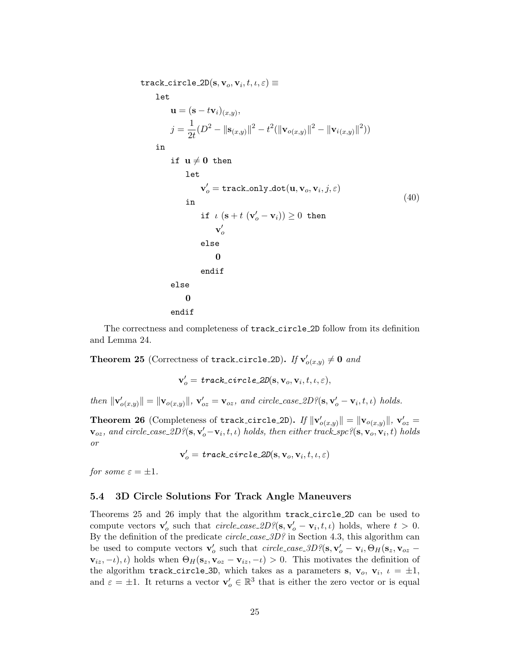$$
\begin{aligned}\n\text{track-circle\_2D(s, v_o, v_i, t, \iota, \varepsilon) & \equiv \\
& \text{let} \\
& \mathbf{u} = (\mathbf{s} - t\mathbf{v}_i)_{(x,y)}, \\
& j = \frac{1}{2t}(D^2 - \|\mathbf{s}_{(x,y)}\|^2 - t^2(\|\mathbf{v}_{o(x,y)}\|^2 - \|\mathbf{v}_{i(x,y)}\|^2)) \\
& \text{in} \\
& \text{if } \mathbf{u} \neq \mathbf{0} \text{ then} \\
& \text{let} \\
& \mathbf{v}'_o = \text{track\_only\_dot}(\mathbf{u}, \mathbf{v}_o, \mathbf{v}_i, j, \varepsilon) \\
& \text{in} \\
& \text{if } \iota (\mathbf{s} + t (\mathbf{v}'_o - \mathbf{v}_i)) \geq 0 \text{ then} \\
& \mathbf{v}'_o \\
& \text{else} \\
& \mathbf{0} \\
& \text{endif} \\
\text{else} \\
& \mathbf{0} \\
\text{endif} \\
\end{aligned} \tag{40}
$$

The correctness and completeness of track circle 2D follow from its definition and Lemma [24.](#page-29-0)

<span id="page-30-1"></span>**Theorem 25** (Correctness of track\_circle\_2D). If  $\mathbf{v}'_{o(x,y)} \neq \mathbf{0}$  and

$$
\mathbf{v}_o' = \textit{track\_circle\_2D}(\mathbf{s}, \mathbf{v}_o, \mathbf{v}_i, t, \iota, \varepsilon),
$$

then  $\|\mathbf{v}'_{o(x,y)}\| = \|\mathbf{v}_{o(x,y)}\|$ ,  $\mathbf{v}'_{oz} = \mathbf{v}_{oz}$ , and circle\_case\_2D?( $\mathbf{s}, \mathbf{v}'_o - \mathbf{v}_i, t, \iota$ ) holds.

<span id="page-30-2"></span>**Theorem 26** (Completeness of track\_circle\_2D). If  $\|\mathbf{v}'_{o(x,y)}\| = \|\mathbf{v}_{o(x,y)}\|$ ,  $\mathbf{v}'_{oz} =$  ${\bf v}_{oz},$  and circle\_case\_2D?( ${\bf s},{\bf v}_o'-{\bf v}_i,t,\iota$ ) holds, then either track\_spc?( ${\bf s},{\bf v}_o,{\bf v}_i,t$ ) holds or

 $\mathbf{v}_o' = \textit{track\_circle\_2D}(\mathbf{s}, \mathbf{v}_o, \mathbf{v}_i, t, \iota, \varepsilon)$ 

for some  $\varepsilon = \pm 1$ .

#### <span id="page-30-0"></span>5.4 3D Circle Solutions For Track Angle Maneuvers

Theorems [25](#page-30-1) and [26](#page-30-2) imply that the algorithm track circle 2D can be used to compute vectors  $\mathbf{v}'_o$  such that circle\_case\_2D?( $\mathbf{s}, \mathbf{v}'_o - \mathbf{v}_i, t, \iota$ ) holds, where  $t > 0$ . By the definition of the predicate  $circle\_case\_3D$ ? in Section [4.3,](#page-19-2) this algorithm can be used to compute vectors  $\mathbf{v}'_o$  such that *circle\_case\_3D?*( $\mathbf{s}, \mathbf{v}'_o - \mathbf{v}_i$ ,  $\Theta_H(\mathbf{s}_z, \mathbf{v}_{oz}$  $\mathbf{v}_{iz}, -\iota$ ,  $\iota$ ) holds when  $\Theta_H(\mathbf{s}_z, \mathbf{v}_{oz} - \mathbf{v}_{iz}, -\iota) > 0$ . This motivates the definition of the algorithm track circle 3D, which takes as a parameters s,  $\mathbf{v}_o, \mathbf{v}_i, \iota = \pm 1$ , and  $\varepsilon = \pm 1$ . It returns a vector  $\mathbf{v}'_o \in \mathbb{R}^3$  that is either the zero vector or is equal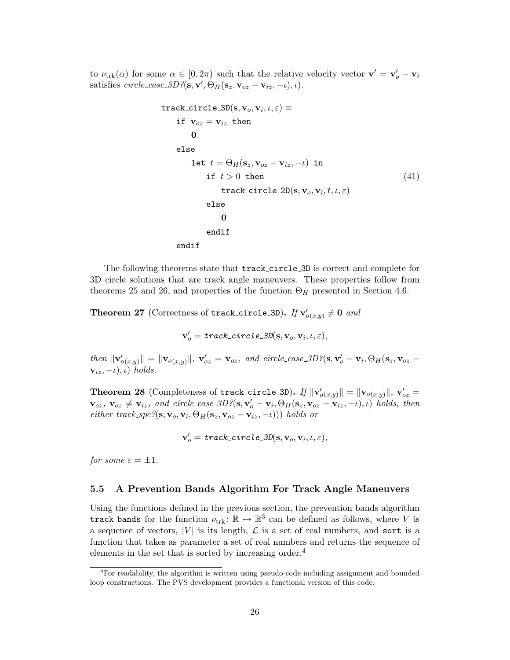to  $\nu_{trk}(\alpha)$  for some  $\alpha \in [0, 2\pi)$  such that the relative velocity vector  $\mathbf{v}' = \mathbf{v}'_o - \mathbf{v}_i$ satisfies  $circle\_case\_3D$ ?(s,  $\mathbf{v}', \Theta_H(\mathbf{s}_z, \mathbf{v}_{oz} - \mathbf{v}_{iz}, -\iota), \iota$ ).

$$
\begin{aligned}\n\text{track\_circle\_3D}(s, \mathbf{v}_o, \mathbf{v}_i, \iota, \varepsilon) & \equiv \\
\text{if } \mathbf{v}_{oz} &= \mathbf{v}_{iz} \text{ then} \\
0 \\
\text{else} \\
\text{let } t &= \Theta_H(\mathbf{s}_z, \mathbf{v}_{oz} - \mathbf{v}_{iz}, -\iota) \text{ in} \\
\text{if } t > 0 \text{ then} \\
\text{track\_circle\_2D}(s, \mathbf{v}_o, \mathbf{v}_i, t, \iota, \varepsilon) \\
\text{else} \\
0 \\
\text{endif} \\
\text{endif}\n\end{aligned} \tag{41}
$$

The following theorems state that track circle 3D is correct and complete for 3D circle solutions that are track angle maneuvers. These properties follow from theorems [25](#page-30-1) and [26,](#page-30-2) and properties of the function  $\Theta_H$  presented in Section [4.6.](#page-21-1)

**Theorem 27** (Correctness of track circle 3D). If  $\mathbf{v}'_{o(x,y)} \neq \mathbf{0}$  and

 $\mathbf{v}_o' = \textit{track\_circle\_3D}(\mathbf{s}, \mathbf{v}_o, \mathbf{v}_i, \iota, \varepsilon),$ 

then  $\|\mathbf{v}'_{o(x,y)}\| = \|\mathbf{v}_{o(x,y)}\|$ ,  $\mathbf{v}'_{oz} = \mathbf{v}_{oz}$ , and circle\_case\_3D?( $\mathbf{s}, \mathbf{v}'_o - \mathbf{v}_i$ ,  $\Theta_H(\mathbf{s}_z, \mathbf{v}_{oz} - \mathbf{v}_i)$  $\mathbf{v}_{iz}, -\iota), \iota)$  holds.

<span id="page-31-2"></span>**Theorem 28** (Completeness of track circle 3D). If  $\|\mathbf{v}'_{o(x,y)}\| = \|\mathbf{v}_{o(x,y)}\|$ ,  $\mathbf{v}'_{oz} =$  $\mathbf{v}_{oz}, \mathbf{v}_{oz} \neq \mathbf{v}_{iz},$  and circle case 3D?( $\mathbf{s}, \mathbf{v}'_o - \mathbf{v}_i, \Theta_H(\mathbf{s}_z, \mathbf{v}_{oz} - \mathbf{v}_{iz}, -\iota), \iota$ ) holds, then either track\_spc?( $(\mathbf{s}, \mathbf{v}_o, \mathbf{v}_i, \Theta_H(\mathbf{s}_z, \mathbf{v}_{oz} - \mathbf{v}_{iz}, -\iota))$ ) holds or

 $\mathbf{v}_o' = \textit{track\_circle\_3D}(\mathbf{s}, \mathbf{v}_o, \mathbf{v}_i, \iota, \varepsilon),$ 

for some  $\varepsilon = \pm 1$ .

#### <span id="page-31-0"></span>5.5 A Prevention Bands Algorithm For Track Angle Maneuvers

Using the functions defined in the previous section, the prevention bands algorithm track bands for the function  $\nu_{trk} : \mathbb{R} \to \mathbb{R}^3$  can be defined as follows, where V is a sequence of vectors,  $|V|$  is its length,  $\mathcal L$  is a set of real numbers, and sort is a function that takes as parameter a set of real numbers and returns the sequence of elements in the set that is sorted by increasing order.<sup>[4](#page-31-1)</sup>

<span id="page-31-1"></span><sup>4</sup>For readability, the algorithm is written using pseudo-code including assignment and bounded loop constructions. The PVS development provides a functional version of this code.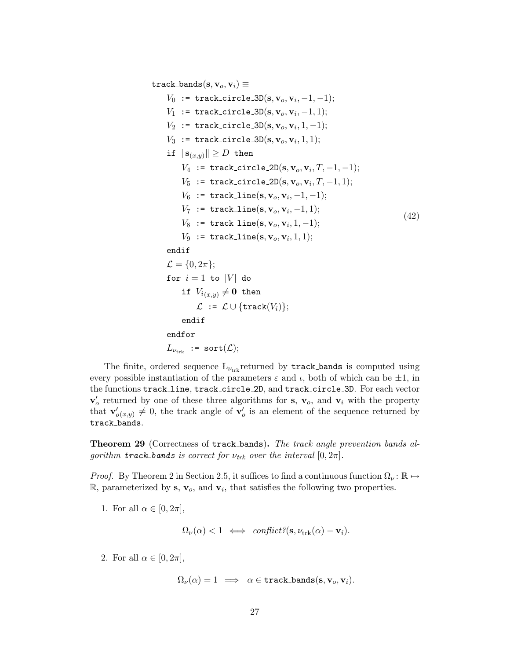track\_bands(s,  $v_a$ ,  $v_i$ )  $\equiv$  $V_0$  := track\_circle\_3D(s,  $\mathbf{v}_o, \mathbf{v}_i, -1, -1$ );  $V_1$  := track\_circle\_3D(s,  $\mathbf{v}_o, \mathbf{v}_i, -1, 1$ );  $V_2$  := track\_circle\_3D(s,  $\mathbf{v}_o, \mathbf{v}_i, 1, -1);$  $V_3$  := track\_circle\_3D(s,  $\mathbf{v}_o, \mathbf{v}_i, 1, 1$ ); if  $\|\mathbf{s}_{(x,y)}\| \ge D$  then  $V_4$  := track\_circle\_2D(s,  $\mathbf{v}_o, \mathbf{v}_i, T, -1, -1);$  $V_5$  := track\_circle\_2D(s,  $\mathbf{v}_o, \mathbf{v}_i, T, -1, 1$ );  $V_6$  := track\_line(s,v $_o,$ v $_i, -1, -1);$  $V_7$  := track\_line(s,  $\mathbf{v}_o, \mathbf{v}_i, -1, 1$ );  $V_8$  := track\_line(s,  $\mathbf{v}_o, \mathbf{v}_i, 1, -1$ );  $V_9$  := track\_line(s,  $\mathbf{v}_o, \mathbf{v}_i, 1, 1$ ); endif  $\mathcal{L} = \{0, 2\pi\};$ for  $i = 1$  to  $|V|$  do if  $V_{i(x,y)} \neq 0$  then  $\mathcal{L}$  :=  $\mathcal{L} \cup \{ \text{track}(V_i) \};$ endif endfor  $L_{\nu_{\text{trk}}}$  := sort $(\mathcal{L});$ (42)

The finite, ordered sequence  $L_{\nu_{trk}}$  returned by track bands is computed using every possible instantiation of the parameters  $\varepsilon$  and  $\iota$ , both of which can be  $\pm 1$ , in the functions track line, track circle 2D, and track circle 3D. For each vector  $\mathbf{v}'_o$  returned by one of these three algorithms for **s**,  $\mathbf{v}_o$ , and  $\mathbf{v}_i$  with the property that  $\mathbf{v}'_{o(x,y)} \neq 0$ , the track angle of  $\mathbf{v}'_o$  is an element of the sequence returned by track bands.

<span id="page-32-0"></span>Theorem 29 (Correctness of track bands). The track angle prevention bands algorithm **track** bands is correct for  $\nu_{trk}$  over the interval  $[0, 2\pi]$ .

*Proof.* By Theorem [2](#page-12-2) in Section [2.5,](#page-12-0) it suffices to find a continuous function  $\Omega_{\nu}$ :  $\mathbb{R} \mapsto$  $\mathbb{R}$ , parameterized by **s**, **v**<sub>o</sub>, and **v**<sub>i</sub>, that satisfies the following two properties.

1. For all  $\alpha \in [0, 2\pi]$ ,

$$
\Omega_{\nu}(\alpha) < 1 \iff \text{conflict?}(\mathbf{s}, \nu_{\text{trk}}(\alpha) - \mathbf{v}_i).
$$

2. For all  $\alpha \in [0, 2\pi]$ ,

$$
\Omega_{\nu}(\alpha) = 1 \;\; \Longrightarrow \;\; \alpha \in \texttt{track\_bands}(\mathbf{s}, \mathbf{v}_o, \mathbf{v}_i).
$$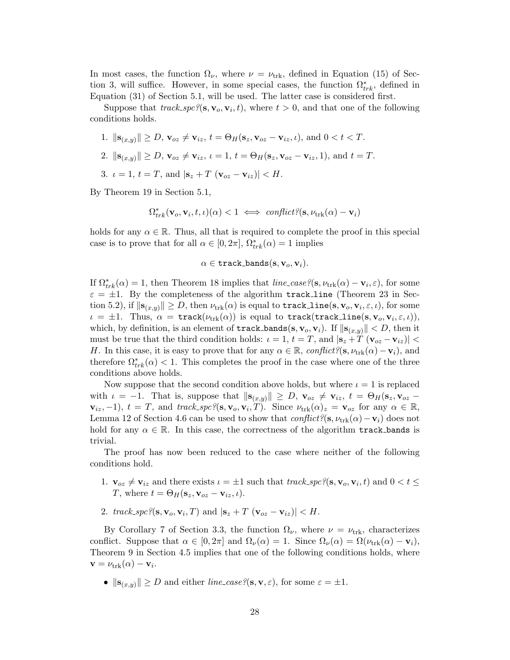In most cases, the function  $\Omega_{\nu}$ , where  $\nu = \nu_{\text{trk}}$ , defined in Equation [\(15\)](#page-13-1) of Sec-tion [3,](#page-13-0) will suffice. However, in some special cases, the function  $\Omega_{trk}^*$ , defined in Equation [\(31\)](#page-25-1) of Section [5.1,](#page-24-0) will be used. The latter case is considered first.

Suppose that  $track\_spc$ ?(s,  $\mathbf{v}_o, \mathbf{v}_i, t$ ), where  $t > 0$ , and that one of the following conditions holds.

1. 
$$
\|\mathbf{s}_{(x,y)}\| \ge D
$$
,  $\mathbf{v}_{oz} \ne \mathbf{v}_{iz}$ ,  $t = \Theta_H(\mathbf{s}_z, \mathbf{v}_{oz} - \mathbf{v}_{iz}, \iota)$ , and  $0 < t < T$ .

- 2.  $||\mathbf{s}_{(x,y)}|| \geq D, \mathbf{v}_{oz} \neq \mathbf{v}_{iz}, \iota = 1, t = \Theta_H(\mathbf{s}_z, \mathbf{v}_{oz} \mathbf{v}_{iz}, 1), \text{ and } t = T.$
- 3.  $\iota = 1, t = T$ , and  $|\mathbf{s}_z + T(\mathbf{v}_{oz} \mathbf{v}_{iz})| < H$ .

By Theorem [19](#page-26-1) in Section [5.1,](#page-24-0)

$$
\Omega^*_{trk}(\mathbf{v}_o, \mathbf{v}_i, t, \iota)(\alpha) < 1 \iff \text{conflict?}(\mathbf{s}, \nu_{\text{trk}}(\alpha) - \mathbf{v}_i)
$$

holds for any  $\alpha \in \mathbb{R}$ . Thus, all that is required to complete the proof in this special case is to prove that for all  $\alpha \in [0, 2\pi]$ ,  $\Omega_{trk}^*(\alpha) = 1$  implies

 $\alpha \in \text{track\_bands}(\mathbf{s}, \mathbf{v}_o, \mathbf{v}_i).$ 

If  $\Omega_{trk}^*(\alpha) = 1$ , then Theorem [18](#page-25-2) implies that  $line\_case$ ?(s,  $\nu_{trk}(\alpha) - \mathbf{v}_i, \varepsilon$ ), for some  $\varepsilon = \pm 1$ . By the completeness of the algorithm track line (Theorem [23](#page-28-2) in Sec-tion [5.2\)](#page-26-0), if  $\|\mathbf{s}_{(x,y)}\| \ge D$ , then  $\nu_{\text{trk}}(\alpha)$  is equal to  $\texttt{track\_line}(\mathbf{s}, \mathbf{v}_o, \mathbf{v}_i, \varepsilon, \iota)$ , for some  $\iota = \pm 1$ . Thus,  $\alpha = \texttt{track}(\nu_{\text{trk}}(\alpha))$  is equal to  $\texttt{track}(\texttt{track\_line}(s, v_o, v_i, \varepsilon, \iota)),$ which, by definition, is an element of  $\text{track\_bands}(s, v_o, v_i)$ . If  $||s_{(x,u)}|| < D$ , then it must be true that the third condition holds:  $\iota = 1, t = T$ , and  $|\mathbf{s}_z + T(\mathbf{v}_{oz} - \mathbf{v}_{iz})|$ H. In this case, it is easy to prove that for any  $\alpha \in \mathbb{R}$ , conflict?(s,  $\nu_{trk}(\alpha) - \mathbf{v}_i$ ), and therefore  $\Omega^*_{trk}(\alpha) < 1$ . This completes the proof in the case where one of the three conditions above holds.

Now suppose that the second condition above holds, but where  $\iota = 1$  is replaced with  $\iota = -1$ . That is, suppose that  $\|\mathbf{s}_{(x,y)}\| \ge D$ ,  $\mathbf{v}_{oz} \ne \mathbf{v}_{iz}$ ,  $t = \Theta_H(\mathbf{s}_z, \mathbf{v}_{oz} \mathbf{v}_{iz},-1), t = T$ , and  $track\_spc$ ? $(\mathbf{s}, \mathbf{v}_o, \mathbf{v}_i, T)$ . Since  $\nu_{trk}(\alpha)_z = \mathbf{v}_{oz}$  for any  $\alpha \in \mathbb{R}$ , Lemma [12](#page-22-2) of Section [4.6](#page-21-1) can be used to show that  $conflict$ ?(s,  $\nu_{trk}(\alpha) - \mathbf{v}_i$ ) does not hold for any  $\alpha \in \mathbb{R}$ . In this case, the correctness of the algorithm track bands is trivial.

The proof has now been reduced to the case where neither of the following conditions hold.

- 1.  $\mathbf{v}_{oz} \neq \mathbf{v}_{iz}$  and there exists  $\iota = \pm 1$  such that  $track\_spc$ ? $(\mathbf{s}, \mathbf{v}_o, \mathbf{v}_i, t)$  and  $0 < t \leq$ T, where  $t = \Theta_H(\mathbf{s}_z, \mathbf{v}_{oz} - \mathbf{v}_{iz}, \iota)$ .
- 2. track\_spc? $(s, \mathbf{v}_o, \mathbf{v}_i, T)$  and  $|\mathbf{s}_z + T(\mathbf{v}_{oz} \mathbf{v}_{iz})| < H$ .

By Corollary [7](#page-16-5) of Section [3.3,](#page-16-0) the function  $\Omega_{\nu}$ , where  $\nu = \nu_{\text{trk}}$ , characterizes conflict. Suppose that  $\alpha \in [0, 2\pi]$  and  $\Omega_{\nu}(\alpha) = 1$ . Since  $\Omega_{\nu}(\alpha) = \Omega(\nu_{trk}(\alpha) - \mathbf{v}_i)$ , Theorem [9](#page-21-2) in Section [4.5](#page-21-0) implies that one of the following conditions holds, where  $\mathbf{v} = \nu_{\text{trk}}(\alpha) - \mathbf{v}_i.$ 

•  $||\mathbf{s}_{(x,y)}|| \ge D$  and either *line\_case*?( $(\mathbf{s}, \mathbf{v}, \varepsilon)$ , for some  $\varepsilon = \pm 1$ .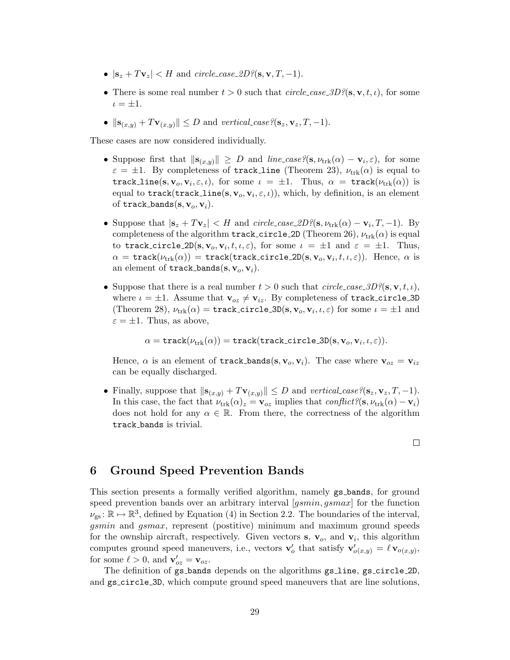- $|\mathbf{s}_z + T\mathbf{v}_z|$  < H and circle\_case\_2D?( $\mathbf{s}, \mathbf{v}, T, -1$ ).
- There is some real number  $t > 0$  such that circle case  $3D^{\circ}(s, v, t, \iota)$ , for some  $\iota = \pm 1.$
- $||\mathbf{s}_{(x,y)} + T\mathbf{v}_{(x,y)}|| \leq D$  and vertical case? $(\mathbf{s}_z, \mathbf{v}_z, T, -1)$ .

These cases are now considered individually.

- Suppose first that  $\|\mathbf{s}_{(x,y)}\| \ge D$  and *line\_case?*( $\mathbf{s}, \nu_{\text{trk}}(\alpha) \mathbf{v}_i, \varepsilon$ ), for some  $\varepsilon = \pm 1$ . By completeness of track line (Theorem [23\)](#page-28-2),  $\nu_{trk}(\alpha)$  is equal to track\_line(s,  $\mathbf{v}_o, \mathbf{v}_i, \varepsilon, \iota$ ), for some  $\iota = \pm 1$ . Thus,  $\alpha = \texttt{track}(\nu_{\text{trk}}(\alpha))$  is equal to  $\texttt{track}(\texttt{track\_line}(s, v_o, v_i, \varepsilon, \iota))$ , which, by definition, is an element of track bands $(\mathbf{s}, \mathbf{v}_o, \mathbf{v}_i)$ .
- Suppose that  $|\mathbf{s}_z + T\mathbf{v}_z| < H$  and circle\_case\_2D?( $\mathbf{s}, \nu_{\text{trk}}(\alpha) \mathbf{v}_i, T, -1$ ). By completeness of the algorithm track circle 2D (Theorem [26\)](#page-30-2),  $\nu_{trk}(\alpha)$  is equal to track circle  $2D(s, v_o, v_i, t, \iota, \varepsilon)$ , for some  $\iota = \pm 1$  and  $\varepsilon = \pm 1$ . Thus,  $\alpha = \texttt{track}(\nu_{\text{trk}}(\alpha)) = \texttt{track}(\texttt{track\_circle\_2D}(s, \mathbf{v}_o, \mathbf{v}_i, t, \iota, \varepsilon)).$  Hence,  $\alpha$  is an element of  $\text{track\_bands}(s, v_o, v_i)$ .
- Suppose that there is a real number  $t > 0$  such that circle case  $3D^2(s, v, t, t)$ , where  $\iota = \pm 1$ . Assume that  $\mathbf{v}_{oz} \neq \mathbf{v}_{iz}$ . By completeness of track circle 3D (Theorem [28\)](#page-31-2),  $\nu_{\text{trk}}(\alpha) = \texttt{track\_circle\_3D}(s, v_o, v_i, \iota, \varepsilon)$  for some  $\iota = \pm 1$  and  $\varepsilon = \pm 1$ . Thus, as above,

$$
\alpha = \texttt{track}(\nu_{\text{trk}}(\alpha)) = \texttt{track}(\texttt{track\_circle\_3D}(s, v_o, v_i, \iota, \varepsilon)).
$$

Hence,  $\alpha$  is an element of track bands(s,  $v_o$ ,  $v_i$ ). The case where  $v_{oz} = v_{iz}$ can be equally discharged.

• Finally, suppose that  $\|\mathbf{s}_{(x,y)} + T\mathbf{v}_{(x,y)}\| \leq D$  and vertical case?( $\mathbf{s}_z$ ,  $\mathbf{v}_z$ , T, -1). In this case, the fact that  $\nu_{trk}(\alpha)_z = \mathbf{v}_{oz}$  implies that  $\text{conflict?}(\mathbf{s}, \nu_{trk}(\alpha) - \mathbf{v}_i)$ does not hold for any  $\alpha \in \mathbb{R}$ . From there, the correctness of the algorithm track bands is trivial.

 $\Box$ 

## <span id="page-34-0"></span>6 Ground Speed Prevention Bands

This section presents a formally verified algorithm, namely gs bands, for ground speed prevention bands over an arbitrary interval  $[gsmin, gsmax]$  for the function  $\nu_{\text{gs}} : \mathbb{R} \mapsto \mathbb{R}^3$ , defined by Equation [\(4\)](#page-10-2) in Section [2.2.](#page-9-0) The boundaries of the interval, gsmin and gsmax, represent (postitive) minimum and maximum ground speeds for the ownship aircraft, respectively. Given vectors  $s, v_0$ , and  $v_i$ , this algorithm computes ground speed maneuvers, i.e., vectors  $\mathbf{v}'_o$  that satisfy  $\mathbf{v}'_{o(x,y)} = \ell \mathbf{v}_{o(x,y)}$ , for some  $\ell > 0$ , and  $\mathbf{v}'_{oz} = \mathbf{v}_{oz}$ .

The definition of gs bands depends on the algorithms gs line, gs circle 2D, and gs circle 3D, which compute ground speed maneuvers that are line solutions,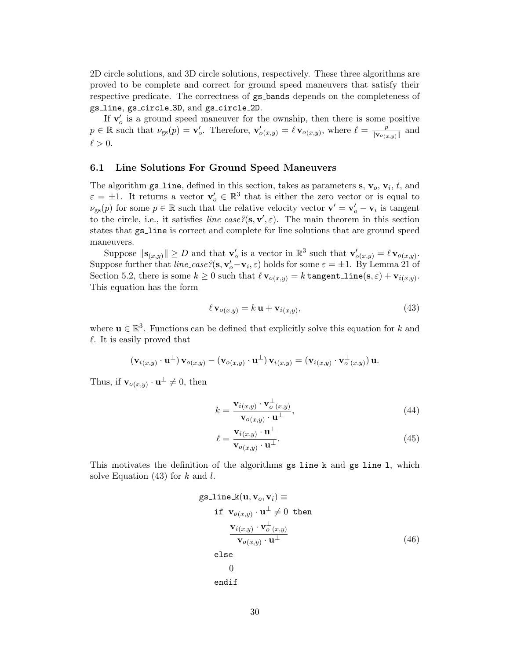2D circle solutions, and 3D circle solutions, respectively. These three algorithms are proved to be complete and correct for ground speed maneuvers that satisfy their respective predicate. The correctness of gs bands depends on the completeness of gs line, gs circle 3D, and gs circle 2D.

If  $\mathbf{v}'_o$  is a ground speed maneuver for the ownship, then there is some positive  $p \in \mathbb{R}$  such that  $\nu_{gs}(p) = \mathbf{v}'_o$ . Therefore,  $\mathbf{v}'_{o(x,y)} = \ell \mathbf{v}_{o(x,y)}$ , where  $\ell = \frac{p}{\|\mathbf{v}_{o(x,y)}\|}$  $\frac{p}{\|\mathbf{v}_{o(x,y)}\|}$  and  $\ell > 0$ .

#### <span id="page-35-0"></span>6.1 Line Solutions For Ground Speed Maneuvers

The algorithm  $\mathsf{gs}\_\mathsf{line},$  defined in this section, takes as parameters  $\mathbf{s}, \mathbf{v}_o, \mathbf{v}_i, t$ , and  $\varepsilon = \pm 1$ . It returns a vector  $\mathbf{v}'_o \in \mathbb{R}^3$  that is either the zero vector or is equal to  $\nu_{gs}(p)$  for some  $p \in \mathbb{R}$  such that the relative velocity vector  $\mathbf{v}' = \mathbf{v}'_o - \mathbf{v}_i$  is tangent to the circle, i.e., it satisfies *line\_case?*( $\mathbf{s}, \mathbf{v}', \varepsilon$ ). The main theorem in this section states that gs line is correct and complete for line solutions that are ground speed maneuvers.

Suppose  $\|\mathbf{s}_{(x,y)}\| \geq D$  and that  $\mathbf{v}'_o$  is a vector in  $\mathbb{R}^3$  such that  $\mathbf{v}'_{o(x,y)} = \ell \mathbf{v}_{o(x,y)}$ . Suppose further that *line\_case*?( $\mathbf{s}, \mathbf{v}'_o - \mathbf{v}_i, \varepsilon$ ) holds for some  $\varepsilon = \pm 1$ . By Lemma [21](#page-26-2) of Section [5.2,](#page-26-0) there is some  $k \ge 0$  such that  $\ell \mathbf{v}_{o(x,y)} = k \text{ tangent\_line}(\mathbf{s}, \varepsilon) + \mathbf{v}_{i(x,y)}$ . This equation has the form

<span id="page-35-1"></span>
$$
\ell \mathbf{v}_{o(x,y)} = k \mathbf{u} + \mathbf{v}_{i(x,y)},\tag{43}
$$

where  $\mathbf{u} \in \mathbb{R}^3$ . Functions can be defined that explicitly solve this equation for k and  $\ell$ . It is easily proved that

$$
(\mathbf{v}_{i(x,y)} \cdot \mathbf{u}^{\perp}) \mathbf{v}_{o(x,y)} - (\mathbf{v}_{o(x,y)} \cdot \mathbf{u}^{\perp}) \mathbf{v}_{i(x,y)} = (\mathbf{v}_{i(x,y)} \cdot \mathbf{v}_{o}^{\perp}(x,y)) \mathbf{u}.
$$

Thus, if  $\mathbf{v}_{o(x,y)} \cdot \mathbf{u}^{\perp} \neq 0$ , then

$$
k = \frac{\mathbf{v}_{i(x,y)} \cdot \mathbf{v}_{o(x,y)}^{\perp}}{\mathbf{v}_{o(x,y)} \cdot \mathbf{u}^{\perp}},
$$
\n(44)

$$
\ell = \frac{\mathbf{v}_{i(x,y)} \cdot \mathbf{u}^{\perp}}{\mathbf{v}_{o(x,y)} \cdot \mathbf{u}^{\perp}}.
$$
\n(45)

This motivates the definition of the algorithms  $gs\_line\_k$  and  $gs\_line\_l$ , which solve Equation [\(43\)](#page-35-1) for  $k$  and  $l$ .

gs-line\_k(
$$
\mathbf{u}, \mathbf{v}_o, \mathbf{v}_i
$$
)  $\equiv$   
\nif  $\mathbf{v}_{o(x,y)} \cdot \mathbf{u}^{\perp} \neq 0$  then  
\n
$$
\frac{\mathbf{v}_{i(x,y)} \cdot \mathbf{v}_{o}^{\perp}(x,y)}{\mathbf{v}_{o(x,y)} \cdot \mathbf{u}^{\perp}}
$$
\nelse  
\n0  
\nendif (46)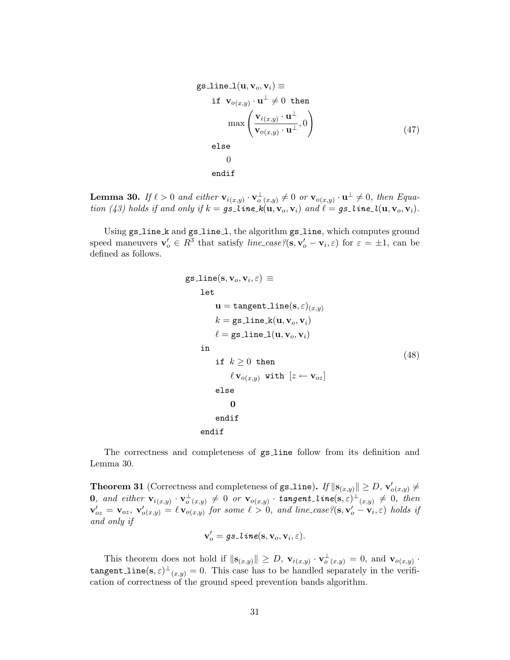$$
\mathbf{gs\_line\_l}(\mathbf{u}, \mathbf{v}_o, \mathbf{v}_i) \equiv
$$
\n
$$
\mathbf{if} \ \mathbf{v}_{o(x,y)} \cdot \mathbf{u}^{\perp} \neq 0 \text{ then}
$$
\n
$$
\max \left( \frac{\mathbf{v}_{i(x,y)} \cdot \mathbf{u}^{\perp}}{\mathbf{v}_{o(x,y)} \cdot \mathbf{u}^{\perp}}, 0 \right)
$$
\n
$$
\text{else}
$$
\n
$$
0
$$
\n
$$
\text{endif}
$$
\n(47)

<span id="page-36-0"></span>**Lemma 30.** If  $\ell > 0$  and either  $\mathbf{v}_{i(x,y)} \cdot \mathbf{v}_{o}(x,y) \neq 0$  or  $\mathbf{v}_{o(x,y)} \cdot \mathbf{u}^{\perp} \neq 0$ , then Equa-tion [\(43\)](#page-35-1) holds if and only if  $k = gs\_line_k(\mathbf{u}, \mathbf{v}_o, \mathbf{v}_i)$  and  $\ell = gs\_line_k(\mathbf{u}, \mathbf{v}_o, \mathbf{v}_i)$ .

Using gs\_line\_k and gs\_line\_1, the algorithm gs\_line, which computes ground speed maneuvers  $\mathbf{v}'_o \in R^3$  that satisfy *line\_case*?( $\mathbf{s}, \mathbf{v}'_o - \mathbf{v}_i, \varepsilon$ ) for  $\varepsilon = \pm 1$ , can be defined as follows.

$$
gs\_line(s, v_o, v_i, \varepsilon) \equiv
$$
\n
$$
let
$$
\n
$$
u = tangent\_line(s, \varepsilon)_{(x,y)}
$$
\n
$$
k = gs\_line\_k(u, v_o, v_i)
$$
\n
$$
\ell = gs\_line\_l(u, v_o, v_i)
$$
\n
$$
in
$$
\n
$$
if \ k \ge 0 \ then
$$
\n
$$
\ell v_{o(x,y)} \text{ with } [z \leftarrow v_{oz}]
$$
\n
$$
else
$$
\n
$$
0
$$
\n
$$
endif
$$
\n
$$
endif
$$

The correctness and completeness of gs line follow from its definition and Lemma [30.](#page-36-0)

<span id="page-36-1"></span>**Theorem 31** (Correctness and completeness of  $gs\_line$ ). If  $||s_{(x,y)}|| \ge D$ ,  $\mathbf{v}'_{o(x,y)} \ne$  $\mathbf{0},$  and either  $\mathbf{v}_{i(x,y)}\cdot\mathbf{v}_{o(x,y)}^{\perp}\neq 0$  or  $\mathbf{v}_{o(x,y)}\cdot$  tangent\_line $(\mathbf{s},\varepsilon)^{\perp}_{(x,y)}\neq 0$ , then  ${\bf v}'_{oz}={\bf v}_{oz},\ {\bf v}'_{o(x,y)}=\ell\,{\bf v}_{o(x,y)}$  for some  $\ell>0$ , and line\_case?(s, ${\bf v}'_o-{\bf v}_i,\varepsilon$ ) holds if and only if

$$
\mathbf{v}_o' = gs\_line(\mathbf{s}, \mathbf{v}_o, \mathbf{v}_i, \varepsilon).
$$

This theorem does not hold if  $\|\mathbf{s}_{(x,y)}\| \geq D$ ,  $\mathbf{v}_{i(x,y)} \cdot \mathbf{v}_{o(x,y)}^{\perp} = 0$ , and  $\mathbf{v}_{o(x,y)}$ . tangent line(s,  $\varepsilon$ )<sup> $\perp$ </sup>(x,y) = 0. This case has to be handled separately in the verification of correctness of the ground speed prevention bands algorithm.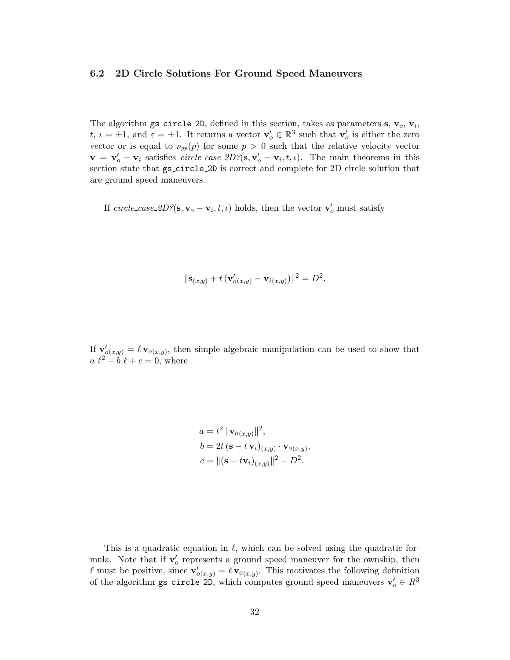#### <span id="page-37-0"></span>6.2 2D Circle Solutions For Ground Speed Maneuvers

The algorithm  $gs\_circle\_2D$ , defined in this section, takes as parameters  $s, v_o, v_i$ , t,  $\iota = \pm 1$ , and  $\varepsilon = \pm 1$ . It returns a vector  $\mathbf{v}'_o \in \mathbb{R}^3$  such that  $\mathbf{v}'_o$  is either the zero vector or is equal to  $\nu_{gs}(p)$  for some  $p > 0$  such that the relative velocity vector  $\mathbf{v} = \mathbf{v}'_o - \mathbf{v}_i$  satisfies *circle\_case\_2D?*( $\mathbf{s}, \mathbf{v}'_o - \mathbf{v}_i, t, \iota$ ). The main theorems in this section state that gs circle 2D is correct and complete for 2D circle solution that are ground speed maneuvers.

If circle\_case\_2D?( $\mathbf{s}, \mathbf{v}_o - \mathbf{v}_i, t, \iota$ ) holds, then the vector  $\mathbf{v}'_o$  must satisfy

$$
\|\mathbf{s}_{(x,y)} + t\,(\mathbf{v}'_{o(x,y)} - \mathbf{v}_{i(x,y)})\|^2 = D^2.
$$

If  $\mathbf{v}'_{o(x,y)} = \ell \mathbf{v}_{o(x,y)}$ , then simple algebraic manipulation can be used to show that  $a \ell^2 + b \ell + c = 0$ , where

$$
a = t2 ||\mathbf{v}_{o(x,y)}||2,
$$
  
\n
$$
b = 2t (\mathbf{s} - t \mathbf{v}_i)_{(x,y)} \cdot \mathbf{v}_{o(x,y)},
$$
  
\n
$$
c = ||(\mathbf{s} - t \mathbf{v}_i)_{(x,y)}||2 - D2.
$$

This is a quadratic equation in  $\ell$ , which can be solved using the quadratic formula. Note that if  $\mathbf{v}'_o$  represents a ground speed maneuver for the ownship, then  $\ell$  must be positive, since  $\mathbf{v}'_{o(x,y)} = \ell \mathbf{v}_{o(x,y)}$ . This motivates the following definition of the algorithm gs\_circle\_2D, which computes ground speed maneuvers  $\mathbf{v}'_o \in R^3$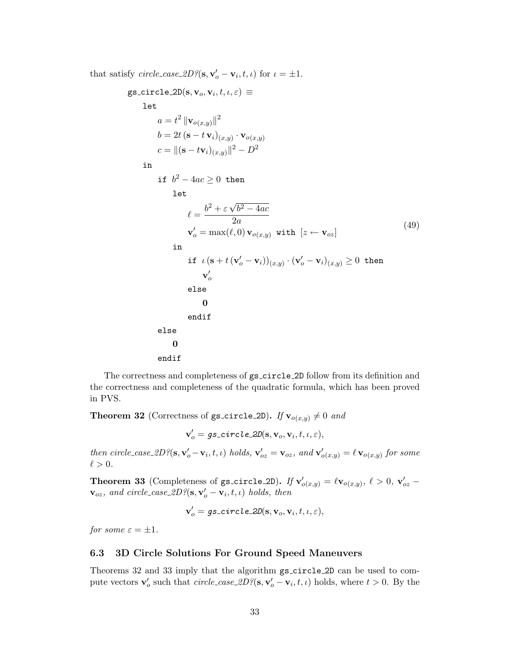that satisfy circle\_case\_2D?( $(\mathbf{s}, \mathbf{v}'_o - \mathbf{v}_i, t, \iota)$  for  $\iota = \pm 1$ .

gs-circle-2D(s, v<sub>o</sub>, v<sub>i</sub>, t, t, c) 
$$
\equiv
$$
  
\nlet  
\n
$$
a = t^2 ||v_{o(x,y)}||^2
$$
\n
$$
b = 2t (s - t v_i)_{(x,y)} \cdot v_{o(x,y)}
$$
\n
$$
c = ||(s - t v_i)_{(x,y)}||^2 - D^2
$$
\nin  
\nif  $b^2 - 4ac \ge 0$  then  
\nlet  
\n
$$
\ell = \frac{b^2 + \epsilon \sqrt{b^2 - 4ac}}{2a}
$$
\n
$$
v'_o = \max(\ell, 0) v_{o(x,y)} \text{ with } [z \leftarrow v_{oz}]
$$
\nin  
\nif  $\iota (s + t (v'_o - v_i))_{(x,y)} \cdot (v'_o - v_i)_{(x,y)} \ge 0$  then  
\n
$$
v'_o
$$
\nelse  
\n0  
\nendif  
\nelse  
\n0  
\nendif

The correctness and completeness of gs circle 2D follow from its definition and the correctness and completeness of the quadratic formula, which has been proved in PVS.

<span id="page-38-1"></span>**Theorem 32** (Correctness of gs\_circle\_2D). If  $\mathbf{v}_{o(x,y)} \neq 0$  and

 $\mathbf{v}_o' = gs\_circle\_2\!D(\mathbf{s}, \mathbf{v}_o, \mathbf{v}_i, t, \iota, \varepsilon),$ 

then circle\_case\_2D?( $\mathbf{s}, \mathbf{v}'_o - \mathbf{v}_i, t, \iota$ ) holds,  $\mathbf{v}'_{oz} = \mathbf{v}_{oz}$ , and  $\mathbf{v}'_{o(x,y)} = \ell \mathbf{v}_{o(x,y)}$  for some  $\ell > 0$ .

<span id="page-38-2"></span>**Theorem 33** (Completeness of gs\_circle\_2D). If  $\mathbf{v}'_{o(x,y)} = \ell \mathbf{v}_{o(x,y)}$ ,  $\ell > 0$ ,  $\mathbf{v}'_{oz}$  –  $\mathbf{v}_{oz}$ , and circle\_case\_2D? $(\mathbf{s}, \mathbf{v}'_o - \mathbf{v}_i, t, \iota)$  holds, then

$$
\mathbf{v}_o^\prime = \textit{gs\_circle\_2D}(\mathbf{s}, \mathbf{v}_o, \mathbf{v}_i, t, \iota, \varepsilon),
$$

for some  $\varepsilon = \pm 1$ .

#### <span id="page-38-0"></span>6.3 3D Circle Solutions For Ground Speed Maneuvers

Theorems [32](#page-38-1) and [33](#page-38-2) imply that the algorithm gs circle 2D can be used to compute vectors  $\mathbf{v}'_o$  such that *circle\_case\_2D?*( $\mathbf{s}, \mathbf{v}'_o - \mathbf{v}_i, t, \iota$ ) holds, where  $t > 0$ . By the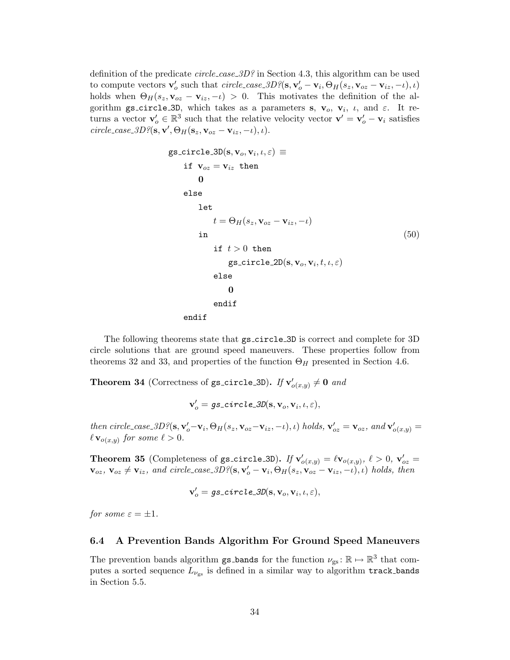definition of the predicate *circle\_case\_3D?* in Section [4.3,](#page-19-2) this algorithm can be used to compute vectors  $\mathbf{v}'_o$  such that *circle\_case\_3D?*( $\mathbf{s}, \mathbf{v}'_o - \mathbf{v}_i, \Theta_H(s_z, \mathbf{v}_{oz} - \mathbf{v}_{iz}, -\iota), \iota$ ) holds when  $\Theta_H(s_z, \mathbf{v}_{oz} - \mathbf{v}_{iz}, -t) > 0$ . This motivates the definition of the algorithm gs\_circle\_3D, which takes as a parameters s,  $v_0$ ,  $v_i$ ,  $\iota$ , and  $\varepsilon$ . It returns a vector  $\mathbf{v}'_o \in \mathbb{R}^3$  such that the relative velocity vector  $\mathbf{v}' = \mathbf{v}'_o - \mathbf{v}_i$  satisfies circle\_case\_3D?( $\mathbf{s}, \mathbf{v}', \Theta_H(\mathbf{s}_z, \mathbf{v}_{oz} - \mathbf{v}_{iz}, -\iota), \iota$ ).

gs circle 3D(s, vo, v<sup>i</sup> , ι, ε) ≡ if voz = viz then 0 else let t = ΘH(sz, voz − viz, −ι) in if t > 0 then gs circle 2D(s, vo, v<sup>i</sup> , t, ι, ε) else 0 endif endif (50)

The following theorems state that  $gs\_circle\_3D$  is correct and complete for 3D circle solutions that are ground speed maneuvers. These properties follow from theorems [32](#page-38-1) and [33,](#page-38-2) and properties of the function  $\Theta_H$  presented in Section [4.6.](#page-21-1)

**Theorem 34** (Correctness of  $gs\_circle\_3D$ ). If  $\mathbf{v}'_{o(x,y)} \neq \mathbf{0}$  and

 $\mathbf{v}_o' = g s_- circ$ le\_3D $(\mathbf{s},\mathbf{v}_o,\mathbf{v}_i,\iota,\varepsilon),$ 

then circle\_case\_3D?( $\mathbf{s}, \mathbf{v}'_o - \mathbf{v}_i, \Theta_H(s_z, \mathbf{v}_{oz} - \mathbf{v}_{iz}, -\iota), \iota$ ) holds,  $\mathbf{v}'_{oz} = \mathbf{v}_{oz}$ , and  $\mathbf{v}'_{o(x,y)} =$  $\ell \mathbf{v}_{o(x,y)}$  for some  $\ell > 0$ .

**Theorem 35** (Completeness of gs\_circle\_3D). If  $\mathbf{v}'_{o(x,y)} = \ell \mathbf{v}_{o(x,y)}$ ,  $\ell > 0$ ,  $\mathbf{v}'_{oz} =$  $\mathbf{v}_{oz}, \mathbf{v}_{oz} \neq \mathbf{v}_{iz}$ , and circle case 3D?( $\mathbf{s}, \mathbf{v}'_o - \mathbf{v}_i, \Theta_H(s_z, \mathbf{v}_{oz} - \mathbf{v}_{iz}, -i), i)$ ) holds, then

$$
\mathbf{v}_o^\prime = g s_- circle_-3\textit{D}(\mathbf{s}, \mathbf{v}_o, \mathbf{v}_i, \iota, \varepsilon),
$$

for some  $\varepsilon = \pm 1$ .

#### <span id="page-39-0"></span>6.4 A Prevention Bands Algorithm For Ground Speed Maneuvers

The prevention bands algorithm **gs\_bands** for the function  $\nu_{gs} : \mathbb{R} \mapsto \mathbb{R}^3$  that computes a sorted sequence  $L_{\nu_{gs}}$  is defined in a similar way to algorithm track bands in Section [5.5.](#page-31-0)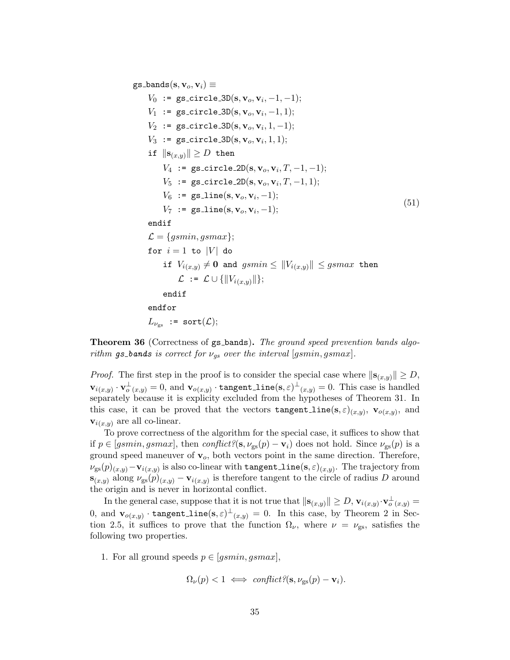gs\_bands(s,  $v_0$ ,  $v_i$ )  $\equiv$  $V_0$  := gs\_circle\_3D(s,  $\mathbf{v}_o, \mathbf{v}_i, -1, -1$ );  $V_1$  := gs\_circle\_3D(s, $\mathbf{v}_o, \mathbf{v}_i, -1, 1$ );  $V_2$  := gs\_circle\_3D(s, $\mathbf{v}_o, \mathbf{v}_i, 1, -1);$  $V_3$  := gs\_circle\_3D(s,  $\mathbf{v}_o, \mathbf{v}_i, 1, 1$ ); if  $\|\mathbf{s}_{(x,y)}\| \ge D$  then  $V_4$  := gs\_circle\_2D(s,  $\mathbf{v}_o, \mathbf{v}_i, T, -1, -1$ );  $V_5$  := gs\_circle\_2D(s,  $\mathbf{v}_o, \mathbf{v}_i, T, -1, 1$ );  $V_6$  := gs\_line(s,  $\mathbf{v}_o, \mathbf{v}_i, -1$ );  $V_7$  := gs\_line(s,  $\mathbf{v}_o, \mathbf{v}_i, -1$ ); endif  $\mathcal{L} = \{gsmin, gsmax\};$ for  $i = 1$  to  $|V|$  do if  $V_{i(x,y)} \neq 0$  and  $gsmin \leq ||V_{i(x,y)}|| \leq gsmax$  then  $\mathcal{L} := \mathcal{L} \cup \{ ||V_{i(x,y)}|| \};$ endif endfor  $L_{\nu_{\infty}}$  := sort $(\mathcal{L});$ (51)

**Theorem 36** (Correctness of gs\_bands). The ground speed prevention bands algorithm gs\_bands is correct for  $\nu_{gs}$  over the interval [gsmin, gsmax].

*Proof.* The first step in the proof is to consider the special case where  $\|\mathbf{s}_{(x,y)}\| \ge D$ ,  ${\bf v}_{i(x,y)}\cdot {\bf v}_{o}^{\perp}(x,y)=0,$  and  ${\bf v}_{o(x,y)}\cdot \texttt{tangent\_line}({\bf s},\varepsilon)^{\perp}(x,y)=0.$  This case is handled separately because it is explicity excluded from the hypotheses of Theorem [31.](#page-36-1) In this case, it can be proved that the vectors  $\texttt{tangent\_line}(s, \varepsilon)_{(x,y)}, \mathbf{v}_{o(x,y)},$  and  $\mathbf{v}_{i(x,y)}$  are all co-linear.

To prove correctness of the algorithm for the special case, it suffices to show that if  $p \in [g s min, g s max]$ , then  $conflict$ ?(s,  $\nu_{gs}(p) - \mathbf{v}_i$ ) does not hold. Since  $\nu_{gs}(p)$  is a ground speed maneuver of  $\mathbf{v}_o$ , both vectors point in the same direction. Therefore,  $\nu_{\rm gs}(p)_{(x,y)}-\mathbf{v}_{i(x,y)}$  is also co-linear with  $\texttt{tangent\_line}(\mathbf{s},\varepsilon)_{(x,y)}.$  The trajectory from  $\mathbf{s}_{(x,y)}$  along  $\nu_{gs}(p)_{(x,y)} - \mathbf{v}_{i(x,y)}$  is therefore tangent to the circle of radius D around the origin and is never in horizontal conflict.

In the general case, suppose that it is not true that  $\|\mathbf{s}_{(x,y)}\| \ge D, \mathbf{v}_{i(x,y)} \cdot \mathbf{v}_{o}^{\perp}(x,y) =$ 0, and  $\mathbf{v}_{o(x,y)}$  · tangent\_line(s,  $\varepsilon$ )<sup> $\perp$ </sup>(x,y) = 0. In this case, by Theorem [2](#page-12-2) in Sec-tion [2.5,](#page-12-0) it suffices to prove that the function  $\Omega_{\nu}$ , where  $\nu = \nu_{gs}$ , satisfies the following two properties.

1. For all ground speeds  $p \in [q\text{ smin}, q\text{ smax}]$ ,

$$
\Omega_{\nu}(p) < 1 \iff conflict\%(\mathbf{s}, \nu_{\mathrm{gs}}(p) - \mathbf{v}_i).
$$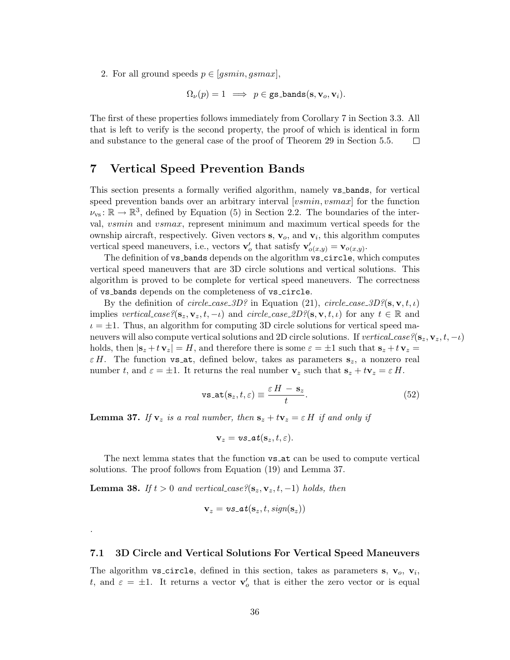2. For all ground speeds  $p \in [q\, smin, q \, smax]$ ,

$$
\Omega_{\nu}(p) = 1 \implies p \in \text{gs\_bands}(s, \mathbf{v}_o, \mathbf{v}_i).
$$

The first of these properties follows immediately from Corollary [7](#page-16-5) in Section [3.3.](#page-16-0) All that is left to verify is the second property, the proof of which is identical in form and substance to the general case of the proof of Theorem [29](#page-32-0) in Section [5.5.](#page-31-0)  $\Box$ 

## <span id="page-41-0"></span>7 Vertical Speed Prevention Bands

This section presents a formally verified algorithm, namely vs bands, for vertical speed prevention bands over an arbitrary interval  $[vsmin, vsmax]$  for the function  $\nu_{\text{vs}}: \mathbb{R} \to \mathbb{R}^3$ , defined by Equation [\(5\)](#page-10-3) in Section [2.2.](#page-9-0) The boundaries of the interval, vsmin and vsmax, represent minimum and maximum vertical speeds for the ownship aircraft, respectively. Given vectors  $s, v_0$ , and  $v_i$ , this algorithm computes vertical speed maneuvers, i.e., vectors  $\mathbf{v}'_o$  that satisfy  $\mathbf{v}'_{o(x,y)} = \mathbf{v}_{o(x,y)}$ .

The definition of vs bands depends on the algorithm vs circle, which computes vertical speed maneuvers that are 3D circle solutions and vertical solutions. This algorithm is proved to be complete for vertical speed maneuvers. The correctness of vs bands depends on the completeness of vs circle.

By the definition of circle case 3D? in Equation [\(21\)](#page-20-2), circle case 3D?(s, v, t, i) implies vertical case?( $\mathbf{s}_z, \mathbf{v}_z, t, -t$ ) and circle case 2D?( $\mathbf{s}, \mathbf{v}, t, t$ ) for any  $t \in \mathbb{R}$  and  $\iota = \pm 1$ . Thus, an algorithm for computing 3D circle solutions for vertical speed maneuvers will also compute vertical solutions and 2D circle solutions. If vertical case?( $\mathbf{s}_z, \mathbf{v}_z, t, -\iota$ ) holds, then  $|\mathbf{s}_z + t \mathbf{v}_z| = H$ , and therefore there is some  $\varepsilon = \pm 1$  such that  $\mathbf{s}_z + t \mathbf{v}_z =$  $\varepsilon$  H. The function vs\_at, defined below, takes as parameters  $s_z$ , a nonzero real number t, and  $\varepsilon = \pm 1$ . It returns the real number  $\mathbf{v}_z$  such that  $\mathbf{s}_z + t\mathbf{v}_z = \varepsilon H$ .

<span id="page-41-3"></span>
$$
\mathsf{vs}\_\mathtt{at}(s_z,t,\varepsilon) \equiv \frac{\varepsilon H - s_z}{t}.\tag{52}
$$

<span id="page-41-2"></span>**Lemma 37.** If  $\mathbf{v}_z$  is a real number, then  $\mathbf{s}_z + t\mathbf{v}_z = \varepsilon H$  if and only if

$$
\mathbf{v}_z = \textit{vs\_at}(\mathbf{s}_z,t,\varepsilon).
$$

The next lemma states that the function vs at can be used to compute vertical solutions. The proof follows from Equation [\(19\)](#page-19-3) and Lemma [37.](#page-41-2)

<span id="page-41-4"></span>**Lemma 38.** If  $t > 0$  and vertical case?( $s_z$ ,  $v_z$ ,  $t$ ,  $-1$ ) holds, then

.

$$
\mathbf{v}_z = \textit{vs\_at}(\mathbf{s}_z,t,\textit{sign}(\mathbf{s}_z))
$$

#### <span id="page-41-1"></span>7.1 3D Circle and Vertical Solutions For Vertical Speed Maneuvers

The algorithm vs\_circle, defined in this section, takes as parameters s,  $v_o$ ,  $v_i$ , t, and  $\varepsilon = \pm 1$ . It returns a vector  $\mathbf{v}'_o$  that is either the zero vector or is equal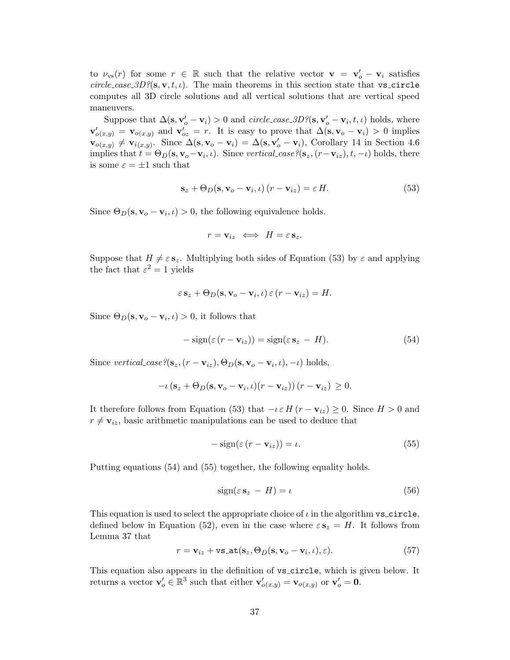to  $\nu_{vs}(r)$  for some  $r \in \mathbb{R}$  such that the relative vector  $\mathbf{v} = \mathbf{v}'_o - \mathbf{v}_i$  satisfies circle case 3D?( $s, v, t, \iota$ ). The main theorems in this section state that vs circle computes all 3D circle solutions and all vertical solutions that are vertical speed maneuvers.

Suppose that  $\Delta(\mathbf{s}, \mathbf{v}'_o - \mathbf{v}_i) > 0$  and *circle\_case\_3D?*( $\mathbf{s}, \mathbf{v}'_o - \mathbf{v}_i, t, \iota$ ) holds, where  $\mathbf{v}'_{o(x,y)} = \mathbf{v}_{o(x,y)}$  and  $\mathbf{v}'_{oz} = r$ . It is easy to prove that  $\Delta(\mathbf{s}, \mathbf{v}_o - \mathbf{v}_i) > 0$  implies  $\mathbf{v}_{o(x,y)} \neq \mathbf{v}_{i(x,y)}$ . Since  $\Delta(\mathbf{s}, \mathbf{v}_o - \mathbf{v}_i) = \Delta(\mathbf{s}, \mathbf{v}_o' - \mathbf{v}_i)$ , Corollary [14](#page-23-1) in Section [4.6](#page-21-1) implies that  $t = \Theta_D(\mathbf{s}, \mathbf{v}_o - \mathbf{v}_i, \iota)$ . Since vertical case  $\theta(\mathbf{s}_z, (r - \mathbf{v}_{iz}), t, -\iota)$  holds, there is some  $\varepsilon = \pm 1$  such that

<span id="page-42-0"></span>
$$
\mathbf{s}_z + \Theta_D(\mathbf{s}, \mathbf{v}_o - \mathbf{v}_i, \iota) (r - \mathbf{v}_{iz}) = \varepsilon H. \tag{53}
$$

Since  $\Theta_D(\mathbf{s}, \mathbf{v}_o - \mathbf{v}_i, \iota) > 0$ , the following equivalence holds.

$$
r=\mathbf{v}_{iz} \iff H=\varepsilon \,\mathbf{s}_z.
$$

Suppose that  $H \neq \varepsilon s_z$ . Multiplying both sides of Equation [\(53\)](#page-42-0) by  $\varepsilon$  and applying the fact that  $\varepsilon^2 = 1$  yields

$$
\varepsilon \mathbf{s}_z + \Theta_D(\mathbf{s}, \mathbf{v}_o - \mathbf{v}_i, \iota) \varepsilon (r - \mathbf{v}_{iz}) = H.
$$

Since  $\Theta_D(\mathbf{s}, \mathbf{v}_o - \mathbf{v}_i, \iota) > 0$ , it follows that

<span id="page-42-1"></span>
$$
-\operatorname{sign}(\varepsilon (r - \mathbf{v}_{iz})) = \operatorname{sign}(\varepsilon \, \mathbf{s}_z - H). \tag{54}
$$

Since vertical case?( $\mathbf{s}_z$ , ( $r - \mathbf{v}_{iz}$ ),  $\Theta_D(\mathbf{s}, \mathbf{v}_o - \mathbf{v}_i, \iota)$ ,  $-\iota$ ) holds,

$$
-\iota\left(\mathbf{s}_z+\Theta_D(\mathbf{s},\mathbf{v}_o-\mathbf{v}_i,\iota)(r-\mathbf{v}_{iz})\right)(r-\mathbf{v}_{iz})\geq 0.
$$

It therefore follows from Equation [\(53\)](#page-42-0) that  $-\iota \in H(r - v_{iz}) \geq 0$ . Since  $H > 0$  and  $r \neq \mathbf{v}_{iz}$ , basic arithmetic manipulations can be used to deduce that

<span id="page-42-2"></span>
$$
-\operatorname{sign}(\varepsilon\,(r-\mathbf{v}_{iz}))=\iota.\tag{55}
$$

Putting equations [\(54\)](#page-42-1) and [\(55\)](#page-42-2) together, the following equality holds.

$$
sign(\varepsilon \mathbf{s}_z - H) = \iota \tag{56}
$$

This equation is used to select the appropriate choice of  $\iota$  in the algorithm **vs** circle, defined below in Equation [\(52\)](#page-41-3), even in the case where  $\varepsilon s_z = H$ . It follows from Lemma [37](#page-41-2) that

$$
r = \mathbf{v}_{iz} + \mathbf{vs}\_\mathbf{at}(\mathbf{s}_z, \Theta_D(\mathbf{s}, \mathbf{v}_o - \mathbf{v}_i, \iota), \varepsilon). \tag{57}
$$

This equation also appears in the definition of vs circle, which is given below. It returns a vector  $\mathbf{v}'_o \in \mathbb{R}^3$  such that either  $\mathbf{v}'_{o(x,y)} = \mathbf{v}_{o(x,y)}$  or  $\mathbf{v}'_o = \mathbf{0}$ .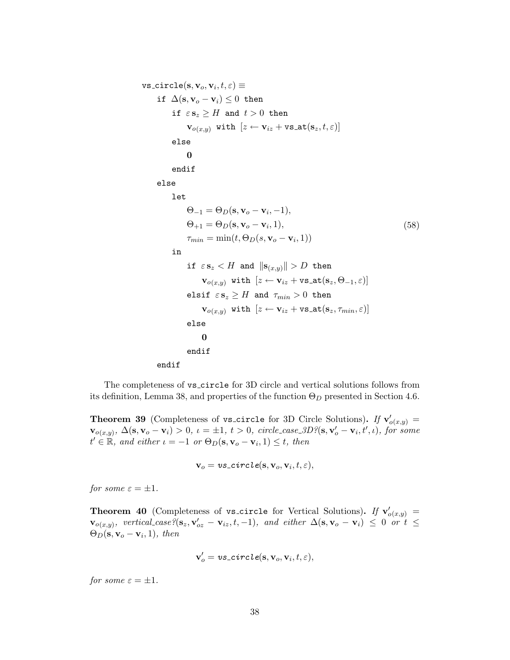```
\texttt{vs\_circle}(\textbf{s}, \textbf{v}_o, \textbf{v}_i, t, \varepsilon) \equivif \Delta(\mathbf{s}, \mathbf{v}_o - \mathbf{v}_i) \leq 0 then
               if \epsilon s_z \geq H and t > 0 then
                       \mathbf{v}_{o(x,y)} with [z \leftarrow \mathbf{v}_{iz} + \text{vs}\_\mathbf{at}(\mathbf{s}_z,t,\varepsilon)]else
                       0
               endif
       else
               let
                       \Theta_{-1} = \Theta_D(\mathbf{s}, \mathbf{v}_o - \mathbf{v}_i, -1),\Theta_{+1} = \Theta_D(\mathbf{s}, \mathbf{v}_o - \mathbf{v}_i, 1),\tau_{min} = \min(t, \Theta_D(s, \mathbf{v}_o - \mathbf{v}_i, 1))in
                       if \epsilon s_z < H and ||s_{(x,y)}|| > D then
                              \mathbf{v}_{o(x,y)} with [z \leftarrow \mathbf{v}_{iz} + \text{vs}\_\mathtt{at}(\mathbf{s}_z,\Theta_{-1},\varepsilon)]elsif \epsilon s_z \geq H and \tau_{min} > 0 then
                              \mathbf{v}_{o(x,y)} with [z \leftarrow \mathbf{v}_{iz} + \text{vs\_at}(\mathbf{s}_z, \tau_{min}, \varepsilon)]else
                              0
                       endif
       endif
                                                                                                                                         (58)
```
The completeness of vs circle for 3D circle and vertical solutions follows from its definition, Lemma [38,](#page-41-4) and properties of the function  $\Theta_D$  presented in Section [4.6.](#page-21-1)

<span id="page-43-0"></span>**Theorem 39** (Completeness of vs\_circle for 3D Circle Solutions). If  $\mathbf{v}'_{o(x,y)} =$  $\mathbf{v}_{o(x,y)}, \Delta(\mathbf{s}, \mathbf{v}_o - \mathbf{v}_i) > 0, \ \iota = \pm 1, \ t > 0, \ \text{circle\_case\_3}D\%$   $(\mathbf{s}, \mathbf{v}'_o - \mathbf{v}_i, t', \iota), \ \text{for some}$  $t' \in \mathbb{R}$ , and either  $\iota = -1$  or  $\Theta_D(\mathbf{s}, \mathbf{v}_o - \mathbf{v}_i, 1) \leq t$ , then

$$
\mathbf{v}_o = \textit{vs\_circle}(\mathbf{s}, \mathbf{v}_o, \mathbf{v}_i, t, \varepsilon),
$$

for some  $\varepsilon = \pm 1$ .

<span id="page-43-1"></span>**Theorem 40** (Completeness of vs\_circle for Vertical Solutions). If  $\mathbf{v}'_{o(x,y)}$  =  $\mathbf{v}_{o(x,y)},$  vertical\_case? $(\mathbf{s}_z, \mathbf{v}'_{oz} - \mathbf{v}_{iz}, t, -1),$  and either  $\Delta(\mathbf{s}, \mathbf{v}_o - \mathbf{v}_i) \leq 0$  or  $t \leq$  $\Theta_D(\mathbf{s}, \mathbf{v}_o - \mathbf{v}_i, 1)$ , then

$$
\mathbf{v}_o' = \textit{vs\_circle}(\mathbf{s}, \mathbf{v}_o, \mathbf{v}_i, t, \varepsilon),
$$

for some  $\varepsilon = \pm 1$ .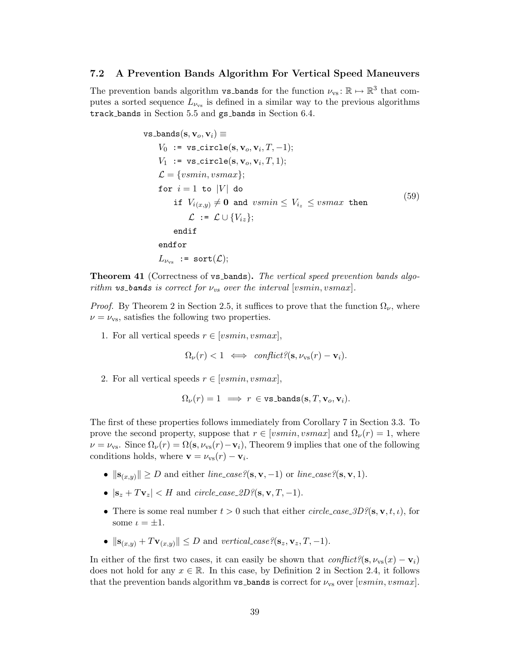#### <span id="page-44-0"></span>7.2 A Prevention Bands Algorithm For Vertical Speed Maneuvers

The prevention bands algorithm **vs\_bands** for the function  $\nu_{vs} \colon \mathbb{R} \to \mathbb{R}^3$  that computes a sorted sequence  $L_{\nu_{\text{vs}}}$  is defined in a similar way to the previous algorithms track bands in Section [5.5](#page-31-0) and gs bands in Section [6.4.](#page-39-0)

$$
\text{vs\_bands}(s, \mathbf{v}_o, \mathbf{v}_i) \equiv
$$
\n
$$
V_0 := \text{vs\_circle}(s, \mathbf{v}_o, \mathbf{v}_i, T, -1);
$$
\n
$$
V_1 := \text{vs\_circle}(s, \mathbf{v}_o, \mathbf{v}_i, T, 1);
$$
\n
$$
\mathcal{L} = \{v s min, v s max\};
$$
\n
$$
\text{for } i = 1 \text{ to } |V| \text{ do}
$$
\n
$$
\text{if } V_{i(x,y)} \neq \mathbf{0} \text{ and } v s min \leq V_{i_z} \leq v s max \text{ then}
$$
\n
$$
\mathcal{L} := \mathcal{L} \cup \{V_{i_z}\};
$$
\n
$$
\text{endif}
$$
\n
$$
L_{\nu_{\text{vs}}} := \text{sort}(\mathcal{L});
$$
\n
$$
(59)
$$

Theorem 41 (Correctness of vs\_bands). The vertical speed prevention bands algorithm vs\_bands is correct for  $\nu_{vs}$  over the interval [vsmin, vsmax].

*Proof.* By Theorem [2](#page-12-2) in Section [2.5,](#page-12-0) it suffices to prove that the function  $\Omega_{\nu}$ , where  $\nu = \nu_{\rm vs}$ , satisfies the following two properties.

1. For all vertical speeds  $r \in [v s min, v s max]$ ,

$$
\Omega_{\nu}(r) < 1 \iff \text{conflict?}(\mathbf{s}, \nu_{\text{vs}}(r) - \mathbf{v}_i).
$$

2. For all vertical speeds  $r \in [v s min, v s max]$ ,

 $\Omega_{\nu}(r) = 1 \implies r \in \text{vs\_bands}(\mathbf{s}, T, \mathbf{v}_{o}, \mathbf{v}_{i}).$ 

The first of these properties follows immediately from Corollary [7](#page-16-5) in Section [3.3.](#page-16-0) To prove the second property, suppose that  $r \in [vsmin, vsmax]$  and  $\Omega_{\nu}(r) = 1$ , where  $\nu = \nu_{\rm vs.}$  Since  $\Omega_{\nu}(r) = \Omega(s, \nu_{\rm vs}(r) - \mathbf{v}_i)$ , Theorem [9](#page-21-2) implies that one of the following conditions holds, where  $\mathbf{v} = \nu_{\text{vs}}(r) - \mathbf{v}_i$ .

- $||\mathbf{s}_{(x,y)}|| \ge D$  and either *line\_case?*(s, **v**, -1) or *line\_case?*(s, **v**, 1).
- $|\mathbf{s}_z + T\mathbf{v}_z|$  < H and circle\_case\_2D?( $\mathbf{s}, \mathbf{v}, T, -1$ ).
- There is some real number  $t > 0$  such that either *circle\_case\_3D?*( $(s, v, t, \iota)$ ), for some  $\iota = \pm 1$ .
- $||\mathbf{s}_{(x,y)} + T\mathbf{v}_{(x,y)}|| \leq D$  and vertical case? $(\mathbf{s}_z, \mathbf{v}_z, T, -1)$ .

In either of the first two cases, it can easily be shown that  $conflict$ ?(s,  $\nu_{vs}(x) - \mathbf{v}_i$ ) does not hold for any  $x \in \mathbb{R}$ . In this case, by Definition [2](#page-11-1) in Section [2.4,](#page-11-0) it follows that the prevention bands algorithm vs **bands** is correct for  $\nu_{\rm vs}$  over [vsmin, vsmax].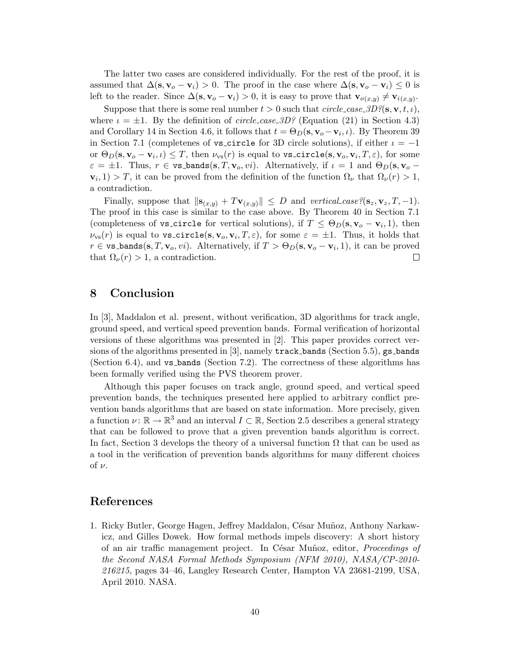The latter two cases are considered individually. For the rest of the proof, it is assumed that  $\Delta(\mathbf{s}, \mathbf{v}_o - \mathbf{v}_i) > 0$ . The proof in the case where  $\Delta(\mathbf{s}, \mathbf{v}_o - \mathbf{v}_i) \leq 0$  is left to the reader. Since  $\Delta(\mathbf{s}, \mathbf{v}_o - \mathbf{v}_i) > 0$ , it is easy to prove that  $\mathbf{v}_{o(x,y)} \neq \mathbf{v}_{i(x,y)}$ .

Suppose that there is some real number  $t > 0$  such that circle case 3D?(s, v, t, t), where  $\iota = \pm 1$ . By the definition of circle\_case\_3D? (Equation [\(21\)](#page-20-2) in Section [4.3\)](#page-19-2) and Corollary [14](#page-23-1) in Section [4.6,](#page-21-1) it follows that  $t = \Theta_D(\mathbf{s}, \mathbf{v}_o - \mathbf{v}_i, \iota)$ . By Theorem [39](#page-43-0) in Section [7.1](#page-41-1) (completenes of vs\_circle for 3D circle solutions), if either  $\iota = -1$ or  $\Theta_D({\bf s},{\bf v}_o-{\bf v}_i,\iota)\leq T,$  then  $\nu_{\rm vs}(r)$  is equal to  ${\tt vs\_circle(s,v_o,v_i,T,\varepsilon)},$  for some  $\varepsilon = \pm 1$ . Thus,  $r \in \text{vs\_bands}(s, T, v_o, vi)$ . Alternatively, if  $\iota = 1$  and  $\Theta_D(s, v_o \mathbf{v}_i, 1) > T$ , it can be proved from the definition of the function  $\Omega_{\nu}$  that  $\Omega_{\nu}(r) > 1$ , a contradiction.

Finally, suppose that  $\|\mathbf{s}_{(x,y)} + T\mathbf{v}_{(x,y)}\| \leq D$  and vertical case?( $\mathbf{s}_z$ ,  $\mathbf{v}_z$ , T, -1). The proof in this case is similar to the case above. By Theorem [40](#page-43-1) in Section [7.1](#page-41-1) (completeness of vs\_circle for vertical solutions), if  $T \n\leq \Theta_D(s, v_o - v_i, 1)$ , then  $\nu_{\rm vs}(r)$  is equal to  ${\rm vs\_circle(s,v_o,v_i,T,\epsilon)},$  for some  $\varepsilon = \pm 1$ . Thus, it holds that  $r \in \texttt{vs\_bands}(s, T, \mathbf{v}_o, vi)$ . Alternatively, if  $T > \Theta_D(s, \mathbf{v}_o - \mathbf{v}_i, 1)$ , it can be proved that  $\Omega_{\nu}(r) > 1$ , a contradiction.  $\Box$ 

## <span id="page-45-0"></span>8 Conclusion

In [3], Maddalon et al. present, without verification, 3D algorithms for track angle, ground speed, and vertical speed prevention bands. Formal verification of horizontal versions of these algorithms was presented in [2]. This paper provides correct versions of the algorithms presented in [3], namely track bands (Section [5.5\)](#page-31-0), gs bands (Section [6.4\)](#page-39-0), and vs bands (Section [7.2\)](#page-44-0). The correctness of these algorithms has been formally verified using the PVS theorem prover.

Although this paper focuses on track angle, ground speed, and vertical speed prevention bands, the techniques presented here applied to arbitrary conflict prevention bands algorithms that are based on state information. More precisely, given a function  $\nu: \mathbb{R} \to \mathbb{R}^3$  and an interval  $I \subset \mathbb{R}$ , Section [2.5](#page-12-0) describes a general strategy that can be followed to prove that a given prevention bands algorithm is correct. In fact, Section [3](#page-13-0) develops the theory of a universal function  $\Omega$  that can be used as a tool in the verification of prevention bands algorithms for many different choices of  $\nu$ .

## References

1. Ricky Butler, George Hagen, Jeffrey Maddalon, César Muñoz, Anthony Narkawicz, and Gilles Dowek. How formal methods impels discovery: A short history of an air traffic management project. In César Muñoz, editor, *Proceedings of* the Second NASA Formal Methods Symposium (NFM 2010), NASA/CP-2010- 216215, pages 34–46, Langley Research Center, Hampton VA 23681-2199, USA, April 2010. NASA.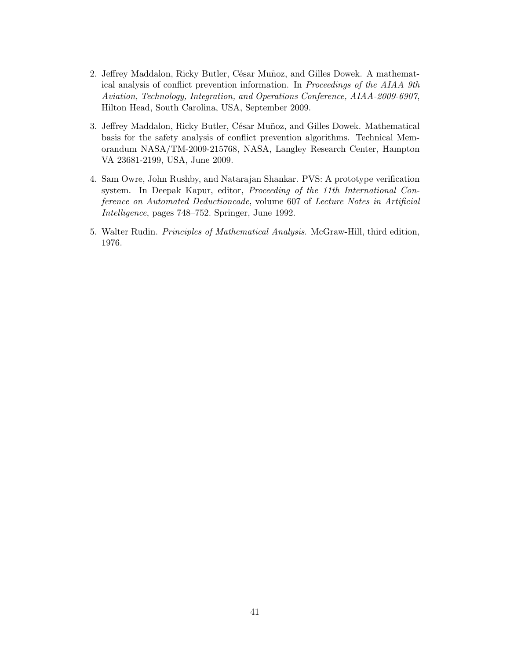- 2. Jeffrey Maddalon, Ricky Butler, César Muñoz, and Gilles Dowek. A mathematical analysis of conflict prevention information. In Proceedings of the AIAA 9th Aviation, Technology, Integration, and Operations Conference, AIAA-2009-6907, Hilton Head, South Carolina, USA, September 2009.
- 3. Jeffrey Maddalon, Ricky Butler, César Muñoz, and Gilles Dowek. Mathematical basis for the safety analysis of conflict prevention algorithms. Technical Memorandum NASA/TM-2009-215768, NASA, Langley Research Center, Hampton VA 23681-2199, USA, June 2009.
- 4. Sam Owre, John Rushby, and Natarajan Shankar. PVS: A prototype verification system. In Deepak Kapur, editor, Proceeding of the 11th International Conference on Automated Deductioncade, volume 607 of Lecture Notes in Artificial Intelligence, pages 748–752. Springer, June 1992.
- 5. Walter Rudin. Principles of Mathematical Analysis. McGraw-Hill, third edition, 1976.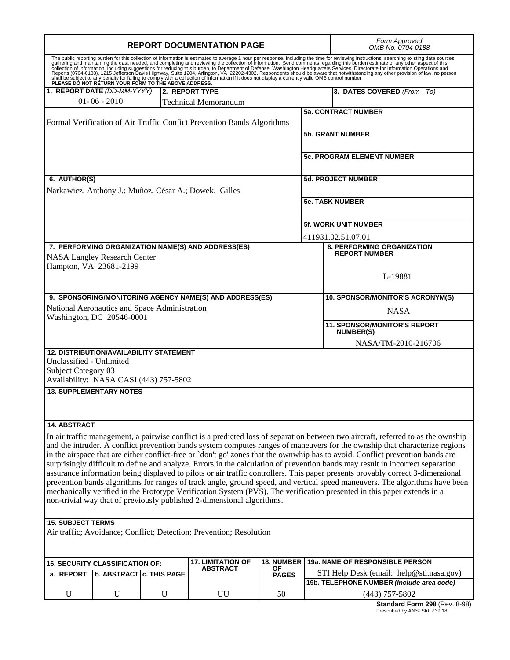|                                                                                                                                                                                                                                |                  | <b>REPORT DOCUMENTATION PAGE</b> |                                                                        | Form Approved<br>OMB No. 0704-0188 |                           |                                                                                                                                                                                                                                                                                                                                                                                                                                                                                                                                                                                                                                                                                                                                                                                             |  |  |  |  |  |
|--------------------------------------------------------------------------------------------------------------------------------------------------------------------------------------------------------------------------------|------------------|----------------------------------|------------------------------------------------------------------------|------------------------------------|---------------------------|---------------------------------------------------------------------------------------------------------------------------------------------------------------------------------------------------------------------------------------------------------------------------------------------------------------------------------------------------------------------------------------------------------------------------------------------------------------------------------------------------------------------------------------------------------------------------------------------------------------------------------------------------------------------------------------------------------------------------------------------------------------------------------------------|--|--|--|--|--|
| The public reporting burden for this collection of information is estimated to average 1 hour per response, including the time for reviewing instructions, searching existing data sources, galtering and maintaining the data |                  |                                  |                                                                        |                                    |                           |                                                                                                                                                                                                                                                                                                                                                                                                                                                                                                                                                                                                                                                                                                                                                                                             |  |  |  |  |  |
| 1. REPORT DATE (DD-MM-YYYY)                                                                                                                                                                                                    |                  |                                  | 2. REPORT TYPE                                                         |                                    |                           | 3. DATES COVERED (From - To)                                                                                                                                                                                                                                                                                                                                                                                                                                                                                                                                                                                                                                                                                                                                                                |  |  |  |  |  |
|                                                                                                                                                                                                                                | $01 - 06 - 2010$ |                                  | <b>Technical Memorandum</b>                                            |                                    |                           |                                                                                                                                                                                                                                                                                                                                                                                                                                                                                                                                                                                                                                                                                                                                                                                             |  |  |  |  |  |
| Formal Verification of Air Traffic Confict Prevention Bands Algorithms                                                                                                                                                         |                  |                                  |                                                                        | <b>5a. CONTRACT NUMBER</b>         |                           |                                                                                                                                                                                                                                                                                                                                                                                                                                                                                                                                                                                                                                                                                                                                                                                             |  |  |  |  |  |
|                                                                                                                                                                                                                                |                  |                                  |                                                                        |                                    | <b>5b. GRANT NUMBER</b>   |                                                                                                                                                                                                                                                                                                                                                                                                                                                                                                                                                                                                                                                                                                                                                                                             |  |  |  |  |  |
|                                                                                                                                                                                                                                |                  |                                  |                                                                        | <b>5c. PROGRAM ELEMENT NUMBER</b>  |                           |                                                                                                                                                                                                                                                                                                                                                                                                                                                                                                                                                                                                                                                                                                                                                                                             |  |  |  |  |  |
| 6. AUTHOR(S)                                                                                                                                                                                                                   |                  |                                  |                                                                        |                                    | <b>5d. PROJECT NUMBER</b> |                                                                                                                                                                                                                                                                                                                                                                                                                                                                                                                                                                                                                                                                                                                                                                                             |  |  |  |  |  |
|                                                                                                                                                                                                                                |                  |                                  | Narkawicz, Anthony J.; Muñoz, César A.; Dowek, Gilles                  |                                    | <b>5e. TASK NUMBER</b>    |                                                                                                                                                                                                                                                                                                                                                                                                                                                                                                                                                                                                                                                                                                                                                                                             |  |  |  |  |  |
|                                                                                                                                                                                                                                |                  |                                  |                                                                        |                                    |                           |                                                                                                                                                                                                                                                                                                                                                                                                                                                                                                                                                                                                                                                                                                                                                                                             |  |  |  |  |  |
|                                                                                                                                                                                                                                |                  |                                  |                                                                        |                                    |                           | <b>5f. WORK UNIT NUMBER</b>                                                                                                                                                                                                                                                                                                                                                                                                                                                                                                                                                                                                                                                                                                                                                                 |  |  |  |  |  |
|                                                                                                                                                                                                                                |                  |                                  |                                                                        |                                    |                           | 411931.02.51.07.01                                                                                                                                                                                                                                                                                                                                                                                                                                                                                                                                                                                                                                                                                                                                                                          |  |  |  |  |  |
| <b>NASA Langley Research Center</b><br>Hampton, VA 23681-2199                                                                                                                                                                  |                  |                                  | 7. PERFORMING ORGANIZATION NAME(S) AND ADDRESS(ES)                     |                                    |                           | <b>8. PERFORMING ORGANIZATION</b><br><b>REPORT NUMBER</b>                                                                                                                                                                                                                                                                                                                                                                                                                                                                                                                                                                                                                                                                                                                                   |  |  |  |  |  |
|                                                                                                                                                                                                                                |                  |                                  |                                                                        |                                    |                           | L-19881                                                                                                                                                                                                                                                                                                                                                                                                                                                                                                                                                                                                                                                                                                                                                                                     |  |  |  |  |  |
|                                                                                                                                                                                                                                |                  |                                  | 9. SPONSORING/MONITORING AGENCY NAME(S) AND ADDRESS(ES)                |                                    |                           | 10. SPONSOR/MONITOR'S ACRONYM(S)                                                                                                                                                                                                                                                                                                                                                                                                                                                                                                                                                                                                                                                                                                                                                            |  |  |  |  |  |
| National Aeronautics and Space Administration<br>Washington, DC 20546-0001                                                                                                                                                     |                  |                                  |                                                                        |                                    |                           | <b>NASA</b>                                                                                                                                                                                                                                                                                                                                                                                                                                                                                                                                                                                                                                                                                                                                                                                 |  |  |  |  |  |
|                                                                                                                                                                                                                                |                  |                                  |                                                                        |                                    |                           | <b>11. SPONSOR/MONITOR'S REPORT</b><br><b>NUMBER(S)</b>                                                                                                                                                                                                                                                                                                                                                                                                                                                                                                                                                                                                                                                                                                                                     |  |  |  |  |  |
|                                                                                                                                                                                                                                |                  |                                  |                                                                        |                                    |                           | NASA/TM-2010-216706                                                                                                                                                                                                                                                                                                                                                                                                                                                                                                                                                                                                                                                                                                                                                                         |  |  |  |  |  |
| <b>12. DISTRIBUTION/AVAILABILITY STATEMENT</b><br>Unclassified - Unlimited<br><b>Subject Category 03</b><br>Availability: NASA CASI (443) 757-5802                                                                             |                  |                                  |                                                                        |                                    |                           |                                                                                                                                                                                                                                                                                                                                                                                                                                                                                                                                                                                                                                                                                                                                                                                             |  |  |  |  |  |
| <b>13. SUPPLEMENTARY NOTES</b>                                                                                                                                                                                                 |                  |                                  |                                                                        |                                    |                           |                                                                                                                                                                                                                                                                                                                                                                                                                                                                                                                                                                                                                                                                                                                                                                                             |  |  |  |  |  |
|                                                                                                                                                                                                                                |                  |                                  |                                                                        |                                    |                           |                                                                                                                                                                                                                                                                                                                                                                                                                                                                                                                                                                                                                                                                                                                                                                                             |  |  |  |  |  |
| 14. ABSTRACT                                                                                                                                                                                                                   |                  |                                  |                                                                        |                                    |                           | In air traffic management, a pairwise conflict is a predicted loss of separation between two aircraft, referred to as the ownship                                                                                                                                                                                                                                                                                                                                                                                                                                                                                                                                                                                                                                                           |  |  |  |  |  |
|                                                                                                                                                                                                                                |                  |                                  | non-trivial way that of previously published 2-dimensional algorithms. |                                    |                           | and the intruder. A conflict prevention bands system computes ranges of maneuvers for the ownship that characterize regions<br>in the airspace that are either conflict-free or `don't go' zones that the ownwhip has to avoid. Conflict prevention bands are<br>surprisingly difficult to define and analyze. Errors in the calculation of prevention bands may result in incorrect separation<br>assurance information being displayed to pilots or air traffic controllers. This paper presents provably correct 3-dimensional<br>prevention bands algorithms for ranges of track angle, ground speed, and vertical speed maneuvers. The algorithms have been<br>mechanically verified in the Prototype Verification System (PVS). The verification presented in this paper extends in a |  |  |  |  |  |
| <b>15. SUBJECT TERMS</b>                                                                                                                                                                                                       |                  |                                  |                                                                        |                                    |                           |                                                                                                                                                                                                                                                                                                                                                                                                                                                                                                                                                                                                                                                                                                                                                                                             |  |  |  |  |  |
|                                                                                                                                                                                                                                |                  |                                  | Air traffic; Avoidance; Conflict; Detection; Prevention; Resolution    |                                    |                           |                                                                                                                                                                                                                                                                                                                                                                                                                                                                                                                                                                                                                                                                                                                                                                                             |  |  |  |  |  |
| 18. NUMBER<br><b>19a. NAME OF RESPONSIBLE PERSON</b><br>17. LIMITATION OF<br><b>16. SECURITY CLASSIFICATION OF:</b>                                                                                                            |                  |                                  |                                                                        |                                    |                           |                                                                                                                                                                                                                                                                                                                                                                                                                                                                                                                                                                                                                                                                                                                                                                                             |  |  |  |  |  |
| a. REPORT                                                                                                                                                                                                                      |                  | b. ABSTRACT C. THIS PAGE         | <b>ABSTRACT</b>                                                        | ΟF<br><b>PAGES</b>                 |                           | STI Help Desk (email: help@sti.nasa.gov)<br>19b. TELEPHONE NUMBER (Include area code)                                                                                                                                                                                                                                                                                                                                                                                                                                                                                                                                                                                                                                                                                                       |  |  |  |  |  |
| U                                                                                                                                                                                                                              | U                | $\mathbf U$                      | UU                                                                     | 50                                 |                           | $(443)$ 757-5802                                                                                                                                                                                                                                                                                                                                                                                                                                                                                                                                                                                                                                                                                                                                                                            |  |  |  |  |  |
|                                                                                                                                                                                                                                |                  |                                  |                                                                        |                                    |                           | $Chandra Form 200 (DoU 0 00$                                                                                                                                                                                                                                                                                                                                                                                                                                                                                                                                                                                                                                                                                                                                                                |  |  |  |  |  |

**Standard Form 298** (Rev. 8-98)<br>Prescribed by ANSI Std. Z39.18